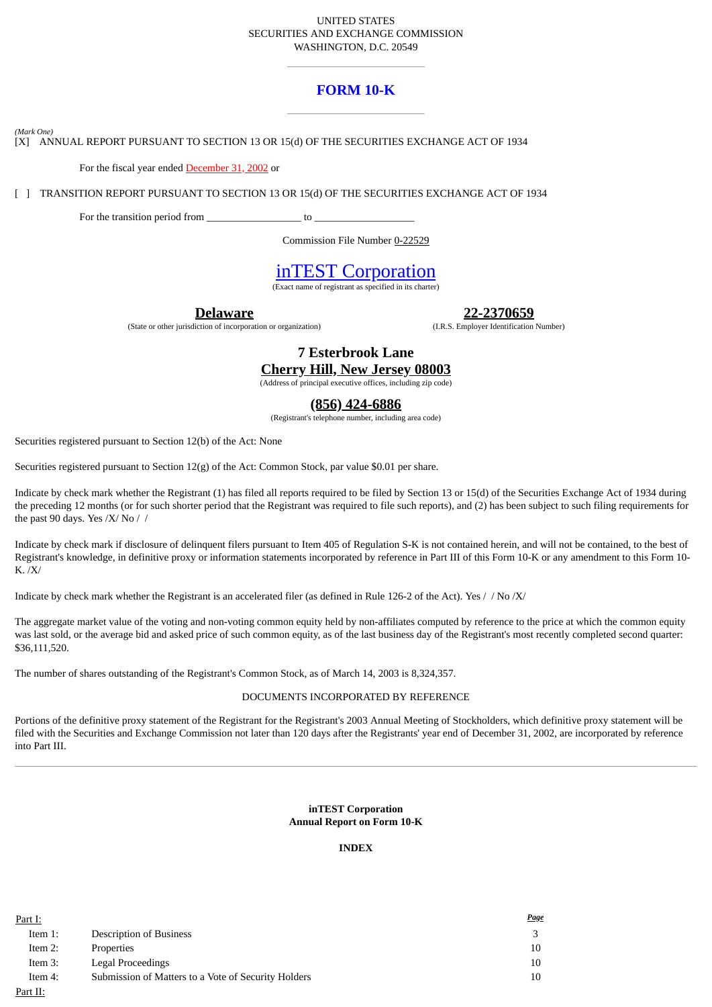### UNITED STATES SECURITIES AND EXCHANGE COMMISSION WASHINGTON, D.C. 20549

# **FORM 10-K**

*(Mark One)*

[X] ANNUAL REPORT PURSUANT TO SECTION 13 OR 15(d) OF THE SECURITIES EXCHANGE ACT OF 1934

For the fiscal year ended December 31, 2002 or

[ ] TRANSITION REPORT PURSUANT TO SECTION 13 OR 15(d) OF THE SECURITIES EXCHANGE ACT OF 1934

For the transition period from  $\qquad \qquad$  to  $\qquad \qquad$ 

Commission File Number 0-22529

# inTEST Corporation

(Exact name of registrant as specified in its charter)

**Delaware**

(State or other jurisdiction of incorporation or organization)

**22-2370659**

(I.R.S. Employer Identification Number)

**7 Esterbrook Lane Cherry Hill, New Jersey 08003**

(Address of principal executive offices, including zip code)

# **(856) 424-6886**

(Registrant's telephone number, including area code)

Securities registered pursuant to Section 12(b) of the Act: None

Securities registered pursuant to Section 12(g) of the Act: Common Stock, par value \$0.01 per share.

Indicate by check mark whether the Registrant (1) has filed all reports required to be filed by Section 13 or 15(d) of the Securities Exchange Act of 1934 during the preceding 12 months (or for such shorter period that the Registrant was required to file such reports), and (2) has been subject to such filing requirements for the past 90 days. Yes /X/ No //

Indicate by check mark if disclosure of delinquent filers pursuant to Item 405 of Regulation S-K is not contained herein, and will not be contained, to the best of Registrant's knowledge, in definitive proxy or information statements incorporated by reference in Part III of this Form 10-K or any amendment to this Form 10- K. /X/

Indicate by check mark whether the Registrant is an accelerated filer (as defined in Rule 126-2 of the Act). Yes // No /X/

The aggregate market value of the voting and non-voting common equity held by non-affiliates computed by reference to the price at which the common equity was last sold, or the average bid and asked price of such common equity, as of the last business day of the Registrant's most recently completed second quarter: \$36,111,520.

The number of shares outstanding of the Registrant's Common Stock, as of March 14, 2003 is 8,324,357.

### DOCUMENTS INCORPORATED BY REFERENCE

Portions of the definitive proxy statement of the Registrant for the Registrant's 2003 Annual Meeting of Stockholders, which definitive proxy statement will be filed with the Securities and Exchange Commission not later than 120 days after the Registrants' year end of December 31, 2002, are incorporated by reference into Part III.

## **inTEST Corporation Annual Report on Form 10-K**

## **INDEX**

| Part I:    |                                                     | <u>Page</u> |
|------------|-----------------------------------------------------|-------------|
| Item 1:    | <b>Description of Business</b>                      |             |
| Item $2$ : | Properties                                          | 10          |
| Item 3:    | Legal Proceedings                                   | 10          |
| Item 4:    | Submission of Matters to a Vote of Security Holders | 10          |
| Part II:   |                                                     |             |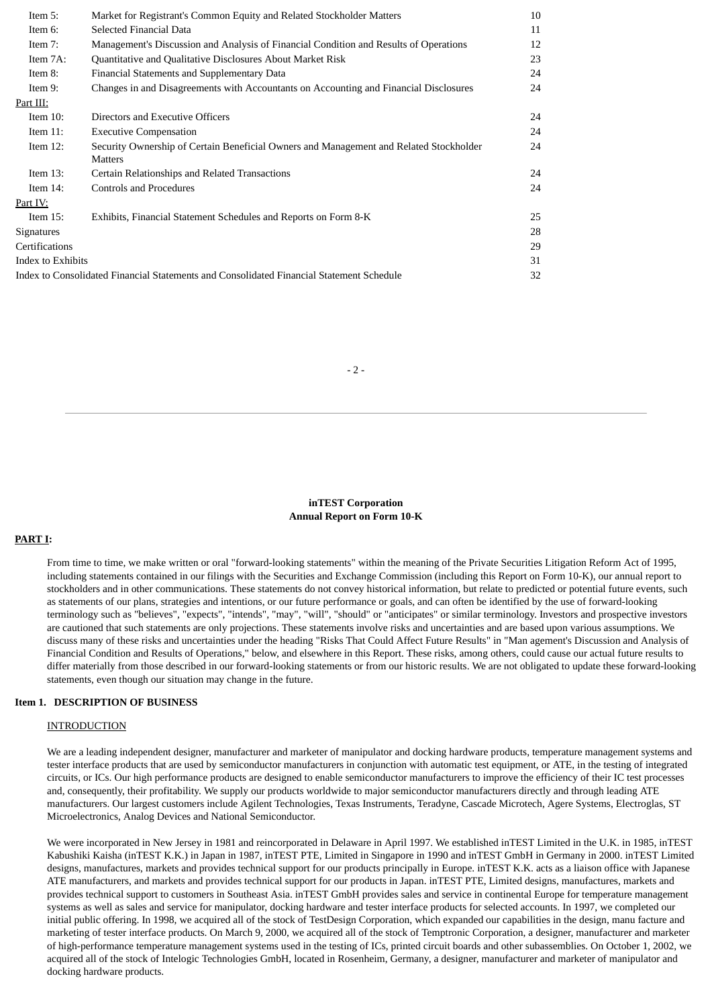| Item 5:           | Market for Registrant's Common Equity and Related Stockholder Matters                             | 10 |
|-------------------|---------------------------------------------------------------------------------------------------|----|
| Item 6:           | Selected Financial Data                                                                           | 11 |
| Item 7:           | Management's Discussion and Analysis of Financial Condition and Results of Operations             | 12 |
| Item $7A$ :       | Quantitative and Qualitative Disclosures About Market Risk                                        | 23 |
| Item 8:           | Financial Statements and Supplementary Data                                                       | 24 |
| Item 9:           | Changes in and Disagreements with Accountants on Accounting and Financial Disclosures             | 24 |
| Part III:         |                                                                                                   |    |
| Item $10$ :       | Directors and Executive Officers                                                                  | 24 |
| Item $11$ :       | <b>Executive Compensation</b>                                                                     | 24 |
| Item $12$ :       | Security Ownership of Certain Beneficial Owners and Management and Related Stockholder<br>Matters | 24 |
| Item $13$ :       | Certain Relationships and Related Transactions                                                    | 24 |
| Item $14$ :       | <b>Controls and Procedures</b>                                                                    | 24 |
| Part IV:          |                                                                                                   |    |
| Item $15$ :       | Exhibits, Financial Statement Schedules and Reports on Form 8-K                                   | 25 |
| <b>Signatures</b> |                                                                                                   | 28 |
| Certifications    |                                                                                                   | 29 |
| Index to Exhibits |                                                                                                   | 31 |
|                   | Index to Consolidated Financial Statements and Consolidated Financial Statement Schedule          | 32 |
|                   |                                                                                                   |    |

- 2 -

**inTEST Corporation Annual Report on Form 10-K**

### **PART I:**

From time to time, we make written or oral "forward-looking statements" within the meaning of the Private Securities Litigation Reform Act of 1995, including statements contained in our filings with the Securities and Exchange Commission (including this Report on Form 10-K), our annual report to stockholders and in other communications. These statements do not convey historical information, but relate to predicted or potential future events, such as statements of our plans, strategies and intentions, or our future performance or goals, and can often be identified by the use of forward-looking terminology such as "believes", "expects", "intends", "may", "will", "should" or "anticipates" or similar terminology. Investors and prospective investors are cautioned that such statements are only projections. These statements involve risks and uncertainties and are based upon various assumptions. We discuss many of these risks and uncertainties under the heading "Risks That Could Affect Future Results" in "Man agement's Discussion and Analysis of Financial Condition and Results of Operations," below, and elsewhere in this Report. These risks, among others, could cause our actual future results to differ materially from those described in our forward-looking statements or from our historic results. We are not obligated to update these forward-looking statements, even though our situation may change in the future.

### **Item 1. DESCRIPTION OF BUSINESS**

#### **INTRODUCTION**

We are a leading independent designer, manufacturer and marketer of manipulator and docking hardware products, temperature management systems and tester interface products that are used by semiconductor manufacturers in conjunction with automatic test equipment, or ATE, in the testing of integrated circuits, or ICs. Our high performance products are designed to enable semiconductor manufacturers to improve the efficiency of their IC test processes and, consequently, their profitability. We supply our products worldwide to major semiconductor manufacturers directly and through leading ATE manufacturers. Our largest customers include Agilent Technologies, Texas Instruments, Teradyne, Cascade Microtech, Agere Systems, Electroglas, ST Microelectronics, Analog Devices and National Semiconductor.

We were incorporated in New Jersey in 1981 and reincorporated in Delaware in April 1997. We established inTEST Limited in the U.K. in 1985, inTEST Kabushiki Kaisha (inTEST K.K.) in Japan in 1987, inTEST PTE, Limited in Singapore in 1990 and inTEST GmbH in Germany in 2000. inTEST Limited designs, manufactures, markets and provides technical support for our products principally in Europe. inTEST K.K. acts as a liaison office with Japanese ATE manufacturers, and markets and provides technical support for our products in Japan. inTEST PTE, Limited designs, manufactures, markets and provides technical support to customers in Southeast Asia. inTEST GmbH provides sales and service in continental Europe for temperature management systems as well as sales and service for manipulator, docking hardware and tester interface products for selected accounts. In 1997, we completed our initial public offering. In 1998, we acquired all of the stock of TestDesign Corporation, which expanded our capabilities in the design, manu facture and marketing of tester interface products. On March 9, 2000, we acquired all of the stock of Temptronic Corporation, a designer, manufacturer and marketer of high-performance temperature management systems used in the testing of ICs, printed circuit boards and other subassemblies. On October 1, 2002, we acquired all of the stock of Intelogic Technologies GmbH, located in Rosenheim, Germany, a designer, manufacturer and marketer of manipulator and docking hardware products.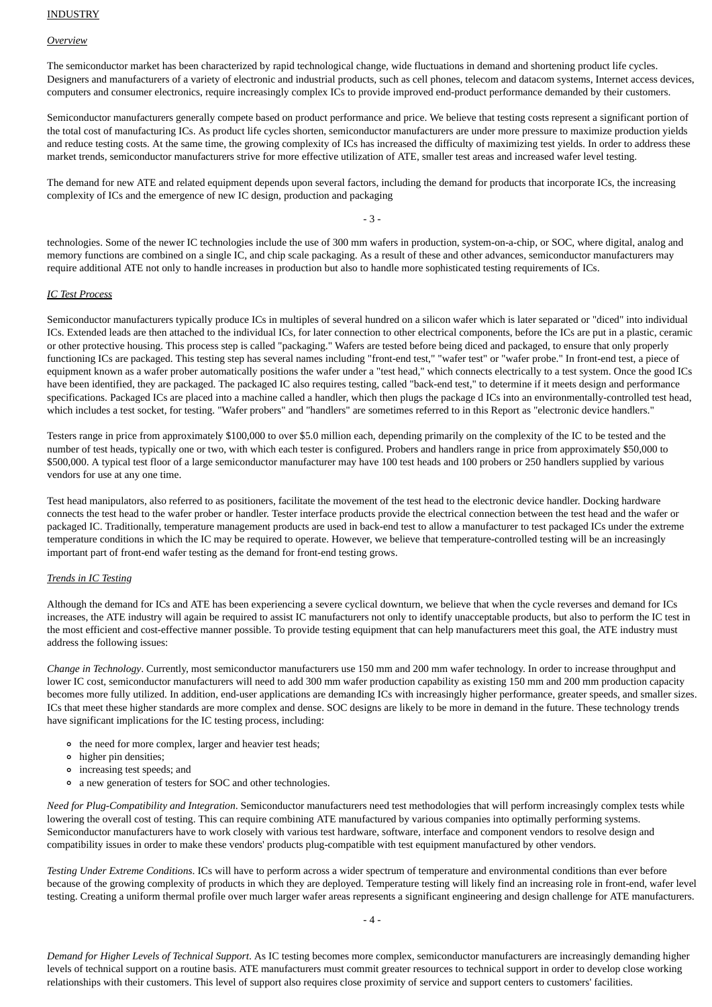#### *Overview*

The semiconductor market has been characterized by rapid technological change, wide fluctuations in demand and shortening product life cycles. Designers and manufacturers of a variety of electronic and industrial products, such as cell phones, telecom and datacom systems, Internet access devices, computers and consumer electronics, require increasingly complex ICs to provide improved end-product performance demanded by their customers.

Semiconductor manufacturers generally compete based on product performance and price. We believe that testing costs represent a significant portion of the total cost of manufacturing ICs. As product life cycles shorten, semiconductor manufacturers are under more pressure to maximize production yields and reduce testing costs. At the same time, the growing complexity of ICs has increased the difficulty of maximizing test yields. In order to address these market trends, semiconductor manufacturers strive for more effective utilization of ATE, smaller test areas and increased wafer level testing.

The demand for new ATE and related equipment depends upon several factors, including the demand for products that incorporate ICs, the increasing complexity of ICs and the emergence of new IC design, production and packaging

- 3 -

technologies. Some of the newer IC technologies include the use of 300 mm wafers in production, system-on-a-chip, or SOC, where digital, analog and memory functions are combined on a single IC, and chip scale packaging. As a result of these and other advances, semiconductor manufacturers may require additional ATE not only to handle increases in production but also to handle more sophisticated testing requirements of ICs.

### *IC Test Process*

Semiconductor manufacturers typically produce ICs in multiples of several hundred on a silicon wafer which is later separated or "diced" into individual ICs. Extended leads are then attached to the individual ICs, for later connection to other electrical components, before the ICs are put in a plastic, ceramic or other protective housing. This process step is called "packaging." Wafers are tested before being diced and packaged, to ensure that only properly functioning ICs are packaged. This testing step has several names including "front-end test," "wafer test" or "wafer probe." In front-end test, a piece of equipment known as a wafer prober automatically positions the wafer under a "test head," which connects electrically to a test system. Once the good ICs have been identified, they are packaged. The packaged IC also requires testing, called "back-end test," to determine if it meets design and performance specifications. Packaged ICs are placed into a machine called a handler, which then plugs the package d ICs into an environmentally-controlled test head, which includes a test socket, for testing. "Wafer probers" and "handlers" are sometimes referred to in this Report as "electronic device handlers."

Testers range in price from approximately \$100,000 to over \$5.0 million each, depending primarily on the complexity of the IC to be tested and the number of test heads, typically one or two, with which each tester is configured. Probers and handlers range in price from approximately \$50,000 to \$500,000. A typical test floor of a large semiconductor manufacturer may have 100 test heads and 100 probers or 250 handlers supplied by various vendors for use at any one time.

Test head manipulators, also referred to as positioners, facilitate the movement of the test head to the electronic device handler. Docking hardware connects the test head to the wafer prober or handler. Tester interface products provide the electrical connection between the test head and the wafer or packaged IC. Traditionally, temperature management products are used in back-end test to allow a manufacturer to test packaged ICs under the extreme temperature conditions in which the IC may be required to operate. However, we believe that temperature-controlled testing will be an increasingly important part of front-end wafer testing as the demand for front-end testing grows.

### *Trends in IC Testing*

Although the demand for ICs and ATE has been experiencing a severe cyclical downturn, we believe that when the cycle reverses and demand for ICs increases, the ATE industry will again be required to assist IC manufacturers not only to identify unacceptable products, but also to perform the IC test in the most efficient and cost-effective manner possible. To provide testing equipment that can help manufacturers meet this goal, the ATE industry must address the following issues:

*Change in Technology*. Currently, most semiconductor manufacturers use 150 mm and 200 mm wafer technology. In order to increase throughput and lower IC cost, semiconductor manufacturers will need to add 300 mm wafer production capability as existing 150 mm and 200 mm production capacity becomes more fully utilized. In addition, end-user applications are demanding ICs with increasingly higher performance, greater speeds, and smaller sizes. ICs that meet these higher standards are more complex and dense. SOC designs are likely to be more in demand in the future. These technology trends have significant implications for the IC testing process, including:

- the need for more complex, larger and heavier test heads;
- higher pin densities;
- increasing test speeds; and
- a new generation of testers for SOC and other technologies.

*Need for Plug-Compatibility and Integration*. Semiconductor manufacturers need test methodologies that will perform increasingly complex tests while lowering the overall cost of testing. This can require combining ATE manufactured by various companies into optimally performing systems. Semiconductor manufacturers have to work closely with various test hardware, software, interface and component vendors to resolve design and compatibility issues in order to make these vendors' products plug-compatible with test equipment manufactured by other vendors.

*Testing Under Extreme Conditions*. ICs will have to perform across a wider spectrum of temperature and environmental conditions than ever before because of the growing complexity of products in which they are deployed. Temperature testing will likely find an increasing role in front-end, wafer level testing. Creating a uniform thermal profile over much larger wafer areas represents a significant engineering and design challenge for ATE manufacturers.

*Demand for Higher Levels of Technical Support*. As IC testing becomes more complex, semiconductor manufacturers are increasingly demanding higher levels of technical support on a routine basis. ATE manufacturers must commit greater resources to technical support in order to develop close working relationships with their customers. This level of support also requires close proximity of service and support centers to customers' facilities.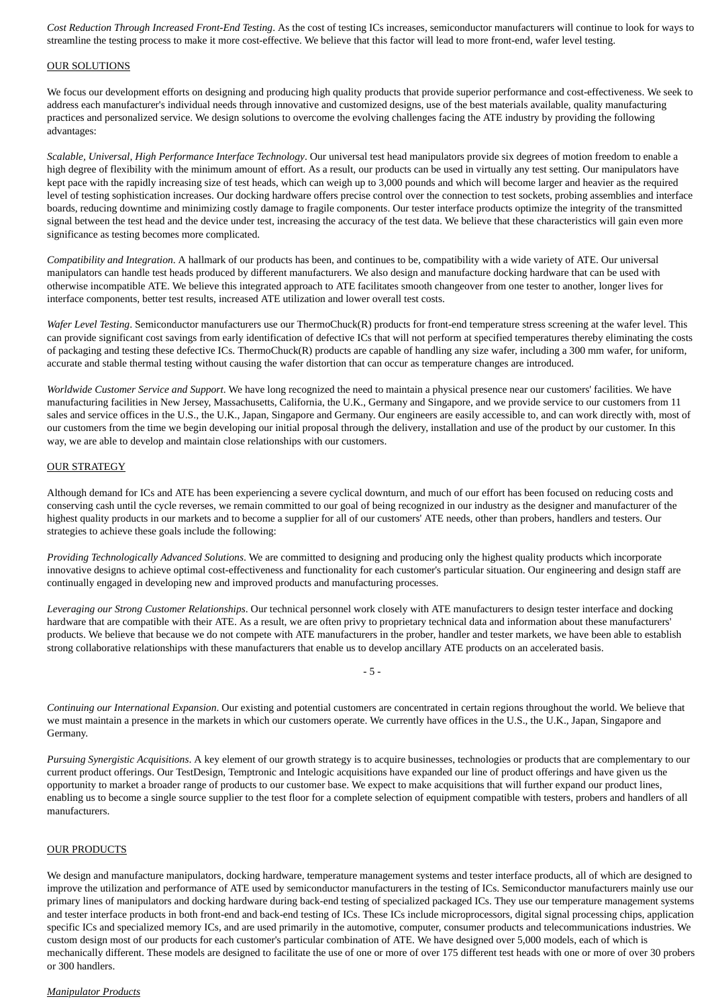*Cost Reduction Through Increased Front-End Testing*. As the cost of testing ICs increases, semiconductor manufacturers will continue to look for ways to streamline the testing process to make it more cost-effective. We believe that this factor will lead to more front-end, wafer level testing.

#### OUR SOLUTIONS

We focus our development efforts on designing and producing high quality products that provide superior performance and cost-effectiveness. We seek to address each manufacturer's individual needs through innovative and customized designs, use of the best materials available, quality manufacturing practices and personalized service. We design solutions to overcome the evolving challenges facing the ATE industry by providing the following advantages:

*Scalable, Universal, High Performance Interface Technology*. Our universal test head manipulators provide six degrees of motion freedom to enable a high degree of flexibility with the minimum amount of effort. As a result, our products can be used in virtually any test setting. Our manipulators have kept pace with the rapidly increasing size of test heads, which can weigh up to 3,000 pounds and which will become larger and heavier as the required level of testing sophistication increases. Our docking hardware offers precise control over the connection to test sockets, probing assemblies and interface boards, reducing downtime and minimizing costly damage to fragile components. Our tester interface products optimize the integrity of the transmitted signal between the test head and the device under test, increasing the accuracy of the test data. We believe that these characteristics will gain even more significance as testing becomes more complicated.

*Compatibility and Integration*. A hallmark of our products has been, and continues to be, compatibility with a wide variety of ATE. Our universal manipulators can handle test heads produced by different manufacturers. We also design and manufacture docking hardware that can be used with otherwise incompatible ATE. We believe this integrated approach to ATE facilitates smooth changeover from one tester to another, longer lives for interface components, better test results, increased ATE utilization and lower overall test costs.

*Wafer Level Testing*. Semiconductor manufacturers use our ThermoChuck(R) products for front-end temperature stress screening at the wafer level. This can provide significant cost savings from early identification of defective ICs that will not perform at specified temperatures thereby eliminating the costs of packaging and testing these defective ICs. ThermoChuck(R) products are capable of handling any size wafer, including a 300 mm wafer, for uniform, accurate and stable thermal testing without causing the wafer distortion that can occur as temperature changes are introduced.

*Worldwide Customer Service and Support*. We have long recognized the need to maintain a physical presence near our customers' facilities. We have manufacturing facilities in New Jersey, Massachusetts, California, the U.K., Germany and Singapore, and we provide service to our customers from 11 sales and service offices in the U.S., the U.K., Japan, Singapore and Germany. Our engineers are easily accessible to, and can work directly with, most of our customers from the time we begin developing our initial proposal through the delivery, installation and use of the product by our customer. In this way, we are able to develop and maintain close relationships with our customers.

### OUR STRATEGY

Although demand for ICs and ATE has been experiencing a severe cyclical downturn, and much of our effort has been focused on reducing costs and conserving cash until the cycle reverses, we remain committed to our goal of being recognized in our industry as the designer and manufacturer of the highest quality products in our markets and to become a supplier for all of our customers' ATE needs, other than probers, handlers and testers. Our strategies to achieve these goals include the following:

*Providing Technologically Advanced Solutions*. We are committed to designing and producing only the highest quality products which incorporate innovative designs to achieve optimal cost-effectiveness and functionality for each customer's particular situation. Our engineering and design staff are continually engaged in developing new and improved products and manufacturing processes.

*Leveraging our Strong Customer Relationships*. Our technical personnel work closely with ATE manufacturers to design tester interface and docking hardware that are compatible with their ATE. As a result, we are often privy to proprietary technical data and information about these manufacturers' products. We believe that because we do not compete with ATE manufacturers in the prober, handler and tester markets, we have been able to establish strong collaborative relationships with these manufacturers that enable us to develop ancillary ATE products on an accelerated basis.

- 5 -

*Continuing our International Expansion*. Our existing and potential customers are concentrated in certain regions throughout the world. We believe that we must maintain a presence in the markets in which our customers operate. We currently have offices in the U.S., the U.K., Japan, Singapore and Germany.

*Pursuing Synergistic Acquisitions*. A key element of our growth strategy is to acquire businesses, technologies or products that are complementary to our current product offerings. Our TestDesign, Temptronic and Intelogic acquisitions have expanded our line of product offerings and have given us the opportunity to market a broader range of products to our customer base. We expect to make acquisitions that will further expand our product lines, enabling us to become a single source supplier to the test floor for a complete selection of equipment compatible with testers, probers and handlers of all manufacturers.

# OUR PRODUCTS

We design and manufacture manipulators, docking hardware, temperature management systems and tester interface products, all of which are designed to improve the utilization and performance of ATE used by semiconductor manufacturers in the testing of ICs. Semiconductor manufacturers mainly use our primary lines of manipulators and docking hardware during back-end testing of specialized packaged ICs. They use our temperature management systems and tester interface products in both front-end and back-end testing of ICs. These ICs include microprocessors, digital signal processing chips, application specific ICs and specialized memory ICs, and are used primarily in the automotive, computer, consumer products and telecommunications industries. We custom design most of our products for each customer's particular combination of ATE. We have designed over 5,000 models, each of which is mechanically different. These models are designed to facilitate the use of one or more of over 175 different test heads with one or more of over 30 probers or 300 handlers.

### *Manipulator Products*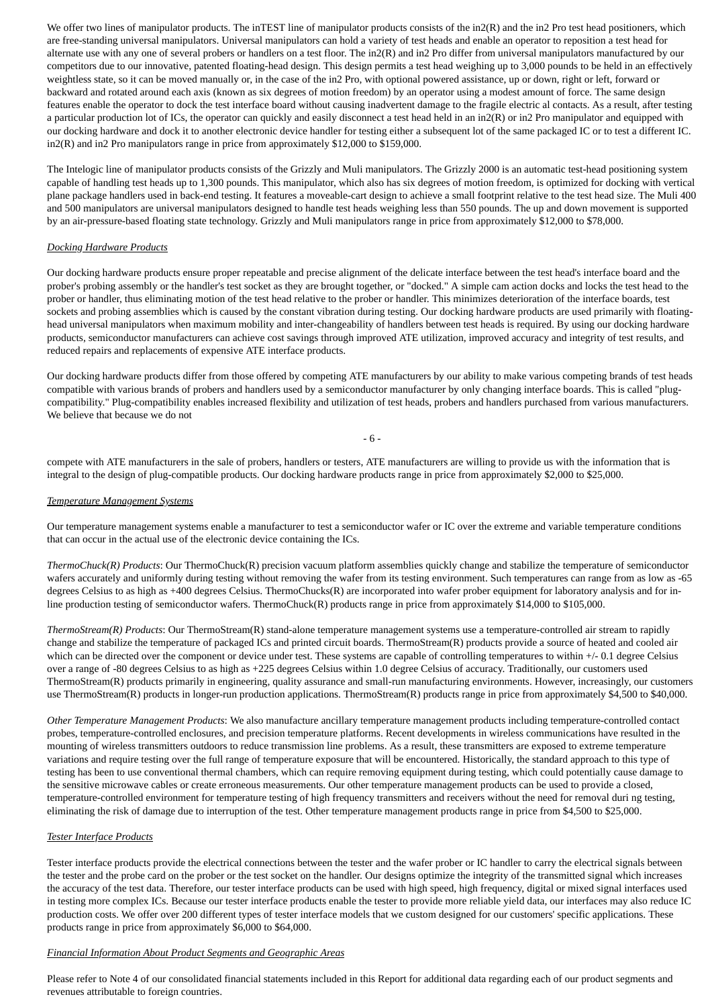We offer two lines of manipulator products. The inTEST line of manipulator products consists of the in2(R) and the in2 Pro test head positioners, which are free-standing universal manipulators. Universal manipulators can hold a variety of test heads and enable an operator to reposition a test head for alternate use with any one of several probers or handlers on a test floor. The in2(R) and in2 Pro differ from universal manipulators manufactured by our competitors due to our innovative, patented floating-head design. This design permits a test head weighing up to 3,000 pounds to be held in an effectively weightless state, so it can be moved manually or, in the case of the in2 Pro, with optional powered assistance, up or down, right or left, forward or backward and rotated around each axis (known as six degrees of motion freedom) by an operator using a modest amount of force. The same design features enable the operator to dock the test interface board without causing inadvertent damage to the fragile electric al contacts. As a result, after testing a particular production lot of ICs, the operator can quickly and easily disconnect a test head held in an in2(R) or in2 Pro manipulator and equipped with our docking hardware and dock it to another electronic device handler for testing either a subsequent lot of the same packaged IC or to test a different IC. in2(R) and in2 Pro manipulators range in price from approximately \$12,000 to \$159,000.

The Intelogic line of manipulator products consists of the Grizzly and Muli manipulators. The Grizzly 2000 is an automatic test-head positioning system capable of handling test heads up to 1,300 pounds. This manipulator, which also has six degrees of motion freedom, is optimized for docking with vertical plane package handlers used in back-end testing. It features a moveable-cart design to achieve a small footprint relative to the test head size. The Muli 400 and 500 manipulators are universal manipulators designed to handle test heads weighing less than 550 pounds. The up and down movement is supported by an air-pressure-based floating state technology. Grizzly and Muli manipulators range in price from approximately \$12,000 to \$78,000.

### *Docking Hardware Products*

Our docking hardware products ensure proper repeatable and precise alignment of the delicate interface between the test head's interface board and the prober's probing assembly or the handler's test socket as they are brought together, or "docked." A simple cam action docks and locks the test head to the prober or handler, thus eliminating motion of the test head relative to the prober or handler. This minimizes deterioration of the interface boards, test sockets and probing assemblies which is caused by the constant vibration during testing. Our docking hardware products are used primarily with floatinghead universal manipulators when maximum mobility and inter-changeability of handlers between test heads is required. By using our docking hardware products, semiconductor manufacturers can achieve cost savings through improved ATE utilization, improved accuracy and integrity of test results, and reduced repairs and replacements of expensive ATE interface products.

Our docking hardware products differ from those offered by competing ATE manufacturers by our ability to make various competing brands of test heads compatible with various brands of probers and handlers used by a semiconductor manufacturer by only changing interface boards. This is called "plugcompatibility." Plug-compatibility enables increased flexibility and utilization of test heads, probers and handlers purchased from various manufacturers. We believe that because we do not

- 6 -

compete with ATE manufacturers in the sale of probers, handlers or testers, ATE manufacturers are willing to provide us with the information that is integral to the design of plug-compatible products. Our docking hardware products range in price from approximately \$2,000 to \$25,000.

#### *Temperature Management Systems*

Our temperature management systems enable a manufacturer to test a semiconductor wafer or IC over the extreme and variable temperature conditions that can occur in the actual use of the electronic device containing the ICs.

*ThermoChuck(R) Products*: Our ThermoChuck(R) precision vacuum platform assemblies quickly change and stabilize the temperature of semiconductor wafers accurately and uniformly during testing without removing the wafer from its testing environment. Such temperatures can range from as low as -65 degrees Celsius to as high as +400 degrees Celsius. ThermoChucks(R) are incorporated into wafer prober equipment for laboratory analysis and for inline production testing of semiconductor wafers. ThermoChuck(R) products range in price from approximately \$14,000 to \$105,000.

*ThermoStream(R) Products*: Our ThermoStream(R) stand-alone temperature management systems use a temperature-controlled air stream to rapidly change and stabilize the temperature of packaged ICs and printed circuit boards. ThermoStream(R) products provide a source of heated and cooled air which can be directed over the component or device under test. These systems are capable of controlling temperatures to within +/- 0.1 degree Celsius over a range of -80 degrees Celsius to as high as +225 degrees Celsius within 1.0 degree Celsius of accuracy. Traditionally, our customers used ThermoStream(R) products primarily in engineering, quality assurance and small-run manufacturing environments. However, increasingly, our customers use ThermoStream(R) products in longer-run production applications. ThermoStream(R) products range in price from approximately \$4,500 to \$40,000.

*Other Temperature Management Products*: We also manufacture ancillary temperature management products including temperature-controlled contact probes, temperature-controlled enclosures, and precision temperature platforms. Recent developments in wireless communications have resulted in the mounting of wireless transmitters outdoors to reduce transmission line problems. As a result, these transmitters are exposed to extreme temperature variations and require testing over the full range of temperature exposure that will be encountered. Historically, the standard approach to this type of testing has been to use conventional thermal chambers, which can require removing equipment during testing, which could potentially cause damage to the sensitive microwave cables or create erroneous measurements. Our other temperature management products can be used to provide a closed, temperature-controlled environment for temperature testing of high frequency transmitters and receivers without the need for removal duri ng testing, eliminating the risk of damage due to interruption of the test. Other temperature management products range in price from \$4,500 to \$25,000.

### *Tester Interface Products*

Tester interface products provide the electrical connections between the tester and the wafer prober or IC handler to carry the electrical signals between the tester and the probe card on the prober or the test socket on the handler. Our designs optimize the integrity of the transmitted signal which increases the accuracy of the test data. Therefore, our tester interface products can be used with high speed, high frequency, digital or mixed signal interfaces used in testing more complex ICs. Because our tester interface products enable the tester to provide more reliable yield data, our interfaces may also reduce IC production costs. We offer over 200 different types of tester interface models that we custom designed for our customers' specific applications. These products range in price from approximately \$6,000 to \$64,000.

#### *Financial Information About Product Segments and Geographic Areas*

Please refer to Note 4 of our consolidated financial statements included in this Report for additional data regarding each of our product segments and revenues attributable to foreign countries.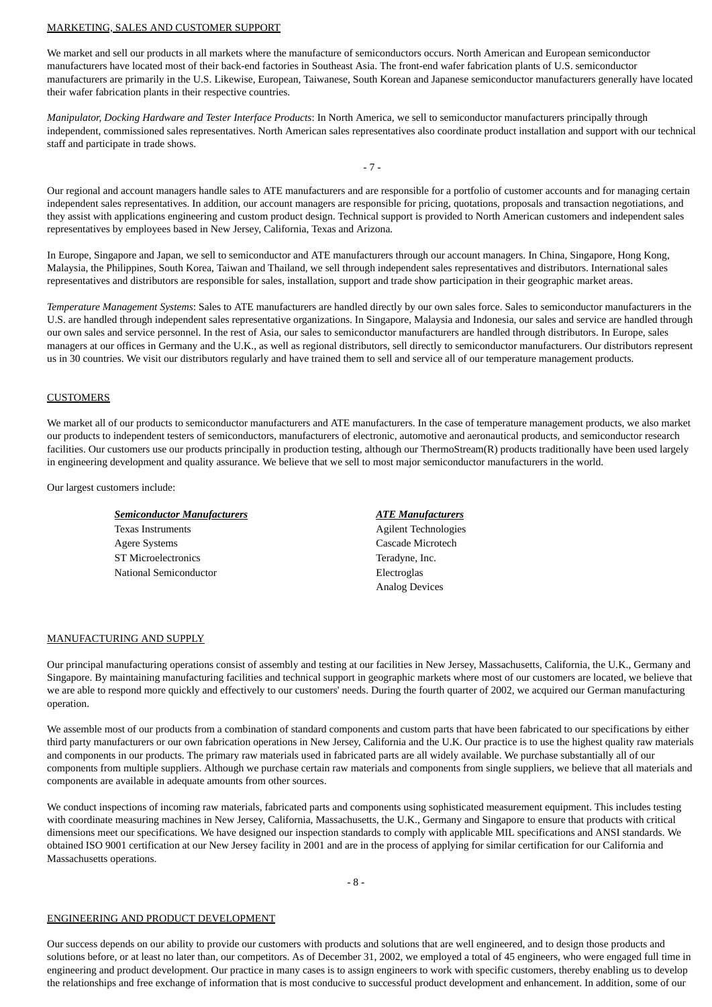#### MARKETING, SALES AND CUSTOMER SUPPORT

We market and sell our products in all markets where the manufacture of semiconductors occurs. North American and European semiconductor manufacturers have located most of their back-end factories in Southeast Asia. The front-end wafer fabrication plants of U.S. semiconductor manufacturers are primarily in the U.S. Likewise, European, Taiwanese, South Korean and Japanese semiconductor manufacturers generally have located their wafer fabrication plants in their respective countries.

*Manipulator, Docking Hardware and Tester Interface Products*: In North America, we sell to semiconductor manufacturers principally through independent, commissioned sales representatives. North American sales representatives also coordinate product installation and support with our technical staff and participate in trade shows.

 $-7 -$ 

Our regional and account managers handle sales to ATE manufacturers and are responsible for a portfolio of customer accounts and for managing certain independent sales representatives. In addition, our account managers are responsible for pricing, quotations, proposals and transaction negotiations, and they assist with applications engineering and custom product design. Technical support is provided to North American customers and independent sales representatives by employees based in New Jersey, California, Texas and Arizona.

In Europe, Singapore and Japan, we sell to semiconductor and ATE manufacturers through our account managers. In China, Singapore, Hong Kong, Malaysia, the Philippines, South Korea, Taiwan and Thailand, we sell through independent sales representatives and distributors. International sales representatives and distributors are responsible for sales, installation, support and trade show participation in their geographic market areas.

*Temperature Management Systems*: Sales to ATE manufacturers are handled directly by our own sales force. Sales to semiconductor manufacturers in the U.S. are handled through independent sales representative organizations. In Singapore, Malaysia and Indonesia, our sales and service are handled through our own sales and service personnel. In the rest of Asia, our sales to semiconductor manufacturers are handled through distributors. In Europe, sales managers at our offices in Germany and the U.K., as well as regional distributors, sell directly to semiconductor manufacturers. Our distributors represent us in 30 countries. We visit our distributors regularly and have trained them to sell and service all of our temperature management products.

### **CUSTOMERS**

We market all of our products to semiconductor manufacturers and ATE manufacturers. In the case of temperature management products, we also market our products to independent testers of semiconductors, manufacturers of electronic, automotive and aeronautical products, and semiconductor research facilities. Our customers use our products principally in production testing, although our ThermoStream(R) products traditionally have been used largely in engineering development and quality assurance. We believe that we sell to most major semiconductor manufacturers in the world.

Our largest customers include:

| <b>Semiconductor Manufacturers</b> | <b>ATE Manufacturers</b>    |
|------------------------------------|-----------------------------|
| <b>Texas Instruments</b>           | <b>Agilent Technologies</b> |
| <b>Agere Systems</b>               | Cascade Microtech           |
| <b>ST Microelectronics</b>         | Teradyne, Inc.              |
| National Semiconductor             | Electroglas                 |
|                                    | <b>Analog Devices</b>       |

#### MANUFACTURING AND SUPPLY

Our principal manufacturing operations consist of assembly and testing at our facilities in New Jersey, Massachusetts, California, the U.K., Germany and Singapore. By maintaining manufacturing facilities and technical support in geographic markets where most of our customers are located, we believe that we are able to respond more quickly and effectively to our customers' needs. During the fourth quarter of 2002, we acquired our German manufacturing operation.

We assemble most of our products from a combination of standard components and custom parts that have been fabricated to our specifications by either third party manufacturers or our own fabrication operations in New Jersey, California and the U.K. Our practice is to use the highest quality raw materials and components in our products. The primary raw materials used in fabricated parts are all widely available. We purchase substantially all of our components from multiple suppliers. Although we purchase certain raw materials and components from single suppliers, we believe that all materials and components are available in adequate amounts from other sources.

We conduct inspections of incoming raw materials, fabricated parts and components using sophisticated measurement equipment. This includes testing with coordinate measuring machines in New Jersey, California, Massachusetts, the U.K., Germany and Singapore to ensure that products with critical dimensions meet our specifications. We have designed our inspection standards to comply with applicable MIL specifications and ANSI standards. We obtained ISO 9001 certification at our New Jersey facility in 2001 and are in the process of applying for similar certification for our California and Massachusetts operations.

 $- 8 -$ 

#### ENGINEERING AND PRODUCT DEVELOPMENT

Our success depends on our ability to provide our customers with products and solutions that are well engineered, and to design those products and solutions before, or at least no later than, our competitors. As of December 31, 2002, we employed a total of 45 engineers, who were engaged full time in engineering and product development. Our practice in many cases is to assign engineers to work with specific customers, thereby enabling us to develop the relationships and free exchange of information that is most conducive to successful product development and enhancement. In addition, some of our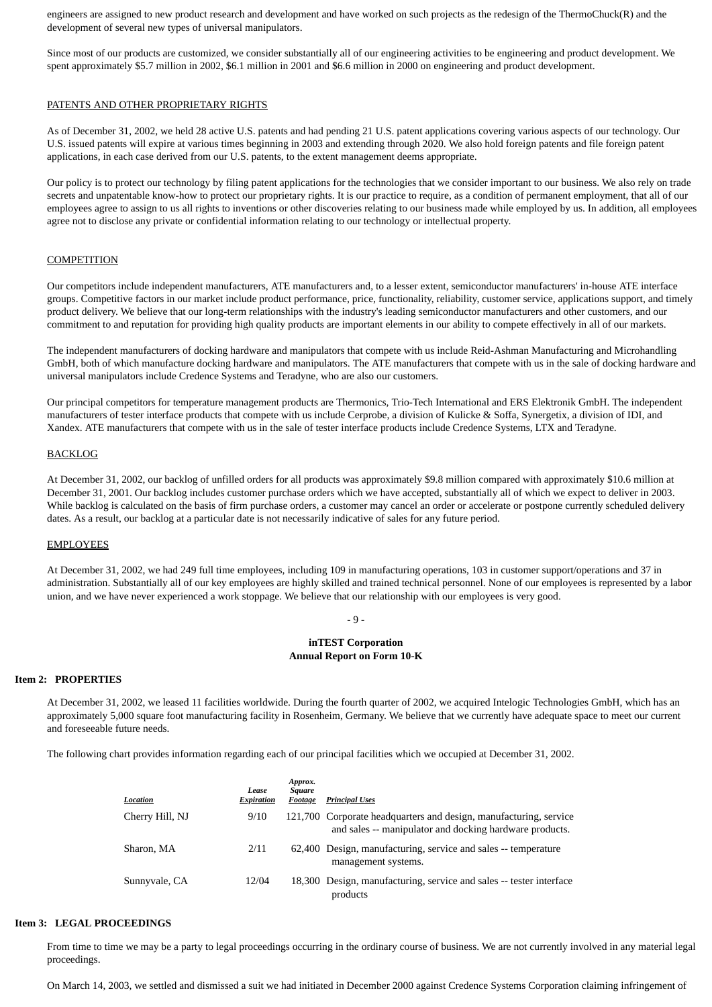engineers are assigned to new product research and development and have worked on such projects as the redesign of the ThermoChuck(R) and the development of several new types of universal manipulators.

Since most of our products are customized, we consider substantially all of our engineering activities to be engineering and product development. We spent approximately \$5.7 million in 2002, \$6.1 million in 2001 and \$6.6 million in 2000 on engineering and product development.

#### PATENTS AND OTHER PROPRIETARY RIGHTS

As of December 31, 2002, we held 28 active U.S. patents and had pending 21 U.S. patent applications covering various aspects of our technology. Our U.S. issued patents will expire at various times beginning in 2003 and extending through 2020. We also hold foreign patents and file foreign patent applications, in each case derived from our U.S. patents, to the extent management deems appropriate.

Our policy is to protect our technology by filing patent applications for the technologies that we consider important to our business. We also rely on trade secrets and unpatentable know-how to protect our proprietary rights. It is our practice to require, as a condition of permanent employment, that all of our employees agree to assign to us all rights to inventions or other discoveries relating to our business made while employed by us. In addition, all employees agree not to disclose any private or confidential information relating to our technology or intellectual property.

## **COMPETITION**

Our competitors include independent manufacturers, ATE manufacturers and, to a lesser extent, semiconductor manufacturers' in-house ATE interface groups. Competitive factors in our market include product performance, price, functionality, reliability, customer service, applications support, and timely product delivery. We believe that our long-term relationships with the industry's leading semiconductor manufacturers and other customers, and our commitment to and reputation for providing high quality products are important elements in our ability to compete effectively in all of our markets.

The independent manufacturers of docking hardware and manipulators that compete with us include Reid-Ashman Manufacturing and Microhandling GmbH, both of which manufacture docking hardware and manipulators. The ATE manufacturers that compete with us in the sale of docking hardware and universal manipulators include Credence Systems and Teradyne, who are also our customers.

Our principal competitors for temperature management products are Thermonics, Trio-Tech International and ERS Elektronik GmbH. The independent manufacturers of tester interface products that compete with us include Cerprobe, a division of Kulicke & Soffa, Synergetix, a division of IDI, and Xandex. ATE manufacturers that compete with us in the sale of tester interface products include Credence Systems, LTX and Teradyne.

#### BACKLOG

At December 31, 2002, our backlog of unfilled orders for all products was approximately \$9.8 million compared with approximately \$10.6 million at December 31, 2001. Our backlog includes customer purchase orders which we have accepted, substantially all of which we expect to deliver in 2003. While backlog is calculated on the basis of firm purchase orders, a customer may cancel an order or accelerate or postpone currently scheduled delivery dates. As a result, our backlog at a particular date is not necessarily indicative of sales for any future period.

### EMPLOYEES

At December 31, 2002, we had 249 full time employees, including 109 in manufacturing operations, 103 in customer support/operations and 37 in administration. Substantially all of our key employees are highly skilled and trained technical personnel. None of our employees is represented by a labor union, and we have never experienced a work stoppage. We believe that our relationship with our employees is very good.

#### $-9-$

#### **inTEST Corporation Annual Report on Form 10-K**

### **Item 2: PROPERTIES**

At December 31, 2002, we leased 11 facilities worldwide. During the fourth quarter of 2002, we acquired Intelogic Technologies GmbH, which has an approximately 5,000 square foot manufacturing facility in Rosenheim, Germany. We believe that we currently have adequate space to meet our current and foreseeable future needs.

The following chart provides information regarding each of our principal facilities which we occupied at December 31, 2002.

| Location        | Lease<br><b>Expiration</b> | Approx.<br>Square<br>Footage | <b>Principal Uses</b>                                                                                                        |
|-----------------|----------------------------|------------------------------|------------------------------------------------------------------------------------------------------------------------------|
| Cherry Hill, NJ | 9/10                       |                              | 121,700 Corporate headquarters and design, manufacturing, service<br>and sales -- manipulator and docking hardware products. |
| Sharon, MA      | 2/11                       |                              | 62,400 Design, manufacturing, service and sales -- temperature<br>management systems.                                        |
| Sunnyvale, CA   | 12/04                      |                              | 18,300 Design, manufacturing, service and sales -- tester interface<br>products                                              |

### **Item 3: LEGAL PROCEEDINGS**

From time to time we may be a party to legal proceedings occurring in the ordinary course of business. We are not currently involved in any material legal proceedings.

On March 14, 2003, we settled and dismissed a suit we had initiated in December 2000 against Credence Systems Corporation claiming infringement of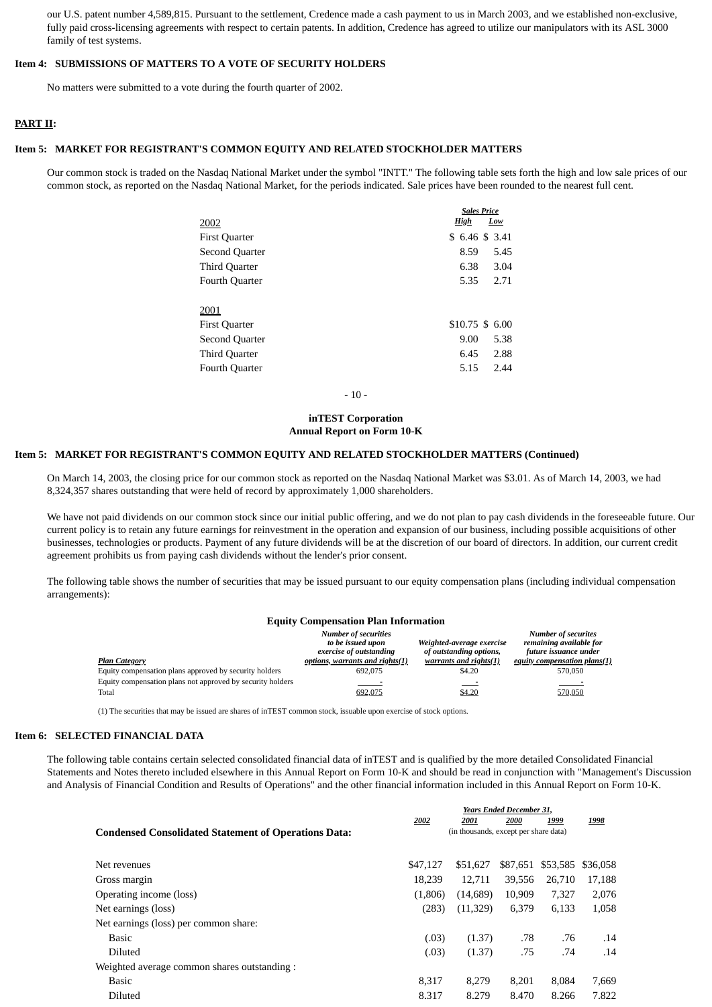our U.S. patent number 4,589,815. Pursuant to the settlement, Credence made a cash payment to us in March 2003, and we established non-exclusive, fully paid cross-licensing agreements with respect to certain patents. In addition, Credence has agreed to utilize our manipulators with its ASL 3000 family of test systems.

#### **Item 4: SUBMISSIONS OF MATTERS TO A VOTE OF SECURITY HOLDERS**

No matters were submitted to a vote during the fourth quarter of 2002.

### **PART II:**

### **Item 5: MARKET FOR REGISTRANT'S COMMON EQUITY AND RELATED STOCKHOLDER MATTERS**

Our common stock is traded on the Nasdaq National Market under the symbol "INTT." The following table sets forth the high and low sale prices of our common stock, as reported on the Nasdaq National Market, for the periods indicated. Sale prices have been rounded to the nearest full cent.

|                      | <b>Sales Price</b> |                 |  |
|----------------------|--------------------|-----------------|--|
| 2002                 | <b>High</b>        | Low             |  |
| <b>First Quarter</b> |                    | \$6.46 \$3.41   |  |
| Second Quarter       | 8.59               | 5.45            |  |
| Third Quarter        | 6.38               | 3.04            |  |
| Fourth Quarter       | 5.35               | 2.71            |  |
| 2001                 |                    |                 |  |
| <b>First Quarter</b> |                    | \$10.75 \$ 6.00 |  |
| Second Quarter       | 9.00               | 5.38            |  |
| Third Quarter        | 6.45               | 2.88            |  |
| Fourth Quarter       | 5.15               | 2.44            |  |

- 10 -

### **inTEST Corporation Annual Report on Form 10-K**

#### **Item 5: MARKET FOR REGISTRANT'S COMMON EQUITY AND RELATED STOCKHOLDER MATTERS (Continued)**

On March 14, 2003, the closing price for our common stock as reported on the Nasdaq National Market was \$3.01. As of March 14, 2003, we had 8,324,357 shares outstanding that were held of record by approximately 1,000 shareholders.

We have not paid dividends on our common stock since our initial public offering, and we do not plan to pay cash dividends in the foreseeable future. Our current policy is to retain any future earnings for reinvestment in the operation and expansion of our business, including possible acquisitions of other businesses, technologies or products. Payment of any future dividends will be at the discretion of our board of directors. In addition, our current credit agreement prohibits us from paying cash dividends without the lender's prior consent.

The following table shows the number of securities that may be issued pursuant to our equity compensation plans (including individual compensation arrangements):

### **Equity Compensation Plan Information**

|                                                            | <b>Number of securities</b><br>to be issued upon<br>exercise of outstanding | Weighted-average exercise<br>of outstanding options, | <b>Number of securites</b><br>remaining available for<br>future issuance under |
|------------------------------------------------------------|-----------------------------------------------------------------------------|------------------------------------------------------|--------------------------------------------------------------------------------|
| <b>Plan Category</b>                                       | <u>options, warrants and rights(1)</u>                                      | warrants and rights(1)                               | equity compensation plans(1)                                                   |
| Equity compensation plans approved by security holders     | 692.075                                                                     | \$4.20                                               | 570.050                                                                        |
| Equity compensation plans not approved by security holders |                                                                             |                                                      |                                                                                |
| Total                                                      | 692,075                                                                     | \$4.20                                               | 570,050                                                                        |

(1) The securities that may be issued are shares of inTEST common stock, issuable upon exercise of stock options.

### **Item 6: SELECTED FINANCIAL DATA**

The following table contains certain selected consolidated financial data of inTEST and is qualified by the more detailed Consolidated Financial Statements and Notes thereto included elsewhere in this Annual Report on Form 10-K and should be read in conjunction with "Management's Discussion and Analysis of Financial Condition and Results of Operations" and the other financial information included in this Annual Report on Form 10-K.

|                                                             | <b>Years Ended December 31,</b> |                                       |          |          |          |  |
|-------------------------------------------------------------|---------------------------------|---------------------------------------|----------|----------|----------|--|
|                                                             | 2002                            | 2001                                  | 2000     | 1999     | 1998     |  |
| <b>Condensed Consolidated Statement of Operations Data:</b> |                                 | (in thousands, except per share data) |          |          |          |  |
|                                                             |                                 |                                       |          |          |          |  |
| Net revenues                                                | \$47,127                        | \$51,627                              | \$87,651 | \$53,585 | \$36.058 |  |
| Gross margin                                                | 18.239                          | 12.711                                | 39.556   | 26,710   | 17,188   |  |
| Operating income (loss)                                     | (1,806)                         | (14,689)                              | 10,909   | 7,327    | 2,076    |  |
| Net earnings (loss)                                         | (283)                           | (11,329)                              | 6,379    | 6,133    | 1,058    |  |
| Net earnings (loss) per common share:                       |                                 |                                       |          |          |          |  |
| Basic                                                       | (.03)                           | (1.37)                                | .78      | .76      | .14      |  |
| <b>Diluted</b>                                              | (.03)                           | (1.37)                                | .75      | .74      | .14      |  |
| Weighted average common shares outstanding :                |                                 |                                       |          |          |          |  |
| Basic                                                       | 8.317                           | 8.279                                 | 8.201    | 8.084    | 7,669    |  |
| <b>Diluted</b>                                              | 8.317                           | 8.279                                 | 8.470    | 8.266    | 7.822    |  |
|                                                             |                                 |                                       |          |          |          |  |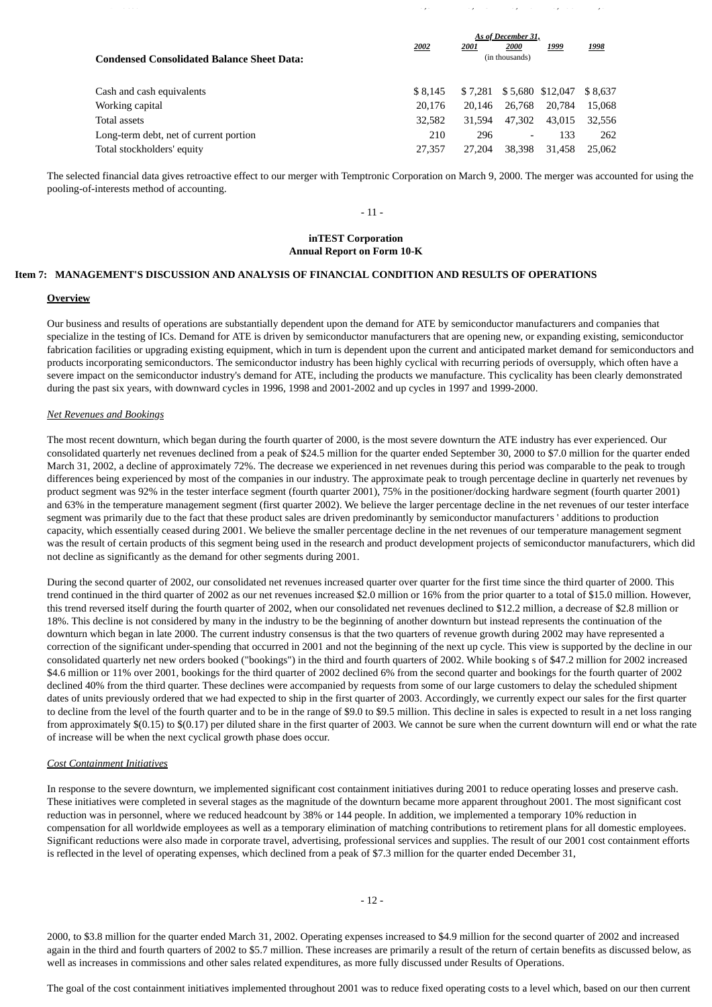|                                                   | As of December 31, |         |                          |                  |         |  |
|---------------------------------------------------|--------------------|---------|--------------------------|------------------|---------|--|
|                                                   | 2002               | 2001    | 2000<br>(in thousands)   | <u>1999</u>      | 1998    |  |
| <b>Condensed Consolidated Balance Sheet Data:</b> |                    |         |                          |                  |         |  |
|                                                   |                    |         |                          |                  |         |  |
| Cash and cash equivalents                         | \$8.145            | \$7.281 |                          | \$5,680 \$12,047 | \$8.637 |  |
| Working capital                                   | 20,176             | 20.146  | 26,768                   | 20,784           | 15,068  |  |
| Total assets                                      | 32.582             | 31.594  | 47.302                   | 43.015           | 32.556  |  |
| Long-term debt, net of current portion            | 210                | 296     | $\overline{\phantom{a}}$ | 133              | 262     |  |
| Total stockholders' equity                        | 27,357             | 27,204  | 38,398                   | 31.458           | 25,062  |  |

ل المراد المدين المراد المواضح المواضح المدين المدين المدين المدين المدين المدين المدين المدين المدين المدين ا<br>واضح المدين المدين المدين المدين المدين المدين المدين المدين المدين المدين المدين المدين المدين المدين المدين

The selected financial data gives retroactive effect to our merger with Temptronic Corporation on March 9, 2000. The merger was accounted for using the pooling-of-interests method of accounting.

#### $-11-$

#### **inTEST Corporation Annual Report on Form 10-K**

#### **Item 7: MANAGEMENT'S DISCUSSION AND ANALYSIS OF FINANCIAL CONDITION AND RESULTS OF OPERATIONS**

### **Overview**

Our business and results of operations are substantially dependent upon the demand for ATE by semiconductor manufacturers and companies that specialize in the testing of ICs. Demand for ATE is driven by semiconductor manufacturers that are opening new, or expanding existing, semiconductor fabrication facilities or upgrading existing equipment, which in turn is dependent upon the current and anticipated market demand for semiconductors and products incorporating semiconductors. The semiconductor industry has been highly cyclical with recurring periods of oversupply, which often have a severe impact on the semiconductor industry's demand for ATE, including the products we manufacture. This cyclicality has been clearly demonstrated during the past six years, with downward cycles in 1996, 1998 and 2001-2002 and up cycles in 1997 and 1999-2000.

#### *Net Revenues and Bookings*

The most recent downturn, which began during the fourth quarter of 2000, is the most severe downturn the ATE industry has ever experienced. Our consolidated quarterly net revenues declined from a peak of \$24.5 million for the quarter ended September 30, 2000 to \$7.0 million for the quarter ended March 31, 2002, a decline of approximately 72%. The decrease we experienced in net revenues during this period was comparable to the peak to trough differences being experienced by most of the companies in our industry. The approximate peak to trough percentage decline in quarterly net revenues by product segment was 92% in the tester interface segment (fourth quarter 2001), 75% in the positioner/docking hardware segment (fourth quarter 2001) and 63% in the temperature management segment (first quarter 2002). We believe the larger percentage decline in the net revenues of our tester interface segment was primarily due to the fact that these product sales are driven predominantly by semiconductor manufacturers ' additions to production capacity, which essentially ceased during 2001. We believe the smaller percentage decline in the net revenues of our temperature management segment was the result of certain products of this segment being used in the research and product development projects of semiconductor manufacturers, which did not decline as significantly as the demand for other segments during 2001.

During the second quarter of 2002, our consolidated net revenues increased quarter over quarter for the first time since the third quarter of 2000. This trend continued in the third quarter of 2002 as our net revenues increased \$2.0 million or 16% from the prior quarter to a total of \$15.0 million. However, this trend reversed itself during the fourth quarter of 2002, when our consolidated net revenues declined to \$12.2 million, a decrease of \$2.8 million or 18%. This decline is not considered by many in the industry to be the beginning of another downturn but instead represents the continuation of the downturn which began in late 2000. The current industry consensus is that the two quarters of revenue growth during 2002 may have represented a correction of the significant under-spending that occurred in 2001 and not the beginning of the next up cycle. This view is supported by the decline in our consolidated quarterly net new orders booked ("bookings") in the third and fourth quarters of 2002. While booking s of \$47.2 million for 2002 increased \$4.6 million or 11% over 2001, bookings for the third quarter of 2002 declined 6% from the second quarter and bookings for the fourth quarter of 2002 declined 40% from the third quarter. These declines were accompanied by requests from some of our large customers to delay the scheduled shipment dates of units previously ordered that we had expected to ship in the first quarter of 2003. Accordingly, we currently expect our sales for the first quarter to decline from the level of the fourth quarter and to be in the range of \$9.0 to \$9.5 million. This decline in sales is expected to result in a net loss ranging from approximately \$(0.15) to \$(0.17) per diluted share in the first quarter of 2003. We cannot be sure when the current downturn will end or what the rate of increase will be when the next cyclical growth phase does occur.

#### *Cost Containment Initiatives*

In response to the severe downturn, we implemented significant cost containment initiatives during 2001 to reduce operating losses and preserve cash. These initiatives were completed in several stages as the magnitude of the downturn became more apparent throughout 2001. The most significant cost reduction was in personnel, where we reduced headcount by 38% or 144 people. In addition, we implemented a temporary 10% reduction in compensation for all worldwide employees as well as a temporary elimination of matching contributions to retirement plans for all domestic employees. Significant reductions were also made in corporate travel, advertising, professional services and supplies. The result of our 2001 cost containment efforts is reflected in the level of operating expenses, which declined from a peak of \$7.3 million for the quarter ended December 31,

- 12 -

2000, to \$3.8 million for the quarter ended March 31, 2002. Operating expenses increased to \$4.9 million for the second quarter of 2002 and increased again in the third and fourth quarters of 2002 to \$5.7 million. These increases are primarily a result of the return of certain benefits as discussed below, as well as increases in commissions and other sales related expenditures, as more fully discussed under Results of Operations.

The goal of the cost containment initiatives implemented throughout 2001 was to reduce fixed operating costs to a level which, based on our then current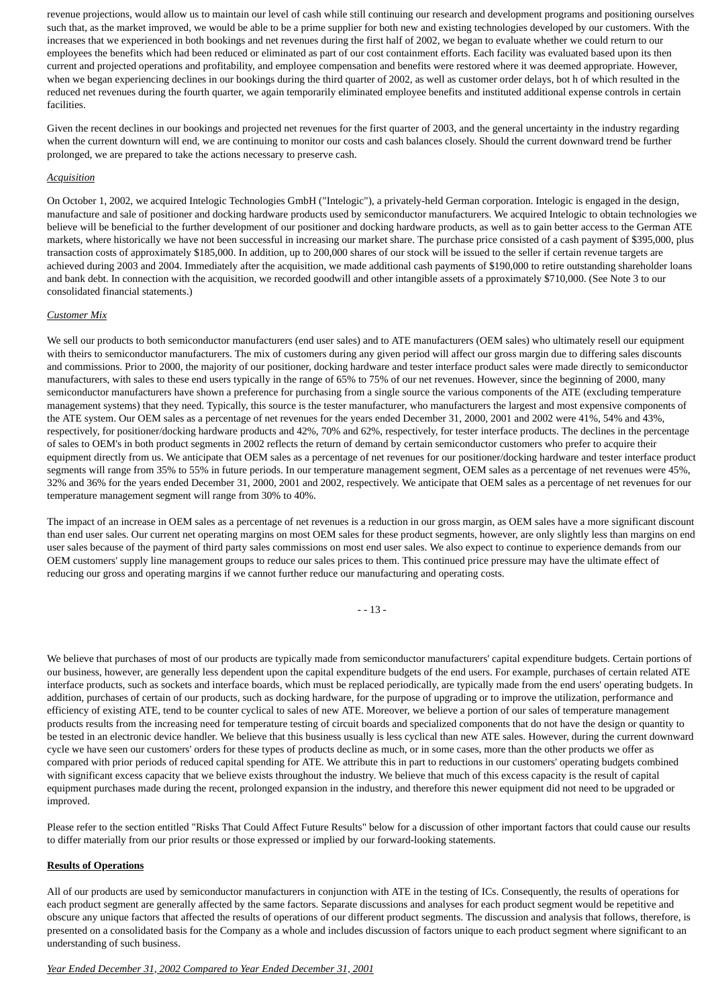revenue projections, would allow us to maintain our level of cash while still continuing our research and development programs and positioning ourselves such that, as the market improved, we would be able to be a prime supplier for both new and existing technologies developed by our customers. With the increases that we experienced in both bookings and net revenues during the first half of 2002, we began to evaluate whether we could return to our employees the benefits which had been reduced or eliminated as part of our cost containment efforts. Each facility was evaluated based upon its then current and projected operations and profitability, and employee compensation and benefits were restored where it was deemed appropriate. However, when we began experiencing declines in our bookings during the third quarter of 2002, as well as customer order delays, bot h of which resulted in the reduced net revenues during the fourth quarter, we again temporarily eliminated employee benefits and instituted additional expense controls in certain facilities.

Given the recent declines in our bookings and projected net revenues for the first quarter of 2003, and the general uncertainty in the industry regarding when the current downturn will end, we are continuing to monitor our costs and cash balances closely. Should the current downward trend be further prolonged, we are prepared to take the actions necessary to preserve cash.

### *Acquisition*

On October 1, 2002, we acquired Intelogic Technologies GmbH ("Intelogic"), a privately-held German corporation. Intelogic is engaged in the design, manufacture and sale of positioner and docking hardware products used by semiconductor manufacturers. We acquired Intelogic to obtain technologies we believe will be beneficial to the further development of our positioner and docking hardware products, as well as to gain better access to the German ATE markets, where historically we have not been successful in increasing our market share. The purchase price consisted of a cash payment of \$395,000, plus transaction costs of approximately \$185,000. In addition, up to 200,000 shares of our stock will be issued to the seller if certain revenue targets are achieved during 2003 and 2004. Immediately after the acquisition, we made additional cash payments of \$190,000 to retire outstanding shareholder loans and bank debt. In connection with the acquisition, we recorded goodwill and other intangible assets of a pproximately \$710,000. (See Note 3 to our consolidated financial statements.)

### *Customer Mix*

We sell our products to both semiconductor manufacturers (end user sales) and to ATE manufacturers (OEM sales) who ultimately resell our equipment with theirs to semiconductor manufacturers. The mix of customers during any given period will affect our gross margin due to differing sales discounts and commissions. Prior to 2000, the majority of our positioner, docking hardware and tester interface product sales were made directly to semiconductor manufacturers, with sales to these end users typically in the range of 65% to 75% of our net revenues. However, since the beginning of 2000, many semiconductor manufacturers have shown a preference for purchasing from a single source the various components of the ATE (excluding temperature management systems) that they need. Typically, this source is the tester manufacturer, who manufacturers the largest and most expensive components of the ATE system. Our OEM sales as a percentage of net revenues for the years ended December 31, 2000, 2001 and 2002 were 41%, 54% and 43%, respectively, for positioner/docking hardware products and 42%, 70% and 62%, respectively, for tester interface products. The declines in the percentage of sales to OEM's in both product segments in 2002 reflects the return of demand by certain semiconductor customers who prefer to acquire their equipment directly from us. We anticipate that OEM sales as a percentage of net revenues for our positioner/docking hardware and tester interface product segments will range from 35% to 55% in future periods. In our temperature management segment, OEM sales as a percentage of net revenues were 45%, 32% and 36% for the years ended December 31, 2000, 2001 and 2002, respectively. We anticipate that OEM sales as a percentage of net revenues for our temperature management segment will range from 30% to 40%.

The impact of an increase in OEM sales as a percentage of net revenues is a reduction in our gross margin, as OEM sales have a more significant discount than end user sales. Our current net operating margins on most OEM sales for these product segments, however, are only slightly less than margins on end user sales because of the payment of third party sales commissions on most end user sales. We also expect to continue to experience demands from our OEM customers' supply line management groups to reduce our sales prices to them. This continued price pressure may have the ultimate effect of reducing our gross and operating margins if we cannot further reduce our manufacturing and operating costs.

- - 13 -

We believe that purchases of most of our products are typically made from semiconductor manufacturers' capital expenditure budgets. Certain portions of our business, however, are generally less dependent upon the capital expenditure budgets of the end users. For example, purchases of certain related ATE interface products, such as sockets and interface boards, which must be replaced periodically, are typically made from the end users' operating budgets. In addition, purchases of certain of our products, such as docking hardware, for the purpose of upgrading or to improve the utilization, performance and efficiency of existing ATE, tend to be counter cyclical to sales of new ATE. Moreover, we believe a portion of our sales of temperature management products results from the increasing need for temperature testing of circuit boards and specialized components that do not have the design or quantity to be tested in an electronic device handler. We believe that this business usually is less cyclical than new ATE sales. However, during the current downward cycle we have seen our customers' orders for these types of products decline as much, or in some cases, more than the other products we offer as compared with prior periods of reduced capital spending for ATE. We attribute this in part to reductions in our customers' operating budgets combined with significant excess capacity that we believe exists throughout the industry. We believe that much of this excess capacity is the result of capital equipment purchases made during the recent, prolonged expansion in the industry, and therefore this newer equipment did not need to be upgraded or improved.

Please refer to the section entitled "Risks That Could Affect Future Results" below for a discussion of other important factors that could cause our results to differ materially from our prior results or those expressed or implied by our forward-looking statements.

## **Results of Operations**

All of our products are used by semiconductor manufacturers in conjunction with ATE in the testing of ICs. Consequently, the results of operations for each product segment are generally affected by the same factors. Separate discussions and analyses for each product segment would be repetitive and obscure any unique factors that affected the results of operations of our different product segments. The discussion and analysis that follows, therefore, is presented on a consolidated basis for the Company as a whole and includes discussion of factors unique to each product segment where significant to an understanding of such business.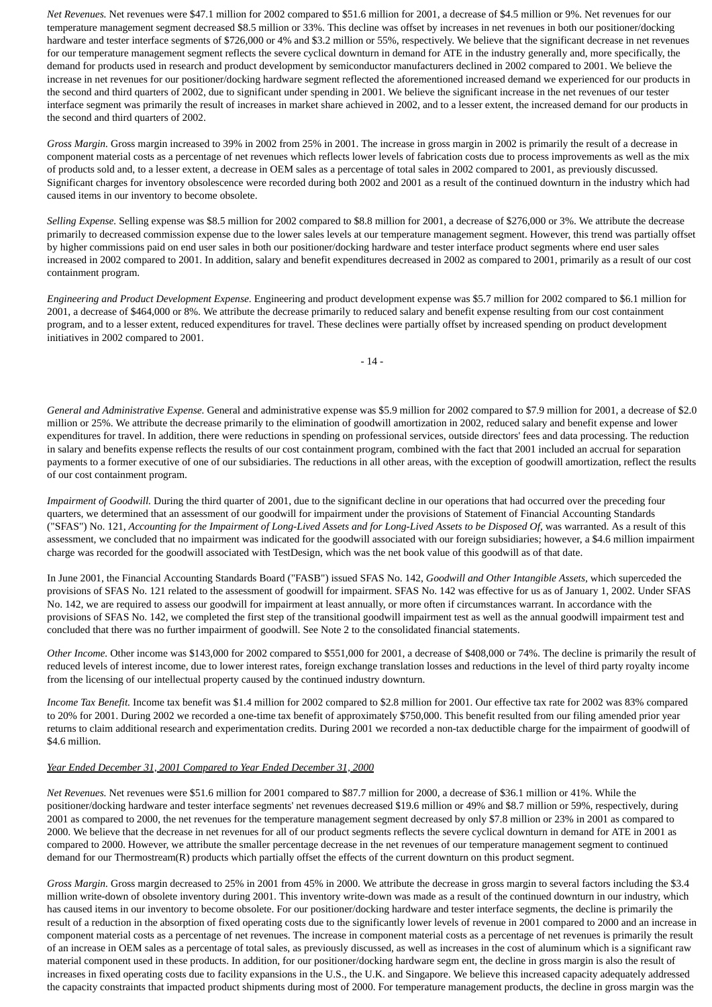*Net Revenues.* Net revenues were \$47.1 million for 2002 compared to \$51.6 million for 2001, a decrease of \$4.5 million or 9%. Net revenues for our temperature management segment decreased \$8.5 million or 33%. This decline was offset by increases in net revenues in both our positioner/docking hardware and tester interface segments of \$726,000 or 4% and \$3.2 million or 55%, respectively. We believe that the significant decrease in net revenues for our temperature management segment reflects the severe cyclical downturn in demand for ATE in the industry generally and, more specifically, the demand for products used in research and product development by semiconductor manufacturers declined in 2002 compared to 2001. We believe the increase in net revenues for our positioner/docking hardware segment reflected the aforementioned increased demand we experienced for our products in the second and third quarters of 2002, due to significant under spending in 2001. We believe the significant increase in the net revenues of our tester interface segment was primarily the result of increases in market share achieved in 2002, and to a lesser extent, the increased demand for our products in the second and third quarters of 2002.

*Gross Margin.* Gross margin increased to 39% in 2002 from 25% in 2001. The increase in gross margin in 2002 is primarily the result of a decrease in component material costs as a percentage of net revenues which reflects lower levels of fabrication costs due to process improvements as well as the mix of products sold and, to a lesser extent, a decrease in OEM sales as a percentage of total sales in 2002 compared to 2001, as previously discussed. Significant charges for inventory obsolescence were recorded during both 2002 and 2001 as a result of the continued downturn in the industry which had caused items in our inventory to become obsolete.

*Selling Expense.* Selling expense was \$8.5 million for 2002 compared to \$8.8 million for 2001, a decrease of \$276,000 or 3%. We attribute the decrease primarily to decreased commission expense due to the lower sales levels at our temperature management segment. However, this trend was partially offset by higher commissions paid on end user sales in both our positioner/docking hardware and tester interface product segments where end user sales increased in 2002 compared to 2001. In addition, salary and benefit expenditures decreased in 2002 as compared to 2001, primarily as a result of our cost containment program.

*Engineering and Product Development Expense.* Engineering and product development expense was \$5.7 million for 2002 compared to \$6.1 million for 2001, a decrease of \$464,000 or 8%. We attribute the decrease primarily to reduced salary and benefit expense resulting from our cost containment program, and to a lesser extent, reduced expenditures for travel. These declines were partially offset by increased spending on product development initiatives in 2002 compared to 2001.

- 14 -

*General and Administrative Expense.* General and administrative expense was \$5.9 million for 2002 compared to \$7.9 million for 2001, a decrease of \$2.0 million or 25%. We attribute the decrease primarily to the elimination of goodwill amortization in 2002, reduced salary and benefit expense and lower expenditures for travel. In addition, there were reductions in spending on professional services, outside directors' fees and data processing. The reduction in salary and benefits expense reflects the results of our cost containment program, combined with the fact that 2001 included an accrual for separation payments to a former executive of one of our subsidiaries. The reductions in all other areas, with the exception of goodwill amortization, reflect the results of our cost containment program.

*Impairment of Goodwill.* During the third quarter of 2001, due to the significant decline in our operations that had occurred over the preceding four quarters, we determined that an assessment of our goodwill for impairment under the provisions of Statement of Financial Accounting Standards ("SFAS") No. 121, *Accounting for the Impairment of Long-Lived Assets and for Long-Lived Assets to be Disposed Of*, was warranted. As a result of this assessment, we concluded that no impairment was indicated for the goodwill associated with our foreign subsidiaries; however, a \$4.6 million impairment charge was recorded for the goodwill associated with TestDesign, which was the net book value of this goodwill as of that date.

In June 2001, the Financial Accounting Standards Board ("FASB") issued SFAS No. 142, *Goodwill and Other Intangible Assets,* which superceded the provisions of SFAS No. 121 related to the assessment of goodwill for impairment. SFAS No. 142 was effective for us as of January 1, 2002. Under SFAS No. 142, we are required to assess our goodwill for impairment at least annually, or more often if circumstances warrant. In accordance with the provisions of SFAS No. 142, we completed the first step of the transitional goodwill impairment test as well as the annual goodwill impairment test and concluded that there was no further impairment of goodwill. See Note 2 to the consolidated financial statements.

*Other Income.* Other income was \$143,000 for 2002 compared to \$551,000 for 2001, a decrease of \$408,000 or 74%. The decline is primarily the result of reduced levels of interest income, due to lower interest rates, foreign exchange translation losses and reductions in the level of third party royalty income from the licensing of our intellectual property caused by the continued industry downturn.

*Income Tax Benefit.* Income tax benefit was \$1.4 million for 2002 compared to \$2.8 million for 2001. Our effective tax rate for 2002 was 83% compared to 20% for 2001. During 2002 we recorded a one-time tax benefit of approximately \$750,000. This benefit resulted from our filing amended prior year returns to claim additional research and experimentation credits. During 2001 we recorded a non-tax deductible charge for the impairment of goodwill of \$4.6 million.

### *Year Ended December 31, 2001 Compared to Year Ended December 31, 2000*

*Net Revenues.* Net revenues were \$51.6 million for 2001 compared to \$87.7 million for 2000, a decrease of \$36.1 million or 41%. While the positioner/docking hardware and tester interface segments' net revenues decreased \$19.6 million or 49% and \$8.7 million or 59%, respectively, during 2001 as compared to 2000, the net revenues for the temperature management segment decreased by only \$7.8 million or 23% in 2001 as compared to 2000. We believe that the decrease in net revenues for all of our product segments reflects the severe cyclical downturn in demand for ATE in 2001 as compared to 2000. However, we attribute the smaller percentage decrease in the net revenues of our temperature management segment to continued demand for our Thermostream(R) products which partially offset the effects of the current downturn on this product segment.

*Gross Margin.* Gross margin decreased to 25% in 2001 from 45% in 2000. We attribute the decrease in gross margin to several factors including the \$3.4 million write-down of obsolete inventory during 2001. This inventory write-down was made as a result of the continued downturn in our industry, which has caused items in our inventory to become obsolete. For our positioner/docking hardware and tester interface segments, the decline is primarily the result of a reduction in the absorption of fixed operating costs due to the significantly lower levels of revenue in 2001 compared to 2000 and an increase in component material costs as a percentage of net revenues. The increase in component material costs as a percentage of net revenues is primarily the result of an increase in OEM sales as a percentage of total sales, as previously discussed, as well as increases in the cost of aluminum which is a significant raw material component used in these products. In addition, for our positioner/docking hardware segm ent, the decline in gross margin is also the result of increases in fixed operating costs due to facility expansions in the U.S., the U.K. and Singapore. We believe this increased capacity adequately addressed the capacity constraints that impacted product shipments during most of 2000. For temperature management products, the decline in gross margin was the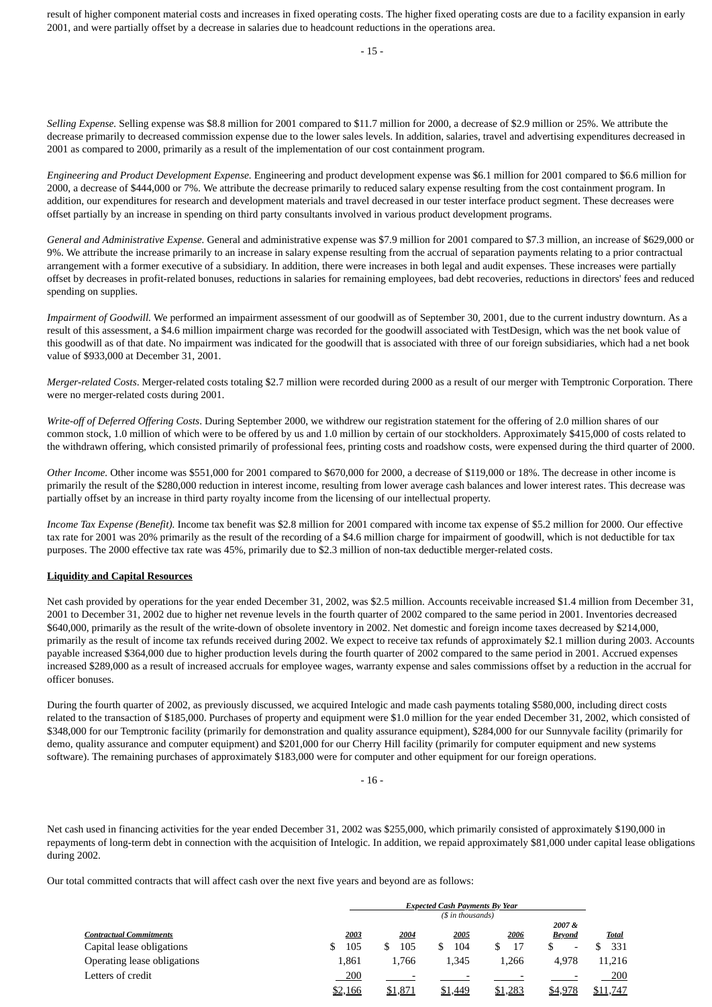result of higher component material costs and increases in fixed operating costs. The higher fixed operating costs are due to a facility expansion in early 2001, and were partially offset by a decrease in salaries due to headcount reductions in the operations area.

*Selling Expense.* Selling expense was \$8.8 million for 2001 compared to \$11.7 million for 2000, a decrease of \$2.9 million or 25%. We attribute the decrease primarily to decreased commission expense due to the lower sales levels. In addition, salaries, travel and advertising expenditures decreased in 2001 as compared to 2000, primarily as a result of the implementation of our cost containment program.

*Engineering and Product Development Expense.* Engineering and product development expense was \$6.1 million for 2001 compared to \$6.6 million for 2000, a decrease of \$444,000 or 7%. We attribute the decrease primarily to reduced salary expense resulting from the cost containment program. In addition, our expenditures for research and development materials and travel decreased in our tester interface product segment. These decreases were offset partially by an increase in spending on third party consultants involved in various product development programs.

*General and Administrative Expense.* General and administrative expense was \$7.9 million for 2001 compared to \$7.3 million, an increase of \$629,000 or 9%. We attribute the increase primarily to an increase in salary expense resulting from the accrual of separation payments relating to a prior contractual arrangement with a former executive of a subsidiary. In addition, there were increases in both legal and audit expenses. These increases were partially offset by decreases in profit-related bonuses, reductions in salaries for remaining employees, bad debt recoveries, reductions in directors' fees and reduced spending on supplies.

*Impairment of Goodwill.* We performed an impairment assessment of our goodwill as of September 30, 2001, due to the current industry downturn. As a result of this assessment, a \$4.6 million impairment charge was recorded for the goodwill associated with TestDesign, which was the net book value of this goodwill as of that date. No impairment was indicated for the goodwill that is associated with three of our foreign subsidiaries, which had a net book value of \$933,000 at December 31, 2001.

*Merger-related Costs*. Merger-related costs totaling \$2.7 million were recorded during 2000 as a result of our merger with Temptronic Corporation. There were no merger-related costs during 2001.

*Write-off of Deferred Offering Costs*. During September 2000, we withdrew our registration statement for the offering of 2.0 million shares of our common stock, 1.0 million of which were to be offered by us and 1.0 million by certain of our stockholders. Approximately \$415,000 of costs related to the withdrawn offering, which consisted primarily of professional fees, printing costs and roadshow costs, were expensed during the third quarter of 2000.

*Other Income.* Other income was \$551,000 for 2001 compared to \$670,000 for 2000, a decrease of \$119,000 or 18%. The decrease in other income is primarily the result of the \$280,000 reduction in interest income, resulting from lower average cash balances and lower interest rates. This decrease was partially offset by an increase in third party royalty income from the licensing of our intellectual property.

*Income Tax Expense (Benefit).* Income tax benefit was \$2.8 million for 2001 compared with income tax expense of \$5.2 million for 2000. Our effective tax rate for 2001 was 20% primarily as the result of the recording of a \$4.6 million charge for impairment of goodwill, which is not deductible for tax purposes. The 2000 effective tax rate was 45%, primarily due to \$2.3 million of non-tax deductible merger-related costs.

## **Liquidity and Capital Resources**

Net cash provided by operations for the year ended December 31, 2002, was \$2.5 million. Accounts receivable increased \$1.4 million from December 31, 2001 to December 31, 2002 due to higher net revenue levels in the fourth quarter of 2002 compared to the same period in 2001. Inventories decreased \$640,000, primarily as the result of the write-down of obsolete inventory in 2002. Net domestic and foreign income taxes decreased by \$214,000, primarily as the result of income tax refunds received during 2002. We expect to receive tax refunds of approximately \$2.1 million during 2003. Accounts payable increased \$364,000 due to higher production levels during the fourth quarter of 2002 compared to the same period in 2001. Accrued expenses increased \$289,000 as a result of increased accruals for employee wages, warranty expense and sales commissions offset by a reduction in the accrual for officer bonuses.

During the fourth quarter of 2002, as previously discussed, we acquired Intelogic and made cash payments totaling \$580,000, including direct costs related to the transaction of \$185,000. Purchases of property and equipment were \$1.0 million for the year ended December 31, 2002, which consisted of \$348,000 for our Temptronic facility (primarily for demonstration and quality assurance equipment), \$284,000 for our Sunnyvale facility (primarily for demo, quality assurance and computer equipment) and \$201,000 for our Cherry Hill facility (primarily for computer equipment and new systems software). The remaining purchases of approximately \$183,000 were for computer and other equipment for our foreign operations.

 $-16-$ 

Net cash used in financing activities for the year ended December 31, 2002 was \$255,000, which primarily consisted of approximately \$190,000 in repayments of long-term debt in connection with the acquisition of Intelogic. In addition, we repaid approximately \$81,000 under capital lease obligations during 2002.

Our total committed contracts that will affect cash over the next five years and beyond are as follows:

|                                | <b>Expected Cash Payments By Year</b> |         |         |         |                          |              |
|--------------------------------|---------------------------------------|---------|---------|---------|--------------------------|--------------|
|                                | (\$ in thousands)                     |         |         |         |                          |              |
|                                |                                       |         |         |         | 2007&                    |              |
| <b>Contractual Commitments</b> | 2003                                  | 2004    | 2005    | 2006    | <b>Beyond</b>            | <u>Total</u> |
| Capital lease obligations      | 105                                   | 105     | 104     | 17      | $\overline{\phantom{0}}$ | 331          |
| Operating lease obligations    | 1,861                                 | 1.766   | 1.345   | 1.266   | 4.978                    | 11,216       |
| Letters of credit              | 200                                   |         |         |         |                          | 200          |
|                                | \$2,166                               | \$1,871 | \$1,449 | \$1,283 | \$4,978                  | \$11,747     |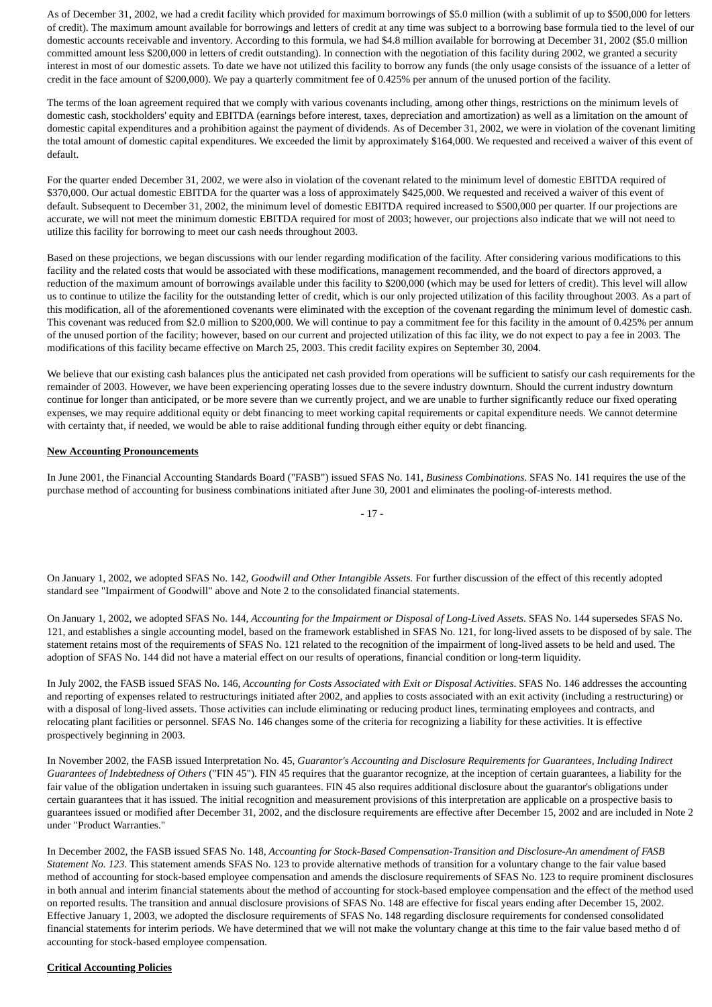As of December 31, 2002, we had a credit facility which provided for maximum borrowings of \$5.0 million (with a sublimit of up to \$500,000 for letters of credit). The maximum amount available for borrowings and letters of credit at any time was subject to a borrowing base formula tied to the level of our domestic accounts receivable and inventory. According to this formula, we had \$4.8 million available for borrowing at December 31, 2002 (\$5.0 million committed amount less \$200,000 in letters of credit outstanding). In connection with the negotiation of this facility during 2002, we granted a security interest in most of our domestic assets. To date we have not utilized this facility to borrow any funds (the only usage consists of the issuance of a letter of credit in the face amount of \$200,000). We pay a quarterly commitment fee of 0.425% per annum of the unused portion of the facility.

The terms of the loan agreement required that we comply with various covenants including, among other things, restrictions on the minimum levels of domestic cash, stockholders' equity and EBITDA (earnings before interest, taxes, depreciation and amortization) as well as a limitation on the amount of domestic capital expenditures and a prohibition against the payment of dividends. As of December 31, 2002, we were in violation of the covenant limiting the total amount of domestic capital expenditures. We exceeded the limit by approximately \$164,000. We requested and received a waiver of this event of default.

For the quarter ended December 31, 2002, we were also in violation of the covenant related to the minimum level of domestic EBITDA required of \$370,000. Our actual domestic EBITDA for the quarter was a loss of approximately \$425,000. We requested and received a waiver of this event of default. Subsequent to December 31, 2002, the minimum level of domestic EBITDA required increased to \$500,000 per quarter. If our projections are accurate, we will not meet the minimum domestic EBITDA required for most of 2003; however, our projections also indicate that we will not need to utilize this facility for borrowing to meet our cash needs throughout 2003.

Based on these projections, we began discussions with our lender regarding modification of the facility. After considering various modifications to this facility and the related costs that would be associated with these modifications, management recommended, and the board of directors approved, a reduction of the maximum amount of borrowings available under this facility to \$200,000 (which may be used for letters of credit). This level will allow us to continue to utilize the facility for the outstanding letter of credit, which is our only projected utilization of this facility throughout 2003. As a part of this modification, all of the aforementioned covenants were eliminated with the exception of the covenant regarding the minimum level of domestic cash. This covenant was reduced from \$2.0 million to \$200,000. We will continue to pay a commitment fee for this facility in the amount of 0.425% per annum of the unused portion of the facility; however, based on our current and projected utilization of this fac ility, we do not expect to pay a fee in 2003. The modifications of this facility became effective on March 25, 2003. This credit facility expires on September 30, 2004.

We believe that our existing cash balances plus the anticipated net cash provided from operations will be sufficient to satisfy our cash requirements for the remainder of 2003. However, we have been experiencing operating losses due to the severe industry downturn. Should the current industry downturn continue for longer than anticipated, or be more severe than we currently project, and we are unable to further significantly reduce our fixed operating expenses, we may require additional equity or debt financing to meet working capital requirements or capital expenditure needs. We cannot determine with certainty that, if needed, we would be able to raise additional funding through either equity or debt financing.

### **New Accounting Pronouncements**

In June 2001, the Financial Accounting Standards Board ("FASB") issued SFAS No. 141, *Business Combinations*. SFAS No. 141 requires the use of the purchase method of accounting for business combinations initiated after June 30, 2001 and eliminates the pooling-of-interests method.

- 17 -

On January 1, 2002, we adopted SFAS No. 142, *Goodwill and Other Intangible Assets.* For further discussion of the effect of this recently adopted standard see "Impairment of Goodwill" above and Note 2 to the consolidated financial statements.

On January 1, 2002, we adopted SFAS No. 144, *Accounting for the Impairment or Disposal of Long-Lived Assets*. SFAS No. 144 supersedes SFAS No. 121, and establishes a single accounting model, based on the framework established in SFAS No. 121, for long-lived assets to be disposed of by sale. The statement retains most of the requirements of SFAS No. 121 related to the recognition of the impairment of long-lived assets to be held and used. The adoption of SFAS No. 144 did not have a material effect on our results of operations, financial condition or long-term liquidity.

In July 2002, the FASB issued SFAS No. 146, *Accounting for Costs Associated with Exit or Disposal Activities*. SFAS No. 146 addresses the accounting and reporting of expenses related to restructurings initiated after 2002, and applies to costs associated with an exit activity (including a restructuring) or with a disposal of long-lived assets. Those activities can include eliminating or reducing product lines, terminating employees and contracts, and relocating plant facilities or personnel. SFAS No. 146 changes some of the criteria for recognizing a liability for these activities. It is effective prospectively beginning in 2003.

In November 2002, the FASB issued Interpretation No. 45, *Guarantor's Accounting and Disclosure Requirements for Guarantees, Including Indirect Guarantees of Indebtedness of Others* ("FIN 45"). FIN 45 requires that the guarantor recognize, at the inception of certain guarantees, a liability for the fair value of the obligation undertaken in issuing such guarantees. FIN 45 also requires additional disclosure about the guarantor's obligations under certain guarantees that it has issued. The initial recognition and measurement provisions of this interpretation are applicable on a prospective basis to guarantees issued or modified after December 31, 2002, and the disclosure requirements are effective after December 15, 2002 and are included in Note 2 under "Product Warranties."

In December 2002, the FASB issued SFAS No. 148, *Accounting for Stock-Based Compensation-Transition and Disclosure-An amendment of FASB Statement No. 123*. This statement amends SFAS No. 123 to provide alternative methods of transition for a voluntary change to the fair value based method of accounting for stock-based employee compensation and amends the disclosure requirements of SFAS No. 123 to require prominent disclosures in both annual and interim financial statements about the method of accounting for stock-based employee compensation and the effect of the method used on reported results. The transition and annual disclosure provisions of SFAS No. 148 are effective for fiscal years ending after December 15, 2002. Effective January 1, 2003, we adopted the disclosure requirements of SFAS No. 148 regarding disclosure requirements for condensed consolidated financial statements for interim periods. We have determined that we will not make the voluntary change at this time to the fair value based metho d of accounting for stock-based employee compensation.

### **Critical Accounting Policies**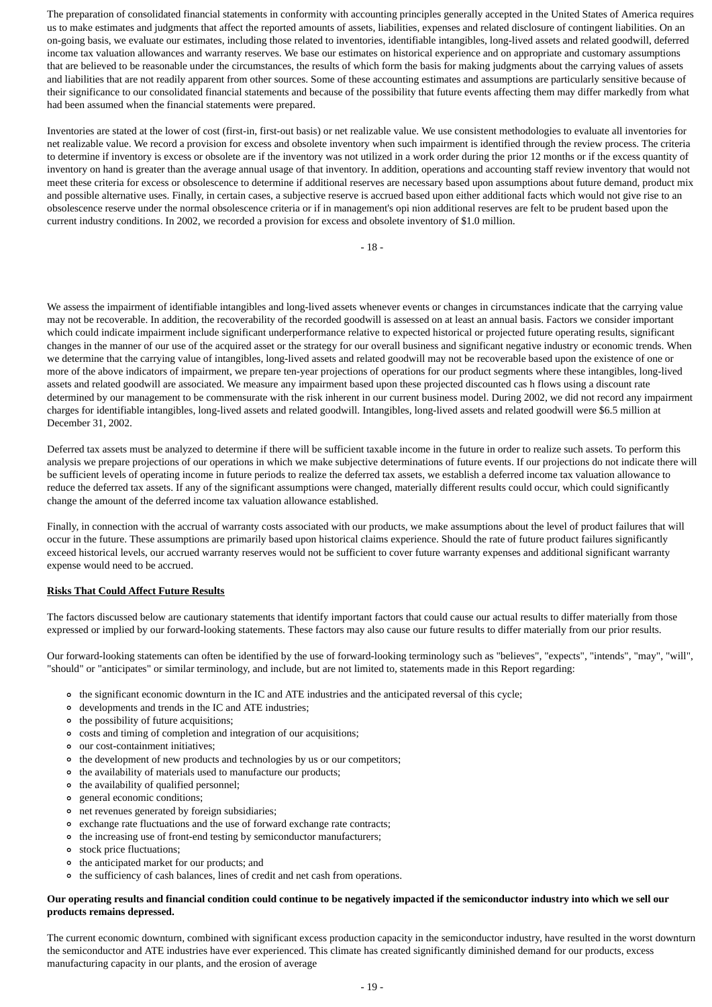The preparation of consolidated financial statements in conformity with accounting principles generally accepted in the United States of America requires us to make estimates and judgments that affect the reported amounts of assets, liabilities, expenses and related disclosure of contingent liabilities. On an on-going basis, we evaluate our estimates, including those related to inventories, identifiable intangibles, long-lived assets and related goodwill, deferred income tax valuation allowances and warranty reserves. We base our estimates on historical experience and on appropriate and customary assumptions that are believed to be reasonable under the circumstances, the results of which form the basis for making judgments about the carrying values of assets and liabilities that are not readily apparent from other sources. Some of these accounting estimates and assumptions are particularly sensitive because of their significance to our consolidated financial statements and because of the possibility that future events affecting them may differ markedly from what had been assumed when the financial statements were prepared.

Inventories are stated at the lower of cost (first-in, first-out basis) or net realizable value. We use consistent methodologies to evaluate all inventories for net realizable value. We record a provision for excess and obsolete inventory when such impairment is identified through the review process. The criteria to determine if inventory is excess or obsolete are if the inventory was not utilized in a work order during the prior 12 months or if the excess quantity of inventory on hand is greater than the average annual usage of that inventory. In addition, operations and accounting staff review inventory that would not meet these criteria for excess or obsolescence to determine if additional reserves are necessary based upon assumptions about future demand, product mix and possible alternative uses. Finally, in certain cases, a subjective reserve is accrued based upon either additional facts which would not give rise to an obsolescence reserve under the normal obsolescence criteria or if in management's opi nion additional reserves are felt to be prudent based upon the current industry conditions. In 2002, we recorded a provision for excess and obsolete inventory of \$1.0 million.

- 18 -

We assess the impairment of identifiable intangibles and long-lived assets whenever events or changes in circumstances indicate that the carrying value may not be recoverable. In addition, the recoverability of the recorded goodwill is assessed on at least an annual basis. Factors we consider important which could indicate impairment include significant underperformance relative to expected historical or projected future operating results, significant changes in the manner of our use of the acquired asset or the strategy for our overall business and significant negative industry or economic trends. When we determine that the carrying value of intangibles, long-lived assets and related goodwill may not be recoverable based upon the existence of one or more of the above indicators of impairment, we prepare ten-year projections of operations for our product segments where these intangibles, long-lived assets and related goodwill are associated. We measure any impairment based upon these projected discounted cas h flows using a discount rate determined by our management to be commensurate with the risk inherent in our current business model. During 2002, we did not record any impairment charges for identifiable intangibles, long-lived assets and related goodwill. Intangibles, long-lived assets and related goodwill were \$6.5 million at December 31, 2002.

Deferred tax assets must be analyzed to determine if there will be sufficient taxable income in the future in order to realize such assets. To perform this analysis we prepare projections of our operations in which we make subjective determinations of future events. If our projections do not indicate there will be sufficient levels of operating income in future periods to realize the deferred tax assets, we establish a deferred income tax valuation allowance to reduce the deferred tax assets. If any of the significant assumptions were changed, materially different results could occur, which could significantly change the amount of the deferred income tax valuation allowance established.

Finally, in connection with the accrual of warranty costs associated with our products, we make assumptions about the level of product failures that will occur in the future. These assumptions are primarily based upon historical claims experience. Should the rate of future product failures significantly exceed historical levels, our accrued warranty reserves would not be sufficient to cover future warranty expenses and additional significant warranty expense would need to be accrued.

## **Risks That Could Affect Future Results**

The factors discussed below are cautionary statements that identify important factors that could cause our actual results to differ materially from those expressed or implied by our forward-looking statements. These factors may also cause our future results to differ materially from our prior results.

Our forward-looking statements can often be identified by the use of forward-looking terminology such as "believes", "expects", "intends", "may", "will", "should" or "anticipates" or similar terminology, and include, but are not limited to, statements made in this Report regarding:

- the significant economic downturn in the IC and ATE industries and the anticipated reversal of this cycle;
- developments and trends in the IC and ATE industries;
- the possibility of future acquisitions;
- costs and timing of completion and integration of our acquisitions;  $\circ$
- our cost-containment initiatives;  $\circ$
- $\circ$ the development of new products and technologies by us or our competitors;
- $\circ$ the availability of materials used to manufacture our products;
- the availability of qualified personnel;  $\circ$
- general economic conditions;  $\circ$
- net revenues generated by foreign subsidiaries;
- $\circ$ exchange rate fluctuations and the use of forward exchange rate contracts;
- the increasing use of front-end testing by semiconductor manufacturers;
- stock price fluctuations;
- the anticipated market for our products; and
- the sufficiency of cash balances, lines of credit and net cash from operations.

### **Our operating results and financial condition could continue to be negatively impacted if the semiconductor industry into which we sell our products remains depressed.**

The current economic downturn, combined with significant excess production capacity in the semiconductor industry, have resulted in the worst downturn the semiconductor and ATE industries have ever experienced. This climate has created significantly diminished demand for our products, excess manufacturing capacity in our plants, and the erosion of average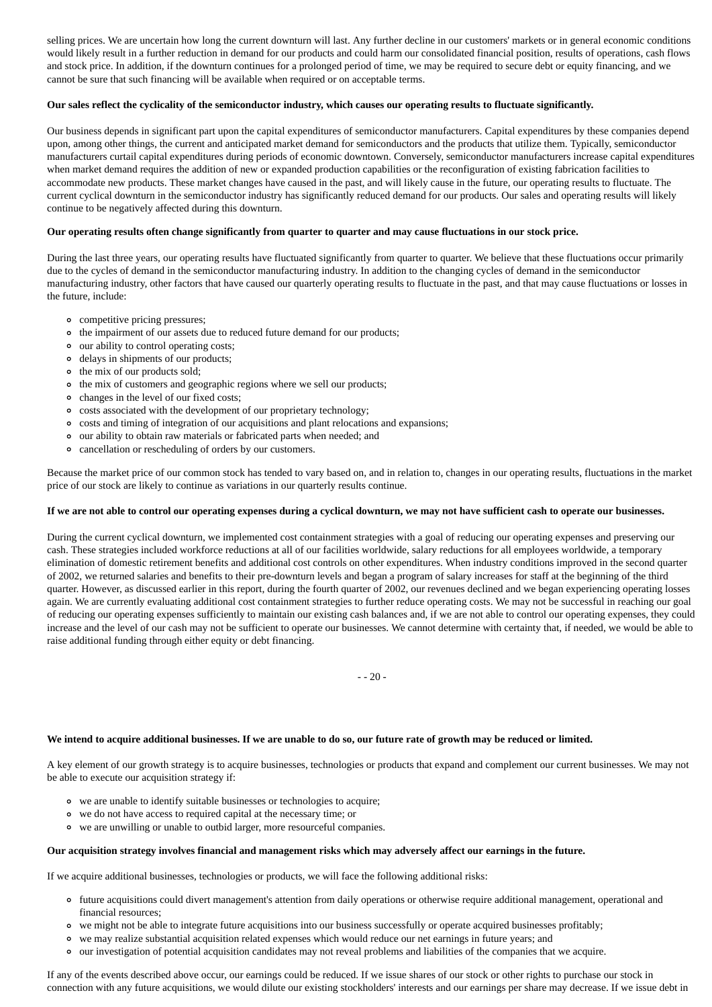selling prices. We are uncertain how long the current downturn will last. Any further decline in our customers' markets or in general economic conditions would likely result in a further reduction in demand for our products and could harm our consolidated financial position, results of operations, cash flows and stock price. In addition, if the downturn continues for a prolonged period of time, we may be required to secure debt or equity financing, and we cannot be sure that such financing will be available when required or on acceptable terms.

### **Our sales reflect the cyclicality of the semiconductor industry, which causes our operating results to fluctuate significantly.**

Our business depends in significant part upon the capital expenditures of semiconductor manufacturers. Capital expenditures by these companies depend upon, among other things, the current and anticipated market demand for semiconductors and the products that utilize them. Typically, semiconductor manufacturers curtail capital expenditures during periods of economic downtown. Conversely, semiconductor manufacturers increase capital expenditures when market demand requires the addition of new or expanded production capabilities or the reconfiguration of existing fabrication facilities to accommodate new products. These market changes have caused in the past, and will likely cause in the future, our operating results to fluctuate. The current cyclical downturn in the semiconductor industry has significantly reduced demand for our products. Our sales and operating results will likely continue to be negatively affected during this downturn.

### **Our operating results often change significantly from quarter to quarter and may cause fluctuations in our stock price.**

During the last three years, our operating results have fluctuated significantly from quarter to quarter. We believe that these fluctuations occur primarily due to the cycles of demand in the semiconductor manufacturing industry. In addition to the changing cycles of demand in the semiconductor manufacturing industry, other factors that have caused our quarterly operating results to fluctuate in the past, and that may cause fluctuations or losses in the future, include:

- competitive pricing pressures;
- the impairment of our assets due to reduced future demand for our products;
- our ability to control operating costs;
- delays in shipments of our products;
- the mix of our products sold;
- the mix of customers and geographic regions where we sell our products;
- changes in the level of our fixed costs;
- costs associated with the development of our proprietary technology;
- costs and timing of integration of our acquisitions and plant relocations and expansions;
- our ability to obtain raw materials or fabricated parts when needed; and
- cancellation or rescheduling of orders by our customers.

Because the market price of our common stock has tended to vary based on, and in relation to, changes in our operating results, fluctuations in the market price of our stock are likely to continue as variations in our quarterly results continue.

#### **If we are not able to control our operating expenses during a cyclical downturn, we may not have sufficient cash to operate our businesses.**

During the current cyclical downturn, we implemented cost containment strategies with a goal of reducing our operating expenses and preserving our cash. These strategies included workforce reductions at all of our facilities worldwide, salary reductions for all employees worldwide, a temporary elimination of domestic retirement benefits and additional cost controls on other expenditures. When industry conditions improved in the second quarter of 2002, we returned salaries and benefits to their pre-downturn levels and began a program of salary increases for staff at the beginning of the third quarter. However, as discussed earlier in this report, during the fourth quarter of 2002, our revenues declined and we began experiencing operating losses again. We are currently evaluating additional cost containment strategies to further reduce operating costs. We may not be successful in reaching our goal of reducing our operating expenses sufficiently to maintain our existing cash balances and, if we are not able to control our operating expenses, they could increase and the level of our cash may not be sufficient to operate our businesses. We cannot determine with certainty that, if needed, we would be able to raise additional funding through either equity or debt financing.

- - 20 -

### **We intend to acquire additional businesses. If we are unable to do so, our future rate of growth may be reduced or limited.**

A key element of our growth strategy is to acquire businesses, technologies or products that expand and complement our current businesses. We may not be able to execute our acquisition strategy if:

- we are unable to identify suitable businesses or technologies to acquire;
- we do not have access to required capital at the necessary time; or
- we are unwilling or unable to outbid larger, more resourceful companies.

#### **Our acquisition strategy involves financial and management risks which may adversely affect our earnings in the future.**

If we acquire additional businesses, technologies or products, we will face the following additional risks:

- future acquisitions could divert management's attention from daily operations or otherwise require additional management, operational and financial resources;
- we might not be able to integrate future acquisitions into our business successfully or operate acquired businesses profitably;
- we may realize substantial acquisition related expenses which would reduce our net earnings in future years; and
- our investigation of potential acquisition candidates may not reveal problems and liabilities of the companies that we acquire.

If any of the events described above occur, our earnings could be reduced. If we issue shares of our stock or other rights to purchase our stock in connection with any future acquisitions, we would dilute our existing stockholders' interests and our earnings per share may decrease. If we issue debt in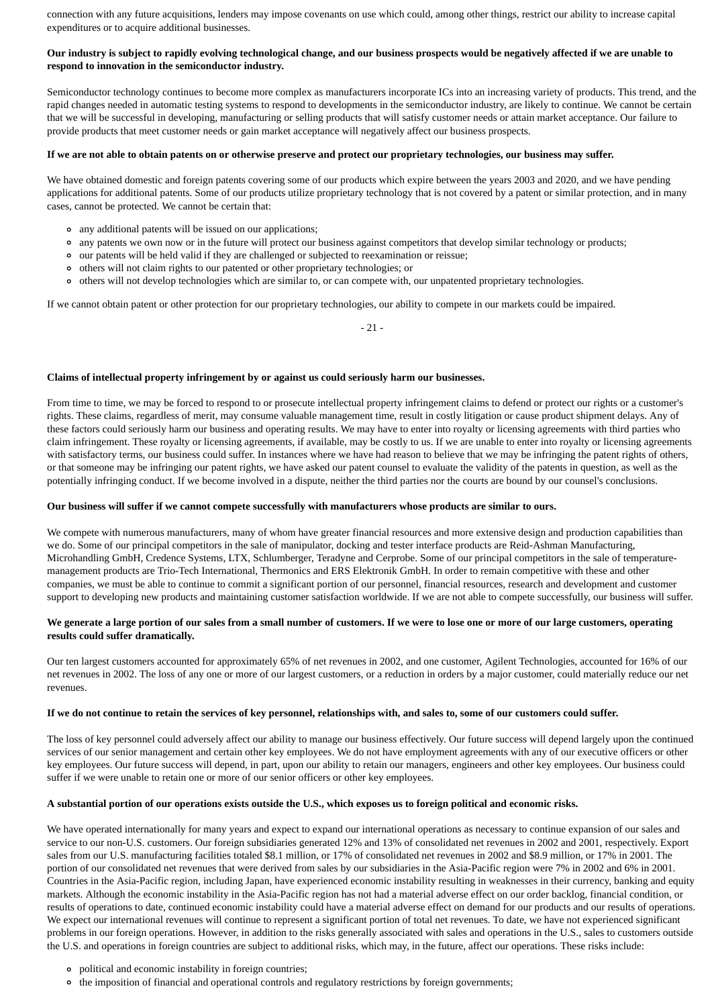connection with any future acquisitions, lenders may impose covenants on use which could, among other things, restrict our ability to increase capital expenditures or to acquire additional businesses.

### **Our industry is subject to rapidly evolving technological change, and our business prospects would be negatively affected if we are unable to respond to innovation in the semiconductor industry.**

Semiconductor technology continues to become more complex as manufacturers incorporate ICs into an increasing variety of products. This trend, and the rapid changes needed in automatic testing systems to respond to developments in the semiconductor industry, are likely to continue. We cannot be certain that we will be successful in developing, manufacturing or selling products that will satisfy customer needs or attain market acceptance. Our failure to provide products that meet customer needs or gain market acceptance will negatively affect our business prospects.

### **If we are not able to obtain patents on or otherwise preserve and protect our proprietary technologies, our business may suffer.**

We have obtained domestic and foreign patents covering some of our products which expire between the years 2003 and 2020, and we have pending applications for additional patents. Some of our products utilize proprietary technology that is not covered by a patent or similar protection, and in many cases, cannot be protected. We cannot be certain that:

- any additional patents will be issued on our applications;
- any patents we own now or in the future will protect our business against competitors that develop similar technology or products;
- our patents will be held valid if they are challenged or subjected to reexamination or reissue;
- others will not claim rights to our patented or other proprietary technologies; or
- others will not develop technologies which are similar to, or can compete with, our unpatented proprietary technologies.

If we cannot obtain patent or other protection for our proprietary technologies, our ability to compete in our markets could be impaired.

- 21 -

### **Claims of intellectual property infringement by or against us could seriously harm our businesses.**

From time to time, we may be forced to respond to or prosecute intellectual property infringement claims to defend or protect our rights or a customer's rights. These claims, regardless of merit, may consume valuable management time, result in costly litigation or cause product shipment delays. Any of these factors could seriously harm our business and operating results. We may have to enter into royalty or licensing agreements with third parties who claim infringement. These royalty or licensing agreements, if available, may be costly to us. If we are unable to enter into royalty or licensing agreements with satisfactory terms, our business could suffer. In instances where we have had reason to believe that we may be infringing the patent rights of others, or that someone may be infringing our patent rights, we have asked our patent counsel to evaluate the validity of the patents in question, as well as the potentially infringing conduct. If we become involved in a dispute, neither the third parties nor the courts are bound by our counsel's conclusions.

#### **Our business will suffer if we cannot compete successfully with manufacturers whose products are similar to ours.**

We compete with numerous manufacturers, many of whom have greater financial resources and more extensive design and production capabilities than we do. Some of our principal competitors in the sale of manipulator, docking and tester interface products are Reid-Ashman Manufacturing, Microhandling GmbH, Credence Systems, LTX, Schlumberger, Teradyne and Cerprobe. Some of our principal competitors in the sale of temperaturemanagement products are Trio-Tech International, Thermonics and ERS Elektronik GmbH. In order to remain competitive with these and other companies, we must be able to continue to commit a significant portion of our personnel, financial resources, research and development and customer support to developing new products and maintaining customer satisfaction worldwide. If we are not able to compete successfully, our business will suffer.

### **We generate a large portion of our sales from a small number of customers. If we were to lose one or more of our large customers, operating results could suffer dramatically.**

Our ten largest customers accounted for approximately 65% of net revenues in 2002, and one customer, Agilent Technologies, accounted for 16% of our net revenues in 2002. The loss of any one or more of our largest customers, or a reduction in orders by a major customer, could materially reduce our net revenues.

### **If we do not continue to retain the services of key personnel, relationships with, and sales to, some of our customers could suffer.**

The loss of key personnel could adversely affect our ability to manage our business effectively. Our future success will depend largely upon the continued services of our senior management and certain other key employees. We do not have employment agreements with any of our executive officers or other key employees. Our future success will depend, in part, upon our ability to retain our managers, engineers and other key employees. Our business could suffer if we were unable to retain one or more of our senior officers or other key employees.

### **A substantial portion of our operations exists outside the U.S., which exposes us to foreign political and economic risks.**

We have operated internationally for many years and expect to expand our international operations as necessary to continue expansion of our sales and service to our non-U.S. customers. Our foreign subsidiaries generated 12% and 13% of consolidated net revenues in 2002 and 2001, respectively. Export sales from our U.S. manufacturing facilities totaled \$8.1 million, or 17% of consolidated net revenues in 2002 and \$8.9 million, or 17% in 2001. The portion of our consolidated net revenues that were derived from sales by our subsidiaries in the Asia-Pacific region were 7% in 2002 and 6% in 2001. Countries in the Asia-Pacific region, including Japan, have experienced economic instability resulting in weaknesses in their currency, banking and equity markets. Although the economic instability in the Asia-Pacific region has not had a material adverse effect on our order backlog, financial condition, or results of operations to date, continued economic instability could have a material adverse effect on demand for our products and our results of operations. We expect our international revenues will continue to represent a significant portion of total net revenues. To date, we have not experienced significant problems in our foreign operations. However, in addition to the risks generally associated with sales and operations in the U.S., sales to customers outside the U.S. and operations in foreign countries are subject to additional risks, which may, in the future, affect our operations. These risks include:

- political and economic instability in foreign countries;
- the imposition of financial and operational controls and regulatory restrictions by foreign governments;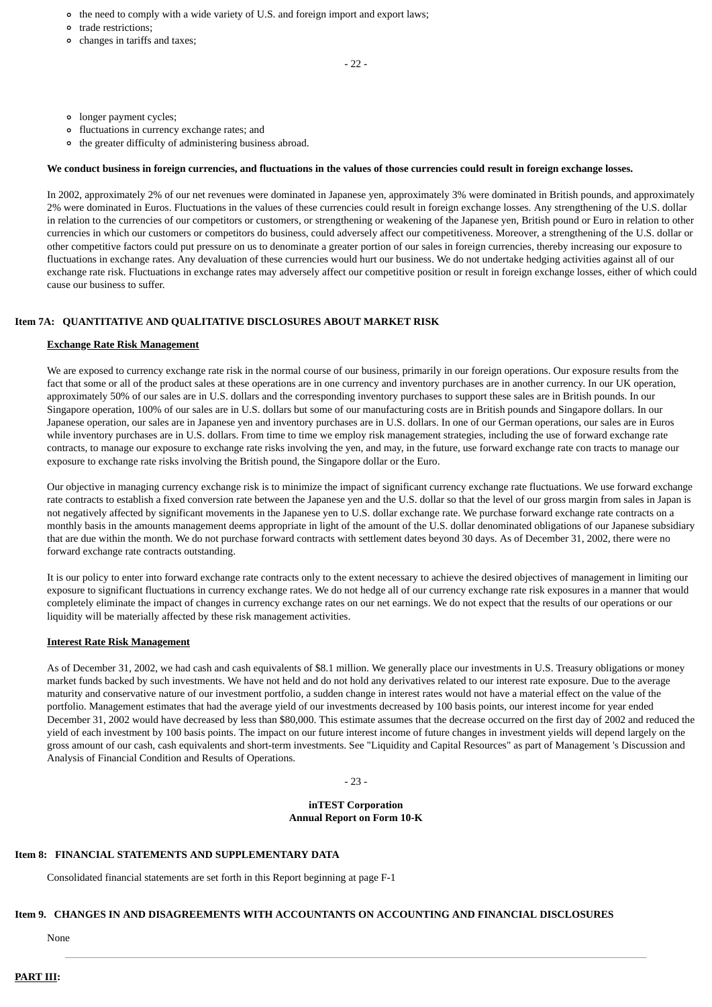- the need to comply with a wide variety of U.S. and foreign import and export laws;
- trade restrictions;
- changes in tariffs and taxes;

- 22 -

- longer payment cycles;
- fluctuations in currency exchange rates; and
- the greater difficulty of administering business abroad.

# **We conduct business in foreign currencies, and fluctuations in the values of those currencies could result in foreign exchange losses.**

In 2002, approximately 2% of our net revenues were dominated in Japanese yen, approximately 3% were dominated in British pounds, and approximately 2% were dominated in Euros. Fluctuations in the values of these currencies could result in foreign exchange losses. Any strengthening of the U.S. dollar in relation to the currencies of our competitors or customers, or strengthening or weakening of the Japanese yen, British pound or Euro in relation to other currencies in which our customers or competitors do business, could adversely affect our competitiveness. Moreover, a strengthening of the U.S. dollar or other competitive factors could put pressure on us to denominate a greater portion of our sales in foreign currencies, thereby increasing our exposure to fluctuations in exchange rates. Any devaluation of these currencies would hurt our business. We do not undertake hedging activities against all of our exchange rate risk. Fluctuations in exchange rates may adversely affect our competitive position or result in foreign exchange losses, either of which could cause our business to suffer.

# **Item 7A: QUANTITATIVE AND QUALITATIVE DISCLOSURES ABOUT MARKET RISK**

## **Exchange Rate Risk Management**

We are exposed to currency exchange rate risk in the normal course of our business, primarily in our foreign operations. Our exposure results from the fact that some or all of the product sales at these operations are in one currency and inventory purchases are in another currency. In our UK operation, approximately 50% of our sales are in U.S. dollars and the corresponding inventory purchases to support these sales are in British pounds. In our Singapore operation, 100% of our sales are in U.S. dollars but some of our manufacturing costs are in British pounds and Singapore dollars. In our Japanese operation, our sales are in Japanese yen and inventory purchases are in U.S. dollars. In one of our German operations, our sales are in Euros while inventory purchases are in U.S. dollars. From time to time we employ risk management strategies, including the use of forward exchange rate contracts, to manage our exposure to exchange rate risks involving the yen, and may, in the future, use forward exchange rate con tracts to manage our exposure to exchange rate risks involving the British pound, the Singapore dollar or the Euro.

Our objective in managing currency exchange risk is to minimize the impact of significant currency exchange rate fluctuations. We use forward exchange rate contracts to establish a fixed conversion rate between the Japanese yen and the U.S. dollar so that the level of our gross margin from sales in Japan is not negatively affected by significant movements in the Japanese yen to U.S. dollar exchange rate. We purchase forward exchange rate contracts on a monthly basis in the amounts management deems appropriate in light of the amount of the U.S. dollar denominated obligations of our Japanese subsidiary that are due within the month. We do not purchase forward contracts with settlement dates beyond 30 days. As of December 31, 2002, there were no forward exchange rate contracts outstanding.

It is our policy to enter into forward exchange rate contracts only to the extent necessary to achieve the desired objectives of management in limiting our exposure to significant fluctuations in currency exchange rates. We do not hedge all of our currency exchange rate risk exposures in a manner that would completely eliminate the impact of changes in currency exchange rates on our net earnings. We do not expect that the results of our operations or our liquidity will be materially affected by these risk management activities.

## **Interest Rate Risk Management**

As of December 31, 2002, we had cash and cash equivalents of \$8.1 million. We generally place our investments in U.S. Treasury obligations or money market funds backed by such investments. We have not held and do not hold any derivatives related to our interest rate exposure. Due to the average maturity and conservative nature of our investment portfolio, a sudden change in interest rates would not have a material effect on the value of the portfolio. Management estimates that had the average yield of our investments decreased by 100 basis points, our interest income for year ended December 31, 2002 would have decreased by less than \$80,000. This estimate assumes that the decrease occurred on the first day of 2002 and reduced the yield of each investment by 100 basis points. The impact on our future interest income of future changes in investment yields will depend largely on the gross amount of our cash, cash equivalents and short-term investments. See "Liquidity and Capital Resources" as part of Management 's Discussion and Analysis of Financial Condition and Results of Operations.

- 23 -

**inTEST Corporation Annual Report on Form 10-K**

## **Item 8: FINANCIAL STATEMENTS AND SUPPLEMENTARY DATA**

Consolidated financial statements are set forth in this Report beginning at page F-1

# **Item 9. CHANGES IN AND DISAGREEMENTS WITH ACCOUNTANTS ON ACCOUNTING AND FINANCIAL DISCLOSURES**

None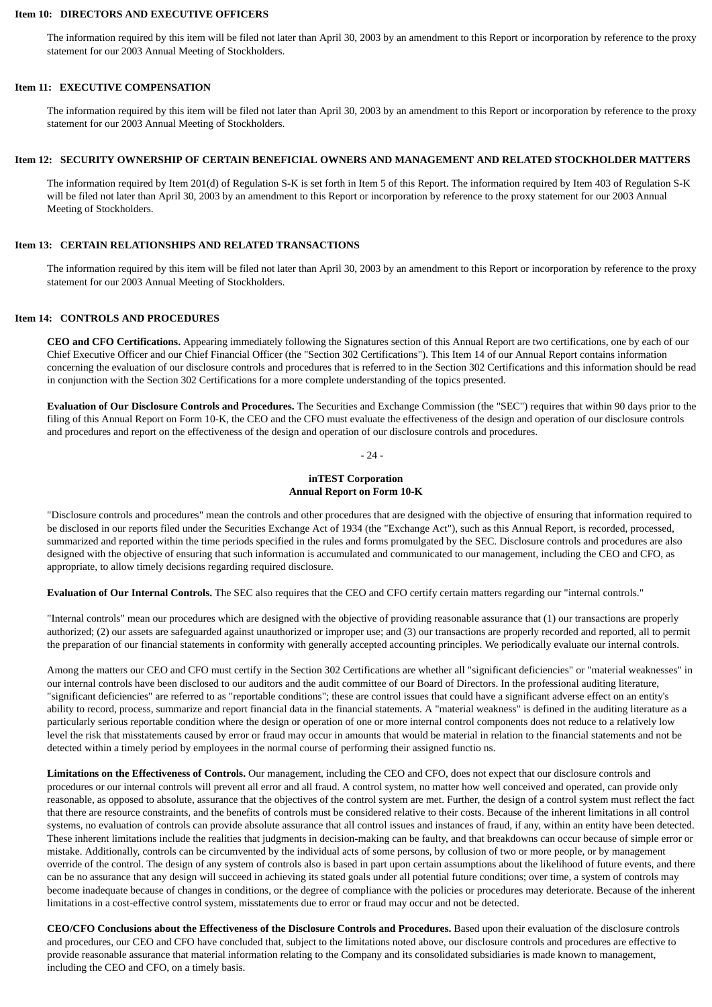### **Item 10: DIRECTORS AND EXECUTIVE OFFICERS**

The information required by this item will be filed not later than April 30, 2003 by an amendment to this Report or incorporation by reference to the proxy statement for our 2003 Annual Meeting of Stockholders.

#### **Item 11: EXECUTIVE COMPENSATION**

The information required by this item will be filed not later than April 30, 2003 by an amendment to this Report or incorporation by reference to the proxy statement for our 2003 Annual Meeting of Stockholders.

### **Item 12: SECURITY OWNERSHIP OF CERTAIN BENEFICIAL OWNERS AND MANAGEMENT AND RELATED STOCKHOLDER MATTERS**

The information required by Item 201(d) of Regulation S-K is set forth in Item 5 of this Report. The information required by Item 403 of Regulation S-K will be filed not later than April 30, 2003 by an amendment to this Report or incorporation by reference to the proxy statement for our 2003 Annual Meeting of Stockholders.

### **Item 13: CERTAIN RELATIONSHIPS AND RELATED TRANSACTIONS**

The information required by this item will be filed not later than April 30, 2003 by an amendment to this Report or incorporation by reference to the proxy statement for our 2003 Annual Meeting of Stockholders.

### **Item 14: CONTROLS AND PROCEDURES**

**CEO and CFO Certifications.** Appearing immediately following the Signatures section of this Annual Report are two certifications, one by each of our Chief Executive Officer and our Chief Financial Officer (the "Section 302 Certifications"). This Item 14 of our Annual Report contains information concerning the evaluation of our disclosure controls and procedures that is referred to in the Section 302 Certifications and this information should be read in conjunction with the Section 302 Certifications for a more complete understanding of the topics presented.

**Evaluation of Our Disclosure Controls and Procedures.** The Securities and Exchange Commission (the "SEC") requires that within 90 days prior to the filing of this Annual Report on Form 10-K, the CEO and the CFO must evaluate the effectiveness of the design and operation of our disclosure controls and procedures and report on the effectiveness of the design and operation of our disclosure controls and procedures.

- 24 -

#### **inTEST Corporation Annual Report on Form 10-K**

"Disclosure controls and procedures" mean the controls and other procedures that are designed with the objective of ensuring that information required to be disclosed in our reports filed under the Securities Exchange Act of 1934 (the "Exchange Act"), such as this Annual Report, is recorded, processed, summarized and reported within the time periods specified in the rules and forms promulgated by the SEC. Disclosure controls and procedures are also designed with the objective of ensuring that such information is accumulated and communicated to our management, including the CEO and CFO, as appropriate, to allow timely decisions regarding required disclosure.

**Evaluation of Our Internal Controls.** The SEC also requires that the CEO and CFO certify certain matters regarding our "internal controls."

"Internal controls" mean our procedures which are designed with the objective of providing reasonable assurance that (1) our transactions are properly authorized; (2) our assets are safeguarded against unauthorized or improper use; and (3) our transactions are properly recorded and reported, all to permit the preparation of our financial statements in conformity with generally accepted accounting principles. We periodically evaluate our internal controls.

Among the matters our CEO and CFO must certify in the Section 302 Certifications are whether all "significant deficiencies" or "material weaknesses" in our internal controls have been disclosed to our auditors and the audit committee of our Board of Directors. In the professional auditing literature, "significant deficiencies" are referred to as "reportable conditions"; these are control issues that could have a significant adverse effect on an entity's ability to record, process, summarize and report financial data in the financial statements. A "material weakness" is defined in the auditing literature as a particularly serious reportable condition where the design or operation of one or more internal control components does not reduce to a relatively low level the risk that misstatements caused by error or fraud may occur in amounts that would be material in relation to the financial statements and not be detected within a timely period by employees in the normal course of performing their assigned functio ns.

**Limitations on the Effectiveness of Controls.** Our management, including the CEO and CFO, does not expect that our disclosure controls and procedures or our internal controls will prevent all error and all fraud. A control system, no matter how well conceived and operated, can provide only reasonable, as opposed to absolute, assurance that the objectives of the control system are met. Further, the design of a control system must reflect the fact that there are resource constraints, and the benefits of controls must be considered relative to their costs. Because of the inherent limitations in all control systems, no evaluation of controls can provide absolute assurance that all control issues and instances of fraud, if any, within an entity have been detected. These inherent limitations include the realities that judgments in decision-making can be faulty, and that breakdowns can occur because of simple error or mistake. Additionally, controls can be circumvented by the individual acts of some persons, by collusion of two or more people, or by management override of the control. The design of any system of controls also is based in part upon certain assumptions about the likelihood of future events, and there can be no assurance that any design will succeed in achieving its stated goals under all potential future conditions; over time, a system of controls may become inadequate because of changes in conditions, or the degree of compliance with the policies or procedures may deteriorate. Because of the inherent limitations in a cost-effective control system, misstatements due to error or fraud may occur and not be detected.

**CEO/CFO Conclusions about the Effectiveness of the Disclosure Controls and Procedures.** Based upon their evaluation of the disclosure controls and procedures, our CEO and CFO have concluded that, subject to the limitations noted above, our disclosure controls and procedures are effective to provide reasonable assurance that material information relating to the Company and its consolidated subsidiaries is made known to management, including the CEO and CFO, on a timely basis.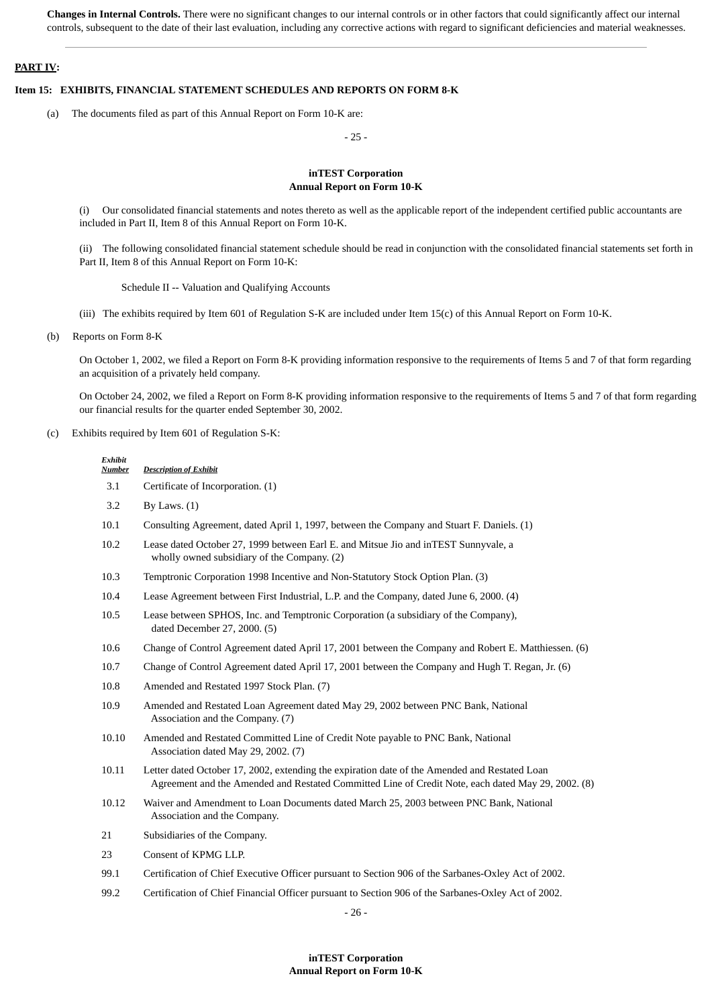**Changes in Internal Controls.** There were no significant changes to our internal controls or in other factors that could significantly affect our internal controls, subsequent to the date of their last evaluation, including any corrective actions with regard to significant deficiencies and material weaknesses.

### **PART IV:**

#### **Item 15: EXHIBITS, FINANCIAL STATEMENT SCHEDULES AND REPORTS ON FORM 8-K**

(a) The documents filed as part of this Annual Report on Form 10-K are:

- 25 -

#### **inTEST Corporation Annual Report on Form 10-K**

(i) Our consolidated financial statements and notes thereto as well as the applicable report of the independent certified public accountants are included in Part II, Item 8 of this Annual Report on Form 10-K.

(ii) The following consolidated financial statement schedule should be read in conjunction with the consolidated financial statements set forth in Part II, Item 8 of this Annual Report on Form 10-K:

Schedule II -- Valuation and Qualifying Accounts

(iii) The exhibits required by Item 601 of Regulation S-K are included under Item 15(c) of this Annual Report on Form 10-K.

(b) Reports on Form 8-K

*Exhibit*

On October 1, 2002, we filed a Report on Form 8-K providing information responsive to the requirements of Items 5 and 7 of that form regarding an acquisition of a privately held company.

On October 24, 2002, we filed a Report on Form 8-K providing information responsive to the requirements of Items 5 and 7 of that form regarding our financial results for the quarter ended September 30, 2002.

(c) Exhibits required by Item 601 of Regulation S-K:

| <b>Number</b> | <b>Description of Exhibit</b>                                                                                                                                                                       |
|---------------|-----------------------------------------------------------------------------------------------------------------------------------------------------------------------------------------------------|
| 3.1           | Certificate of Incorporation. (1)                                                                                                                                                                   |
| 3.2           | By Laws. $(1)$                                                                                                                                                                                      |
| 10.1          | Consulting Agreement, dated April 1, 1997, between the Company and Stuart F. Daniels. (1)                                                                                                           |
| 10.2          | Lease dated October 27, 1999 between Earl E. and Mitsue Jio and in TEST Sunnyvale, a<br>wholly owned subsidiary of the Company. (2)                                                                 |
| 10.3          | Temptronic Corporation 1998 Incentive and Non-Statutory Stock Option Plan. (3)                                                                                                                      |
| 10.4          | Lease Agreement between First Industrial, L.P. and the Company, dated June 6, 2000. (4)                                                                                                             |
| 10.5          | Lease between SPHOS, Inc. and Temptronic Corporation (a subsidiary of the Company),<br>dated December 27, 2000. (5)                                                                                 |
| 10.6          | Change of Control Agreement dated April 17, 2001 between the Company and Robert E. Matthiessen. (6)                                                                                                 |
| 10.7          | Change of Control Agreement dated April 17, 2001 between the Company and Hugh T. Regan, Jr. (6)                                                                                                     |
| 10.8          | Amended and Restated 1997 Stock Plan. (7)                                                                                                                                                           |
| 10.9          | Amended and Restated Loan Agreement dated May 29, 2002 between PNC Bank, National<br>Association and the Company. (7)                                                                               |
| 10.10         | Amended and Restated Committed Line of Credit Note payable to PNC Bank, National<br>Association dated May 29, 2002. (7)                                                                             |
| 10.11         | Letter dated October 17, 2002, extending the expiration date of the Amended and Restated Loan<br>Agreement and the Amended and Restated Committed Line of Credit Note, each dated May 29, 2002. (8) |
| 10.12         | Waiver and Amendment to Loan Documents dated March 25, 2003 between PNC Bank, National<br>Association and the Company.                                                                              |
| 21            | Subsidiaries of the Company.                                                                                                                                                                        |
| 23            | Consent of KPMG LLP.                                                                                                                                                                                |
| 99.1          | Certification of Chief Executive Officer pursuant to Section 906 of the Sarbanes-Oxley Act of 2002.                                                                                                 |
| 99.2          | Certification of Chief Financial Officer pursuant to Section 906 of the Sarbanes-Oxley Act of 2002.                                                                                                 |

- 26 -

### **inTEST Corporation Annual Report on Form 10-K**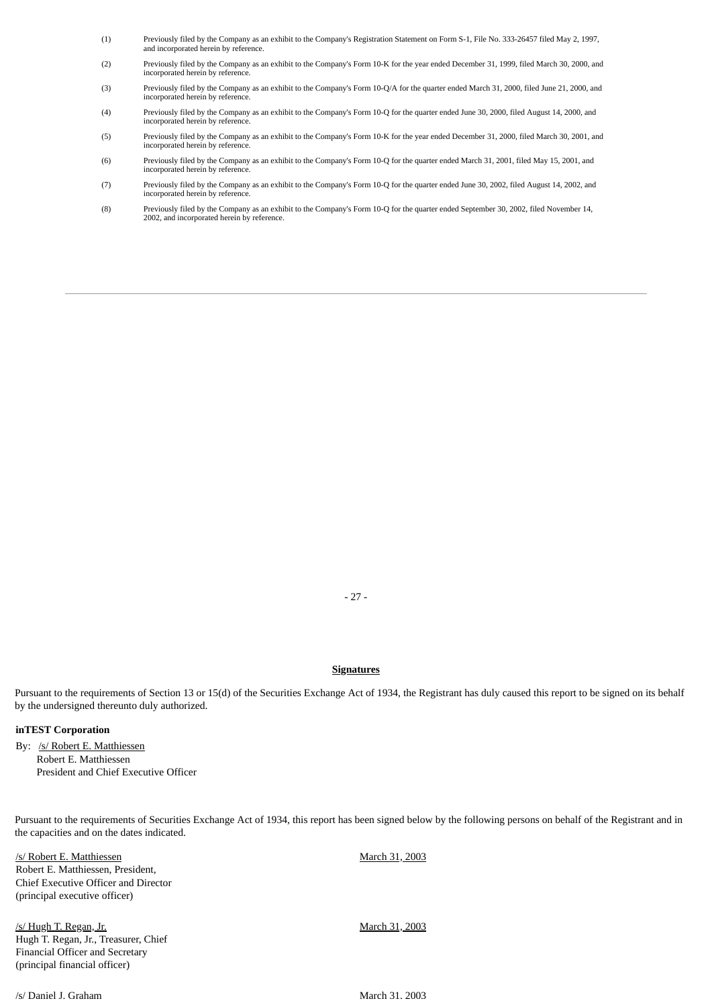- (1) Previously filed by the Company as an exhibit to the Company's Registration Statement on Form S-1, File No. 333-26457 filed May 2, 1997, and incorporated herein by reference.
- (2) Previously filed by the Company as an exhibit to the Company's Form 10-K for the year ended December 31, 1999, filed March 30, 2000, and incorporated herein by reference.
- (3) Previously filed by the Company as an exhibit to the Company's Form 10-Q/A for the quarter ended March 31, 2000, filed June 21, 2000, and incorporated herein by reference.
- (4) Previously filed by the Company as an exhibit to the Company's Form 10-Q for the quarter ended June 30, 2000, filed August 14, 2000, and incorporated herein by reference.
- (5) Previously filed by the Company as an exhibit to the Company's Form 10-K for the year ended December 31, 2000, filed March 30, 2001, and incorporated herein by reference.
- (6) Previously filed by the Company as an exhibit to the Company's Form 10-Q for the quarter ended March 31, 2001, filed May 15, 2001, and incorporated herein by reference.
- (7) Previously filed by the Company as an exhibit to the Company's Form 10-Q for the quarter ended June 30, 2002, filed August 14, 2002, and incorporated herein by reference.
- (8) Previously filed by the Company as an exhibit to the Company's Form 10-Q for the quarter ended September 30, 2002, filed November 14, 2002, and incorporated herein by reference.

- 27 -

#### **Signatures**

Pursuant to the requirements of Section 13 or 15(d) of the Securities Exchange Act of 1934, the Registrant has duly caused this report to be signed on its behalf by the undersigned thereunto duly authorized.

### **inTEST Corporation**

By: /s/ Robert E. Matthiessen Robert E. Matthiessen President and Chief Executive Officer

Pursuant to the requirements of Securities Exchange Act of 1934, this report has been signed below by the following persons on behalf of the Registrant and in the capacities and on the dates indicated.

/s/ Robert E. Matthiessen Robert E. Matthiessen, President, Chief Executive Officer and Director (principal executive officer) March 31, 2003 /s/ Hugh T. Regan, Jr. Hugh T. Regan, Jr., Treasurer, Chief Financial Officer and Secretary (principal financial officer) March 31, 2003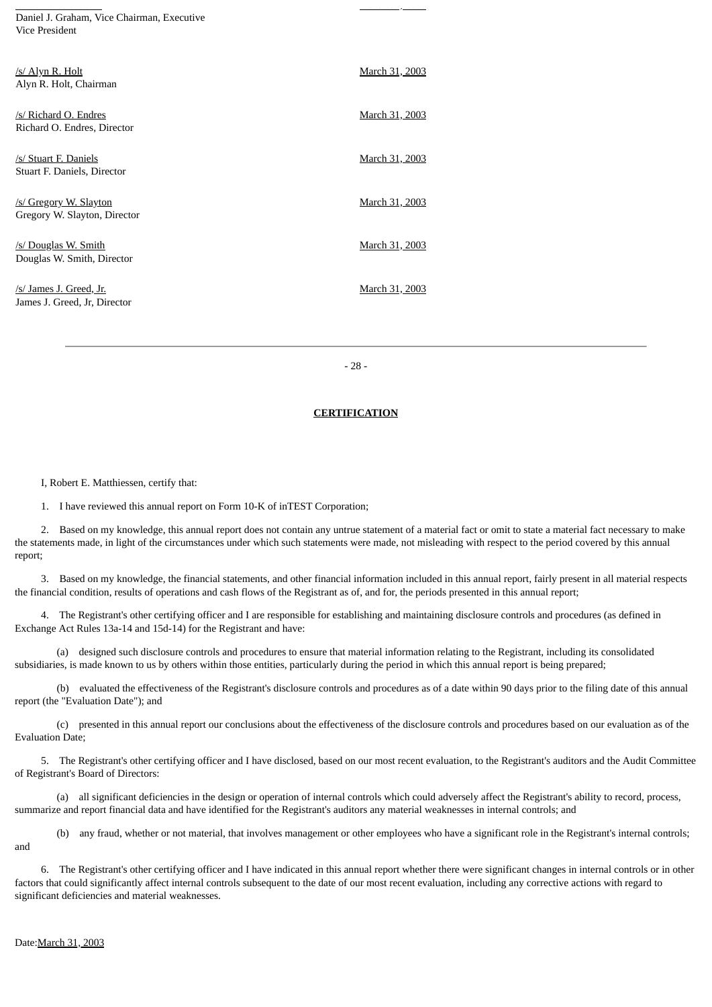Daniel J. Graham, Vice Chairman, Executive Vice President

/s/ Da e J. G a a

| /s/ Alyn R. Holt<br>Alyn R. Holt, Chairman              | March 31, 2003 |
|---------------------------------------------------------|----------------|
| /s/ Richard O. Endres<br>Richard O. Endres, Director    | March 31, 2003 |
| /s/ Stuart F. Daniels<br>Stuart F. Daniels, Director    | March 31, 2003 |
| /s/ Gregory W. Slayton<br>Gregory W. Slayton, Director  | March 31, 2003 |
| /s/ Douglas W. Smith<br>Douglas W. Smith, Director      | March 31, 2003 |
| /s/ James J. Greed, Jr.<br>James J. Greed, Jr, Director | March 31, 2003 |

- 28 -

<u>. . . . , . . . .</u>

#### **CERTIFICATION**

I, Robert E. Matthiessen, certify that:

1. I have reviewed this annual report on Form 10-K of inTEST Corporation;

 2. Based on my knowledge, this annual report does not contain any untrue statement of a material fact or omit to state a material fact necessary to make the statements made, in light of the circumstances under which such statements were made, not misleading with respect to the period covered by this annual report;

 3. Based on my knowledge, the financial statements, and other financial information included in this annual report, fairly present in all material respects the financial condition, results of operations and cash flows of the Registrant as of, and for, the periods presented in this annual report;

 4. The Registrant's other certifying officer and I are responsible for establishing and maintaining disclosure controls and procedures (as defined in Exchange Act Rules 13a-14 and 15d-14) for the Registrant and have:

 (a) designed such disclosure controls and procedures to ensure that material information relating to the Registrant, including its consolidated subsidiaries, is made known to us by others within those entities, particularly during the period in which this annual report is being prepared;

 (b) evaluated the effectiveness of the Registrant's disclosure controls and procedures as of a date within 90 days prior to the filing date of this annual report (the "Evaluation Date"); and

 (c) presented in this annual report our conclusions about the effectiveness of the disclosure controls and procedures based on our evaluation as of the Evaluation Date;

 5. The Registrant's other certifying officer and I have disclosed, based on our most recent evaluation, to the Registrant's auditors and the Audit Committee of Registrant's Board of Directors:

 (a) all significant deficiencies in the design or operation of internal controls which could adversely affect the Registrant's ability to record, process, summarize and report financial data and have identified for the Registrant's auditors any material weaknesses in internal controls; and

 (b) any fraud, whether or not material, that involves management or other employees who have a significant role in the Registrant's internal controls; and

 6. The Registrant's other certifying officer and I have indicated in this annual report whether there were significant changes in internal controls or in other factors that could significantly affect internal controls subsequent to the date of our most recent evaluation, including any corrective actions with regard to significant deficiencies and material weaknesses.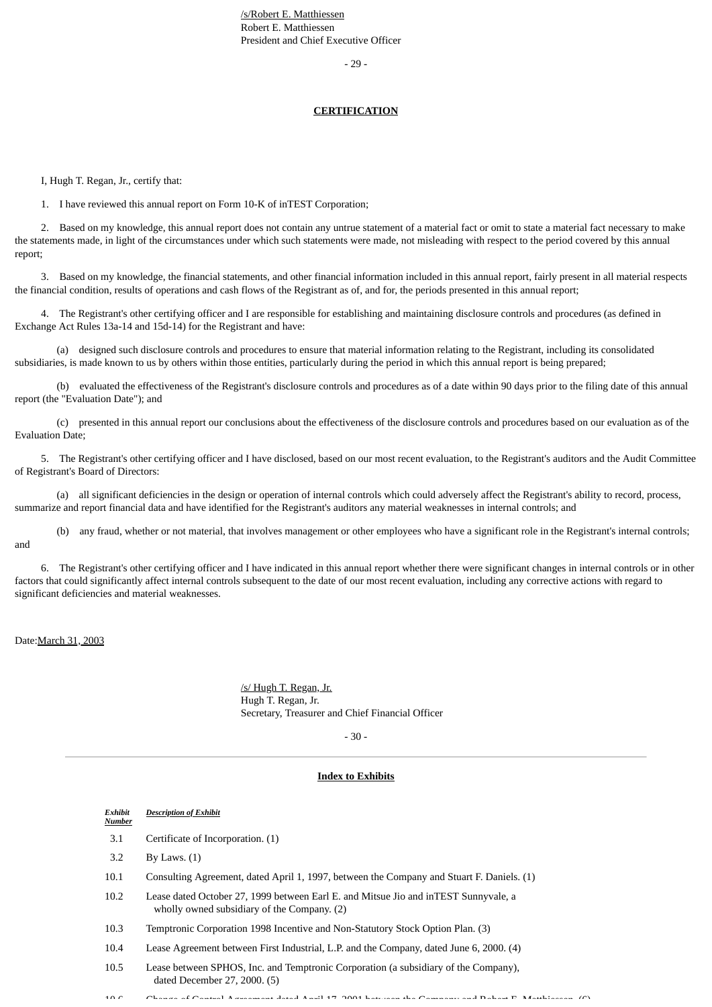/s/Robert E. Matthiessen Robert E. Matthiessen President and Chief Executive Officer

- 29 -

#### **CERTIFICATION**

I, Hugh T. Regan, Jr., certify that:

1. I have reviewed this annual report on Form 10-K of inTEST Corporation;

 2. Based on my knowledge, this annual report does not contain any untrue statement of a material fact or omit to state a material fact necessary to make the statements made, in light of the circumstances under which such statements were made, not misleading with respect to the period covered by this annual report;

 3. Based on my knowledge, the financial statements, and other financial information included in this annual report, fairly present in all material respects the financial condition, results of operations and cash flows of the Registrant as of, and for, the periods presented in this annual report;

 4. The Registrant's other certifying officer and I are responsible for establishing and maintaining disclosure controls and procedures (as defined in Exchange Act Rules 13a-14 and 15d-14) for the Registrant and have:

 (a) designed such disclosure controls and procedures to ensure that material information relating to the Registrant, including its consolidated subsidiaries, is made known to us by others within those entities, particularly during the period in which this annual report is being prepared;

 (b) evaluated the effectiveness of the Registrant's disclosure controls and procedures as of a date within 90 days prior to the filing date of this annual report (the "Evaluation Date"); and

 (c) presented in this annual report our conclusions about the effectiveness of the disclosure controls and procedures based on our evaluation as of the Evaluation Date;

 5. The Registrant's other certifying officer and I have disclosed, based on our most recent evaluation, to the Registrant's auditors and the Audit Committee of Registrant's Board of Directors:

 (a) all significant deficiencies in the design or operation of internal controls which could adversely affect the Registrant's ability to record, process, summarize and report financial data and have identified for the Registrant's auditors any material weaknesses in internal controls; and

 (b) any fraud, whether or not material, that involves management or other employees who have a significant role in the Registrant's internal controls; and

 6. The Registrant's other certifying officer and I have indicated in this annual report whether there were significant changes in internal controls or in other factors that could significantly affect internal controls subsequent to the date of our most recent evaluation, including any corrective actions with regard to significant deficiencies and material weaknesses.

#### Date:March 31, 2003

/s/ Hugh T. Regan, Jr. Hugh T. Regan, Jr. Secretary, Treasurer and Chief Financial Officer

- 30 -

#### **Index to Exhibits**

| Exhibit | <b>Description of Exhibit</b> |  |
|---------|-------------------------------|--|
| Number  |                               |  |

- 3.1 Certificate of Incorporation. (1)
- 3.2 By Laws. (1)
- 10.1 Consulting Agreement, dated April 1, 1997, between the Company and Stuart F. Daniels. (1)
- 10.2 Lease dated October 27, 1999 between Earl E. and Mitsue Jio and inTEST Sunnyvale, a wholly owned subsidiary of the Company. (2)
- 10.3 Temptronic Corporation 1998 Incentive and Non-Statutory Stock Option Plan. (3)
- 10.4 Lease Agreement between First Industrial, L.P. and the Company, dated June 6, 2000. (4)
- 10.5 Lease between SPHOS, Inc. and Temptronic Corporation (a subsidiary of the Company), dated December 27, 2000. (5)

 $1$  6  $\mu$  6 Change of Control Agreement dated April 17 2001 between the Company and Robert E Matthiessen (6)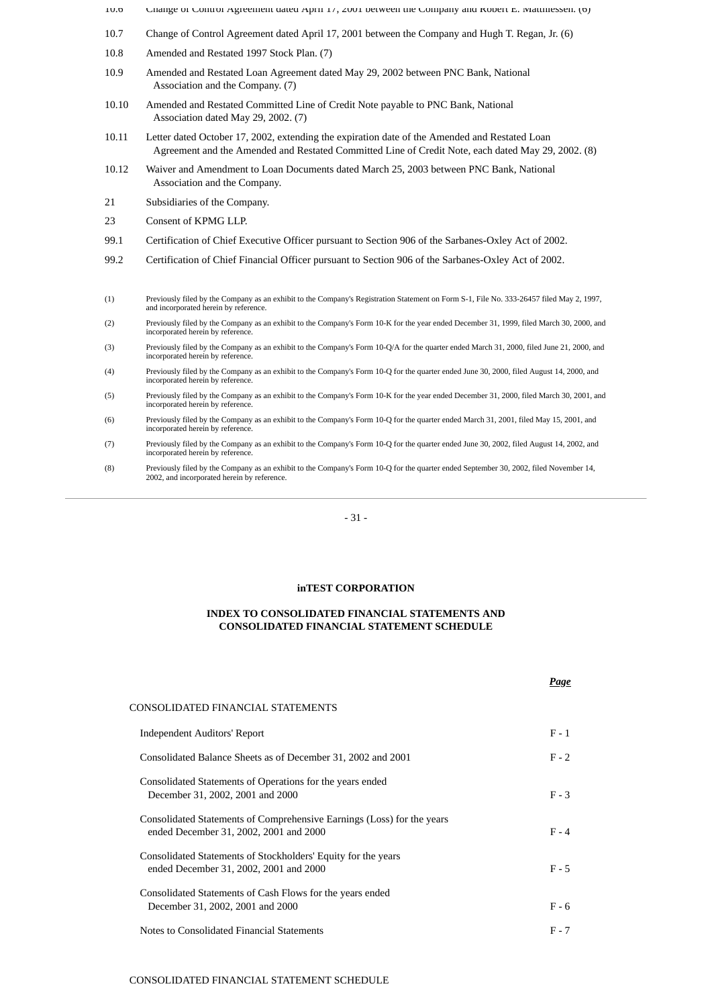- 10.6 Change of Control Agreement dated April 17, 2001 between the Company and Robert E. Matthiessen. (6) 10.7 Change of Control Agreement dated April 17, 2001 between the Company and Hugh T. Regan, Jr. (6)
- 10.8 Amended and Restated 1997 Stock Plan. (7)
- 10.9 Amended and Restated Loan Agreement dated May 29, 2002 between PNC Bank, National Association and the Company. (7)
- 10.10 Amended and Restated Committed Line of Credit Note payable to PNC Bank, National Association dated May 29, 2002. (7)
- 10.11 Letter dated October 17, 2002, extending the expiration date of the Amended and Restated Loan Agreement and the Amended and Restated Committed Line of Credit Note, each dated May 29, 2002. (8)
- 10.12 Waiver and Amendment to Loan Documents dated March 25, 2003 between PNC Bank, National Association and the Company.
- 21 Subsidiaries of the Company.
- 23 Consent of KPMG LLP.
- 99.1 Certification of Chief Executive Officer pursuant to Section 906 of the Sarbanes-Oxley Act of 2002.
- 99.2 Certification of Chief Financial Officer pursuant to Section 906 of the Sarbanes-Oxley Act of 2002.
- (1) Previously filed by the Company as an exhibit to the Company's Registration Statement on Form S-1, File No. 333-26457 filed May 2, 1997, and incorporated herein by reference.
- (2) Previously filed by the Company as an exhibit to the Company's Form 10-K for the year ended December 31, 1999, filed March 30, 2000, and incorporated herein by reference.
- (3) Previously filed by the Company as an exhibit to the Company's Form 10-Q/A for the quarter ended March 31, 2000, filed June 21, 2000, and incorporated herein by reference.
- (4) Previously filed by the Company as an exhibit to the Company's Form 10-Q for the quarter ended June 30, 2000, filed August 14, 2000, and incorporated herein by reference.
- (5) Previously filed by the Company as an exhibit to the Company's Form 10-K for the year ended December 31, 2000, filed March 30, 2001, and incorporated herein by reference.
- (6) Previously filed by the Company as an exhibit to the Company's Form 10-Q for the quarter ended March 31, 2001, filed May 15, 2001, and incorporated herein by reference
- (7) Previously filed by the Company as an exhibit to the Company's Form 10-Q for the quarter ended June 30, 2002, filed August 14, 2002, and incorporated herein by reference.
- (8) Previously filed by the Company as an exhibit to the Company's Form 10-Q for the quarter ended September 30, 2002, filed November 14, 2002, and incorporated herein by reference.

### - 31 -

#### **inTEST CORPORATION**

### **INDEX TO CONSOLIDATED FINANCIAL STATEMENTS AND CONSOLIDATED FINANCIAL STATEMENT SCHEDULE**

|                                                                                                                  | Page    |
|------------------------------------------------------------------------------------------------------------------|---------|
| CONSOLIDATED FINANCIAL STATEMENTS                                                                                |         |
| <b>Independent Auditors' Report</b>                                                                              | $F - 1$ |
| Consolidated Balance Sheets as of December 31, 2002 and 2001                                                     | $F - 2$ |
| Consolidated Statements of Operations for the years ended<br>December 31, 2002, 2001 and 2000                    | $F - 3$ |
| Consolidated Statements of Comprehensive Earnings (Loss) for the years<br>ended December 31, 2002, 2001 and 2000 | $F - 4$ |
| Consolidated Statements of Stockholders' Equity for the years<br>ended December 31, 2002, 2001 and 2000          | $F - 5$ |
| Consolidated Statements of Cash Flows for the years ended<br>December 31, 2002, 2001 and 2000                    | $F - 6$ |
| Notes to Consolidated Financial Statements                                                                       | $F - 7$ |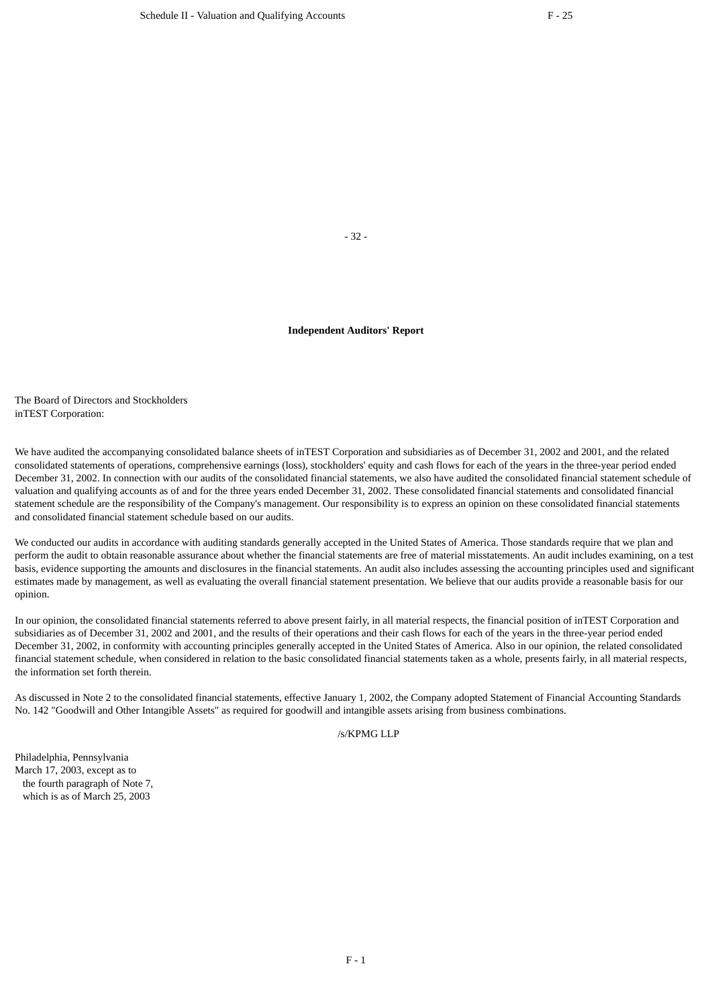- 32 -

### **Independent Auditors' Report**

The Board of Directors and Stockholders inTEST Corporation:

We have audited the accompanying consolidated balance sheets of inTEST Corporation and subsidiaries as of December 31, 2002 and 2001, and the related consolidated statements of operations, comprehensive earnings (loss), stockholders' equity and cash flows for each of the years in the three-year period ended December 31, 2002. In connection with our audits of the consolidated financial statements, we also have audited the consolidated financial statement schedule of valuation and qualifying accounts as of and for the three years ended December 31, 2002. These consolidated financial statements and consolidated financial statement schedule are the responsibility of the Company's management. Our responsibility is to express an opinion on these consolidated financial statements and consolidated financial statement schedule based on our audits.

We conducted our audits in accordance with auditing standards generally accepted in the United States of America. Those standards require that we plan and perform the audit to obtain reasonable assurance about whether the financial statements are free of material misstatements. An audit includes examining, on a test basis, evidence supporting the amounts and disclosures in the financial statements. An audit also includes assessing the accounting principles used and significant estimates made by management, as well as evaluating the overall financial statement presentation. We believe that our audits provide a reasonable basis for our opinion.

In our opinion, the consolidated financial statements referred to above present fairly, in all material respects, the financial position of inTEST Corporation and subsidiaries as of December 31, 2002 and 2001, and the results of their operations and their cash flows for each of the years in the three-year period ended December 31, 2002, in conformity with accounting principles generally accepted in the United States of America. Also in our opinion, the related consolidated financial statement schedule, when considered in relation to the basic consolidated financial statements taken as a whole, presents fairly, in all material respects, the information set forth therein.

As discussed in Note 2 to the consolidated financial statements, effective January 1, 2002, the Company adopted Statement of Financial Accounting Standards No. 142 "Goodwill and Other Intangible Assets" as required for goodwill and intangible assets arising from business combinations.

/s/KPMG LLP

Philadelphia, Pennsylvania March 17, 2003, except as to the fourth paragraph of Note 7, which is as of March 25, 2003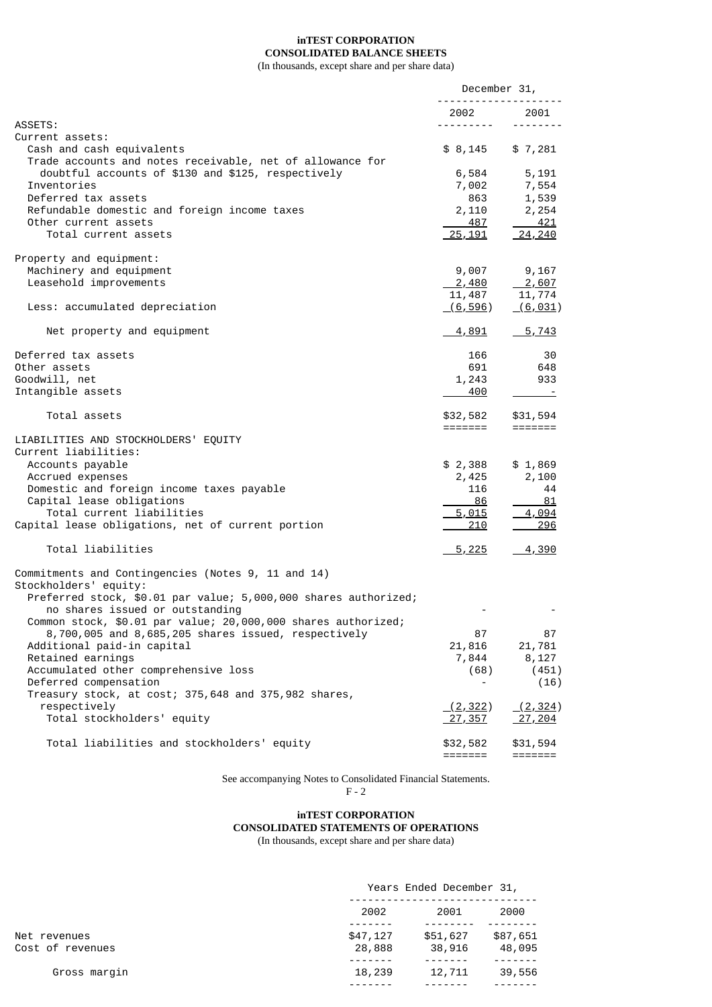# **inTEST CORPORATION CONSOLIDATED BALANCE SHEETS**

(In thousands, except share and per share data)

|                                                                                                    | December 31,                                                                                                                                                                                                                                                                                                                                                                                                                                                                           |                             |
|----------------------------------------------------------------------------------------------------|----------------------------------------------------------------------------------------------------------------------------------------------------------------------------------------------------------------------------------------------------------------------------------------------------------------------------------------------------------------------------------------------------------------------------------------------------------------------------------------|-----------------------------|
|                                                                                                    | 2002                                                                                                                                                                                                                                                                                                                                                                                                                                                                                   | 2001                        |
| ASSETS:                                                                                            | $\begin{array}{cccccccccccccc} \multicolumn{2}{c}{} & \multicolumn{2}{c}{} & \multicolumn{2}{c}{} & \multicolumn{2}{c}{} & \multicolumn{2}{c}{} & \multicolumn{2}{c}{} & \multicolumn{2}{c}{} & \multicolumn{2}{c}{} & \multicolumn{2}{c}{} & \multicolumn{2}{c}{} & \multicolumn{2}{c}{} & \multicolumn{2}{c}{} & \multicolumn{2}{c}{} & \multicolumn{2}{c}{} & \multicolumn{2}{c}{} & \multicolumn{2}{c}{} & \multicolumn{2}{c}{} & \multicolumn{2}{c}{} & \multicolumn{2}{c}{} & \$ |                             |
| Current assets:<br>Cash and cash equivalents                                                       | \$ 8,145                                                                                                                                                                                                                                                                                                                                                                                                                                                                               | \$7,281                     |
| Trade accounts and notes receivable, net of allowance for                                          |                                                                                                                                                                                                                                                                                                                                                                                                                                                                                        |                             |
| doubtful accounts of \$130 and \$125, respectively                                                 | 6,584                                                                                                                                                                                                                                                                                                                                                                                                                                                                                  | 5,191                       |
| Inventories<br>Deferred tax assets                                                                 | 7,002<br>863                                                                                                                                                                                                                                                                                                                                                                                                                                                                           | 7,554<br>1,539              |
| Refundable domestic and foreign income taxes                                                       | 2,110                                                                                                                                                                                                                                                                                                                                                                                                                                                                                  | 2,254                       |
| Other current assets                                                                               | 487                                                                                                                                                                                                                                                                                                                                                                                                                                                                                    | 421                         |
| Total current assets                                                                               | <u>25, 191</u>                                                                                                                                                                                                                                                                                                                                                                                                                                                                         | 24, 240                     |
| Property and equipment:                                                                            |                                                                                                                                                                                                                                                                                                                                                                                                                                                                                        |                             |
| Machinery and equipment                                                                            | 9,007                                                                                                                                                                                                                                                                                                                                                                                                                                                                                  | 9,167                       |
| Leasehold improvements                                                                             | <u>2,480</u>                                                                                                                                                                                                                                                                                                                                                                                                                                                                           | $-2,607$                    |
|                                                                                                    | 11,487                                                                                                                                                                                                                                                                                                                                                                                                                                                                                 | 11,774                      |
| Less: accumulated depreciation                                                                     | (6, 596)                                                                                                                                                                                                                                                                                                                                                                                                                                                                               | (6, 031)                    |
| Net property and equipment                                                                         | <u>4,891</u>                                                                                                                                                                                                                                                                                                                                                                                                                                                                           | $\frac{5,743}{2}$           |
| Deferred tax assets                                                                                | 166                                                                                                                                                                                                                                                                                                                                                                                                                                                                                    | 30                          |
| Other assets                                                                                       | 691                                                                                                                                                                                                                                                                                                                                                                                                                                                                                    | 648                         |
| Goodwill, net                                                                                      | 1,243                                                                                                                                                                                                                                                                                                                                                                                                                                                                                  | 933                         |
| Intangible assets                                                                                  | 400                                                                                                                                                                                                                                                                                                                                                                                                                                                                                    |                             |
| Total assets                                                                                       | \$32,582<br>=======                                                                                                                                                                                                                                                                                                                                                                                                                                                                    | \$31,594                    |
| LIABILITIES AND STOCKHOLDERS' EQUITY                                                               |                                                                                                                                                                                                                                                                                                                                                                                                                                                                                        |                             |
| Current liabilities:                                                                               |                                                                                                                                                                                                                                                                                                                                                                                                                                                                                        |                             |
| Accounts payable                                                                                   | \$2,388                                                                                                                                                                                                                                                                                                                                                                                                                                                                                | \$1,869                     |
| Accrued expenses                                                                                   | 2,425                                                                                                                                                                                                                                                                                                                                                                                                                                                                                  | 2,100                       |
| Domestic and foreign income taxes payable                                                          | 116                                                                                                                                                                                                                                                                                                                                                                                                                                                                                    | 44                          |
| Capital lease obligations                                                                          | 86                                                                                                                                                                                                                                                                                                                                                                                                                                                                                     | - 81                        |
| Total current liabilities                                                                          | 5,015                                                                                                                                                                                                                                                                                                                                                                                                                                                                                  | 4,094                       |
| Capital lease obligations, net of current portion                                                  | 210                                                                                                                                                                                                                                                                                                                                                                                                                                                                                    | 296                         |
| Total liabilities                                                                                  | $\frac{5,225}{5}$                                                                                                                                                                                                                                                                                                                                                                                                                                                                      | 4,390                       |
| Commitments and Contingencies (Notes 9, 11 and 14)                                                 |                                                                                                                                                                                                                                                                                                                                                                                                                                                                                        |                             |
| Stockholders' equity:                                                                              |                                                                                                                                                                                                                                                                                                                                                                                                                                                                                        |                             |
| Preferred stock, \$0.01 par value; 5,000,000 shares authorized;<br>no shares issued or outstanding |                                                                                                                                                                                                                                                                                                                                                                                                                                                                                        |                             |
| Common stock, \$0.01 par value; 20,000,000 shares authorized;                                      |                                                                                                                                                                                                                                                                                                                                                                                                                                                                                        |                             |
| 8,700,005 and 8,685,205 shares issued, respectively                                                | 87                                                                                                                                                                                                                                                                                                                                                                                                                                                                                     | 87                          |
| Additional paid-in capital                                                                         | 21,816                                                                                                                                                                                                                                                                                                                                                                                                                                                                                 | 21,781                      |
| Retained earnings                                                                                  | 7,844                                                                                                                                                                                                                                                                                                                                                                                                                                                                                  | 8,127                       |
| Accumulated other comprehensive loss                                                               | (68)                                                                                                                                                                                                                                                                                                                                                                                                                                                                                   | (451)                       |
| Deferred compensation                                                                              |                                                                                                                                                                                                                                                                                                                                                                                                                                                                                        | (16)                        |
| Treasury stock, at cost; 375,648 and 375,982 shares,                                               |                                                                                                                                                                                                                                                                                                                                                                                                                                                                                        |                             |
| respectively<br>Total stockholders' equity                                                         | (2, 322)                                                                                                                                                                                                                                                                                                                                                                                                                                                                               | (2, 324)                    |
|                                                                                                    | <u>27,357</u>                                                                                                                                                                                                                                                                                                                                                                                                                                                                          | 27,204                      |
| Total liabilities and stockholders' equity                                                         | \$32,582                                                                                                                                                                                                                                                                                                                                                                                                                                                                               | \$31,594                    |
|                                                                                                    | =======                                                                                                                                                                                                                                                                                                                                                                                                                                                                                | $=$ $=$ $=$ $=$ $=$ $=$ $=$ |

See accompanying Notes to Consolidated Financial Statements.

F - 2

# **inTEST CORPORATION CONSOLIDATED STATEMENTS OF OPERATIONS**

(In thousands, except share and per share data)

|                                  |                    | Years Ended December 31, |                    |  |  |
|----------------------------------|--------------------|--------------------------|--------------------|--|--|
|                                  | 2002               | 2000<br>2001             |                    |  |  |
| Net revenues<br>Cost of revenues | \$47,127<br>28,888 | \$51,627<br>38,916       | \$87,651<br>48,095 |  |  |
| Gross margin                     | 18,239             | 12,711                   | 39,556             |  |  |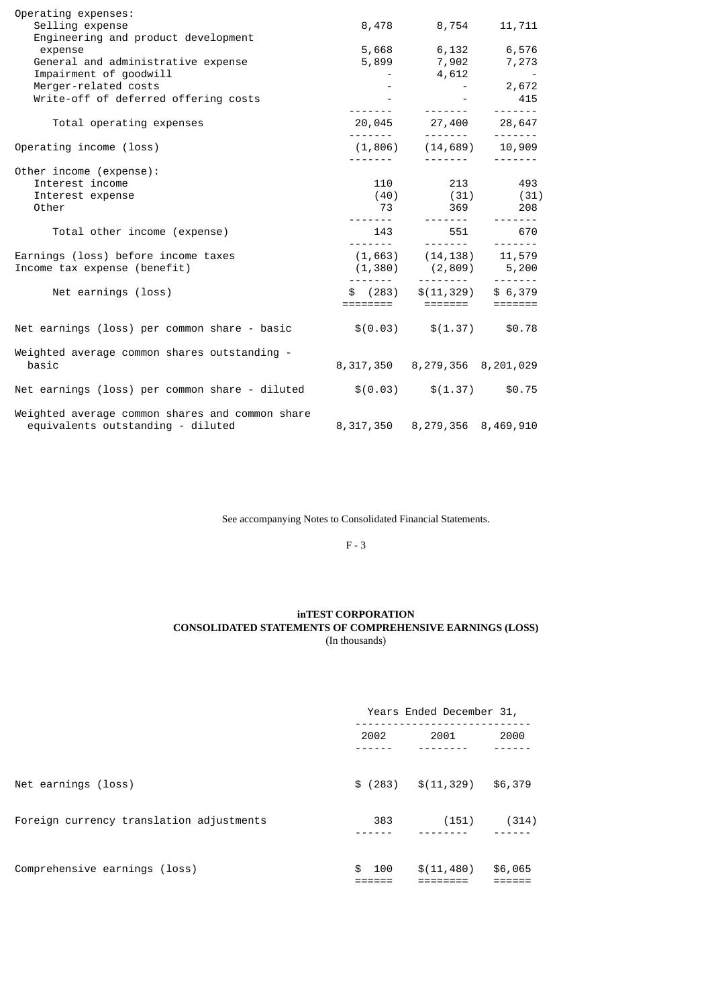| Operating expenses:                                                        |                                                                                                                                                       |                           |
|----------------------------------------------------------------------------|-------------------------------------------------------------------------------------------------------------------------------------------------------|---------------------------|
| Selling expense                                                            | 8,478 8,754                                                                                                                                           | 11, 711                   |
| Engineering and product development                                        |                                                                                                                                                       |                           |
| expense                                                                    | 5,668 6,132 6,576                                                                                                                                     |                           |
| General and administrative expense                                         | $5,899$ $7,902$ $7,273$                                                                                                                               |                           |
| Impairment of goodwill                                                     |                                                                                                                                                       |                           |
| Merger-related costs                                                       |                                                                                                                                                       |                           |
| Write-off of deferred offering costs                                       |                                                                                                                                                       |                           |
|                                                                            | $4,612$<br>$-4,612$<br>$-2,672$<br>$-1$<br>$-15$<br>$-15$<br>$-115$<br>$-115$                                                                         |                           |
| Total operating expenses                                                   | 20,045 27,400 28,647                                                                                                                                  |                           |
| Operating income (loss)                                                    | $(1, 806)$ $(14, 689)$ $10, 909$                                                                                                                      |                           |
|                                                                            |                                                                                                                                                       | <u> 2222222 - 2222222</u> |
| Other income (expense):                                                    |                                                                                                                                                       |                           |
| Interest income                                                            | 110 213 493                                                                                                                                           |                           |
| Interest expense                                                           | $(40)$ $(31)$ $(31)$                                                                                                                                  |                           |
| Other                                                                      | 73 369 208                                                                                                                                            |                           |
|                                                                            |                                                                                                                                                       |                           |
| Total other income (expense)                                               | 143 551 670                                                                                                                                           |                           |
| Earnings (loss) before income taxes                                        | $(1,663)$ $(14,138)$ $11,579$                                                                                                                         |                           |
| Income tax expense (benefit)                                               | $(1,380)$ $(2,809)$ 5,200                                                                                                                             |                           |
|                                                                            |                                                                                                                                                       |                           |
| Net earnings (loss)                                                        | $\begin{array}{cccc} - \text{---} & \text{---} & \text{---} & \text{---} \\ \text{$\$} & (283) & \text{$\$}(11,329) & \text{$\$} & 6,379 \end{array}$ |                           |
|                                                                            |                                                                                                                                                       |                           |
| Net earnings (loss) per common share - basic                               | $\$(0.03) \quad \$(1.37) \quad \$0.78$                                                                                                                |                           |
|                                                                            |                                                                                                                                                       |                           |
| Weighted average common shares outstanding -                               |                                                                                                                                                       |                           |
| basic                                                                      | 8, 317, 350 8, 279, 356 8, 201, 029                                                                                                                   |                           |
|                                                                            |                                                                                                                                                       |                           |
| Net earnings (loss) per common share - diluted $$(0.03)$ $$(1.37)$ $$0.75$ |                                                                                                                                                       |                           |
| Weighted average common shares and common share                            |                                                                                                                                                       |                           |
| equivalents outstanding - diluted                                          | 8, 317, 350 8, 279, 356 8, 469, 910                                                                                                                   |                           |
|                                                                            |                                                                                                                                                       |                           |

See accompanying Notes to Consolidated Financial Statements.

F - 3

## **inTEST CORPORATION CONSOLIDATED STATEMENTS OF COMPREHENSIVE EARNINGS (LOSS)** (In thousands)

|                                          | Years Ended December 31, |             |         |  |
|------------------------------------------|--------------------------|-------------|---------|--|
|                                          | 2002                     | 2001        | 2000    |  |
| Net earnings (loss)                      | \$(283)                  | \$(11, 329) | \$6,379 |  |
| Foreign currency translation adjustments | 383                      | (151)       | (314)   |  |
| Comprehensive earnings (loss)            | \$<br>100                | \$(11, 480) | \$6,065 |  |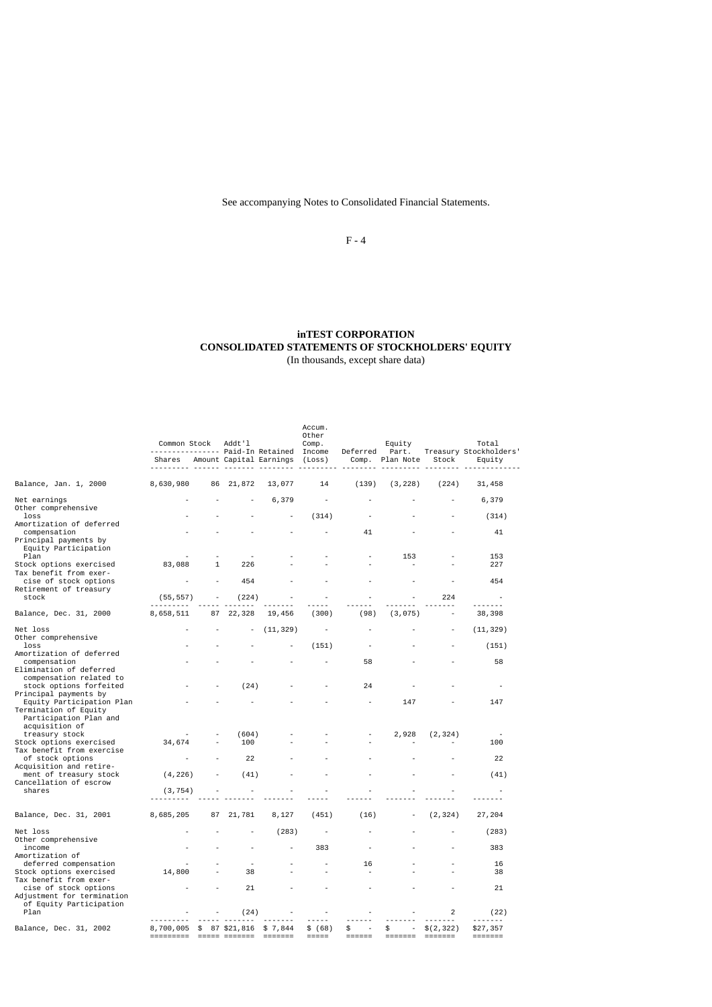See accompanying Notes to Consolidated Financial Statements.

F - 4

## **inTEST CORPORATION CONSOLIDATED STATEMENTS OF STOCKHOLDERS' EQUITY** (In thousands, except share data)

|                                                                                                       | Common Stock<br>---------------- Paid-In Retained Income |              | Addt'l                   |                                       | Accum.<br>Other<br>Comp. |                                                                  | Equity<br>Deferred Part.                                                                                                                                                                                                                                                                                                                                                                                                                                                                                                                                 |            | Total<br>Treasury Stockholders' |
|-------------------------------------------------------------------------------------------------------|----------------------------------------------------------|--------------|--------------------------|---------------------------------------|--------------------------|------------------------------------------------------------------|----------------------------------------------------------------------------------------------------------------------------------------------------------------------------------------------------------------------------------------------------------------------------------------------------------------------------------------------------------------------------------------------------------------------------------------------------------------------------------------------------------------------------------------------------------|------------|---------------------------------|
|                                                                                                       |                                                          |              |                          | Shares Amount Capital Earnings (Loss) |                          |                                                                  | Comp. Plan Note                                                                                                                                                                                                                                                                                                                                                                                                                                                                                                                                          | Stock      | Equity                          |
| Balance, Jan. 1, 2000                                                                                 | 8,630,980                                                | 86           | 21,872                   | 13,077                                | 14                       | (139)                                                            | (3, 228)                                                                                                                                                                                                                                                                                                                                                                                                                                                                                                                                                 | (224)      | 31,458                          |
| Net earnings<br>Other comprehensive                                                                   |                                                          |              |                          | 6,379                                 |                          |                                                                  |                                                                                                                                                                                                                                                                                                                                                                                                                                                                                                                                                          |            | 6,379                           |
| loss<br>Amortization of deferred                                                                      |                                                          |              |                          |                                       | (314)                    |                                                                  |                                                                                                                                                                                                                                                                                                                                                                                                                                                                                                                                                          |            | (314)                           |
| compensation<br>Principal payments by<br>Equity Participation<br>Plan                                 |                                                          |              |                          |                                       |                          | 41                                                               | 153                                                                                                                                                                                                                                                                                                                                                                                                                                                                                                                                                      |            | 41<br>153                       |
| Stock options exercised<br>Tax benefit from exer-                                                     | 83,088                                                   | $\mathbf{1}$ | 226                      |                                       |                          |                                                                  |                                                                                                                                                                                                                                                                                                                                                                                                                                                                                                                                                          |            | 227                             |
| cise of stock options<br>Retirement of treasury                                                       |                                                          |              | 454                      |                                       |                          |                                                                  |                                                                                                                                                                                                                                                                                                                                                                                                                                                                                                                                                          |            | 454                             |
| stock                                                                                                 | (55, 557)                                                |              | (224)                    |                                       |                          |                                                                  |                                                                                                                                                                                                                                                                                                                                                                                                                                                                                                                                                          | 224        |                                 |
| Balance, Dec. 31, 2000                                                                                | 8,658,511                                                | 87           | 22,328                   | 19,456                                | (300)                    | (98)                                                             | (3, 075)                                                                                                                                                                                                                                                                                                                                                                                                                                                                                                                                                 | $\sim$     | 38,398                          |
| Net loss<br>Other comprehensive                                                                       |                                                          |              | $\overline{\phantom{a}}$ | (11, 329)                             |                          |                                                                  |                                                                                                                                                                                                                                                                                                                                                                                                                                                                                                                                                          |            | (11, 329)                       |
| loss<br>Amortization of deferred                                                                      |                                                          |              |                          |                                       | (151)                    |                                                                  |                                                                                                                                                                                                                                                                                                                                                                                                                                                                                                                                                          |            | (151)                           |
| compensation<br>Elimination of deferred                                                               |                                                          |              |                          |                                       |                          | 58                                                               |                                                                                                                                                                                                                                                                                                                                                                                                                                                                                                                                                          |            | 58                              |
| compensation related to<br>stock options forfeited                                                    |                                                          |              | (24)                     |                                       |                          | 24                                                               |                                                                                                                                                                                                                                                                                                                                                                                                                                                                                                                                                          |            |                                 |
| Principal payments by<br>Equity Participation Plan<br>Termination of Equity<br>Participation Plan and |                                                          |              |                          |                                       |                          |                                                                  | 147                                                                                                                                                                                                                                                                                                                                                                                                                                                                                                                                                      |            | 147                             |
| acquisition of<br>treasury stock                                                                      |                                                          |              | (604)                    |                                       |                          |                                                                  | 2,928                                                                                                                                                                                                                                                                                                                                                                                                                                                                                                                                                    | (2, 324)   |                                 |
| Stock options exercised<br>Tax benefit from exercise<br>of stock options                              | 34,674                                                   |              | 100<br>22                |                                       |                          |                                                                  |                                                                                                                                                                                                                                                                                                                                                                                                                                                                                                                                                          |            | 100<br>22                       |
| Acquisition and retire-                                                                               |                                                          |              |                          |                                       |                          |                                                                  |                                                                                                                                                                                                                                                                                                                                                                                                                                                                                                                                                          |            |                                 |
| ment of treasury stock<br>Cancellation of escrow                                                      | (4, 226)                                                 |              | (41)                     |                                       |                          |                                                                  |                                                                                                                                                                                                                                                                                                                                                                                                                                                                                                                                                          |            | (41)                            |
| shares                                                                                                | (3, 754)                                                 |              |                          |                                       |                          |                                                                  |                                                                                                                                                                                                                                                                                                                                                                                                                                                                                                                                                          |            |                                 |
| Balance, Dec. 31, 2001                                                                                | 8,685,205                                                | 87           | 21,781                   | 8,127                                 | (451)                    | (16)                                                             |                                                                                                                                                                                                                                                                                                                                                                                                                                                                                                                                                          | (2, 324)   | 27,204                          |
| Net loss<br>Other comprehensive                                                                       |                                                          |              |                          | (283)                                 | $\overline{a}$           |                                                                  |                                                                                                                                                                                                                                                                                                                                                                                                                                                                                                                                                          |            | (283)                           |
| income<br>Amortization of                                                                             |                                                          |              |                          |                                       | 383                      |                                                                  |                                                                                                                                                                                                                                                                                                                                                                                                                                                                                                                                                          |            | 383                             |
| deferred compensation<br>Stock options exercised                                                      | 14,800                                                   |              | 38                       |                                       |                          | 16                                                               |                                                                                                                                                                                                                                                                                                                                                                                                                                                                                                                                                          |            | 16<br>38                        |
| Tax benefit from exer-<br>cise of stock options<br>Adjustment for termination                         |                                                          |              | 21                       |                                       |                          |                                                                  |                                                                                                                                                                                                                                                                                                                                                                                                                                                                                                                                                          |            | 21                              |
| of Equity Participation<br>Plan                                                                       |                                                          |              | (24)                     |                                       |                          |                                                                  |                                                                                                                                                                                                                                                                                                                                                                                                                                                                                                                                                          | 2          | (22)                            |
| Balance, Dec. 31, 2002                                                                                | 8,700,005 \$ 87 \$21,816 \$ 7,844                        |              |                          |                                       | \$ (68)                  | \$<br>$\sim$                                                     | \$<br>$\sim$                                                                                                                                                                                                                                                                                                                                                                                                                                                                                                                                             | \$(2, 322) | \$27,357                        |
|                                                                                                       | ========== ========== =======                            |              |                          |                                       | $=$ $=$ $=$ $=$ $=$      | $\qquad \qquad \equiv \equiv \equiv \equiv \equiv \equiv \equiv$ | $\begin{tabular}{lllllllllll} \multicolumn{2}{l}{{\color{red}{{\color{red}\boldsymbol{z}}}}} & \multicolumn{2}{l}{\color{blue}\boldsymbol{z}}} & \multicolumn{2}{l}{\color{blue}\boldsymbol{z}}} & \multicolumn{2}{l}{\color{blue}\boldsymbol{z}}\\ \multicolumn{2}{l}{\color{blue}\boldsymbol{z}} & \multicolumn{2}{l}{\color{blue}\boldsymbol{z}} & \multicolumn{2}{l}{\color{blue}\boldsymbol{z}} & \multicolumn{2}{l}{\color{blue}\boldsymbol{z}} & \multicolumn{2}{l}{\color{blue}\boldsymbol{z}}\\ \multicolumn{2}{l}{\color{blue}\boldsymbol{z}}$ |            | $=$ = = = = = =                 |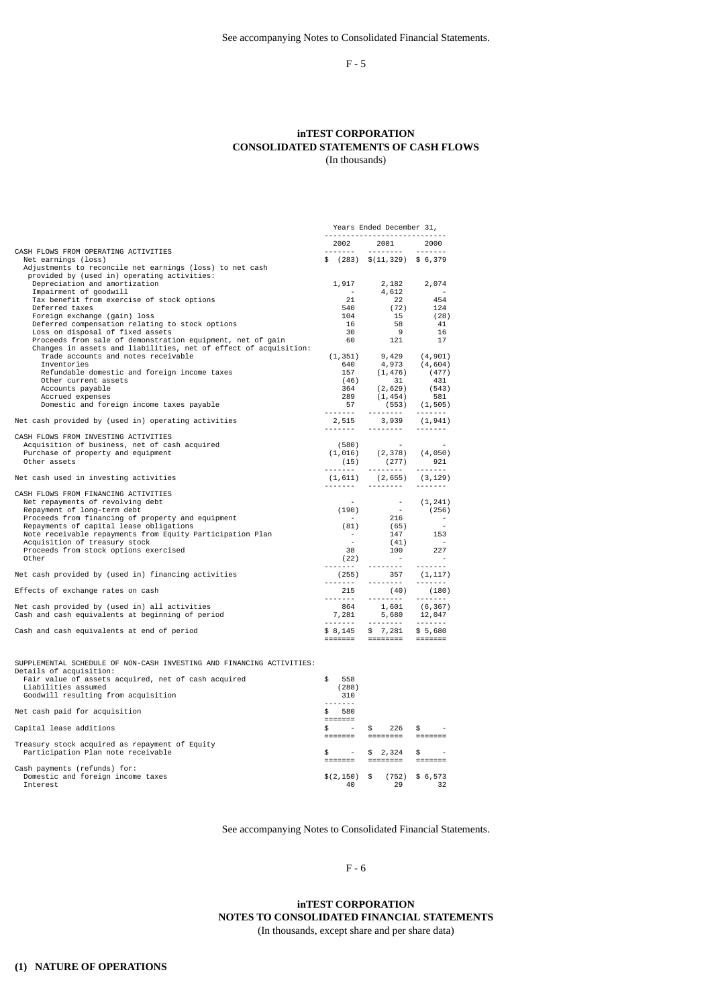F - 5

### **inTEST CORPORATION CONSOLIDATED STATEMENTS OF CASH FLOWS** (In thousands)

|                                                                                                                                | Years Ended December 31,   |                                                                                                                                                                                                                                                                                                                                                                                                                                                                                                               |                                                                                                                                                                                                                                                                                                                                                                                                                                                                                        |
|--------------------------------------------------------------------------------------------------------------------------------|----------------------------|---------------------------------------------------------------------------------------------------------------------------------------------------------------------------------------------------------------------------------------------------------------------------------------------------------------------------------------------------------------------------------------------------------------------------------------------------------------------------------------------------------------|----------------------------------------------------------------------------------------------------------------------------------------------------------------------------------------------------------------------------------------------------------------------------------------------------------------------------------------------------------------------------------------------------------------------------------------------------------------------------------------|
|                                                                                                                                | 2002                       | 2001 2000                                                                                                                                                                                                                                                                                                                                                                                                                                                                                                     |                                                                                                                                                                                                                                                                                                                                                                                                                                                                                        |
| CASH FLOWS FROM OPERATING ACTIVITIES                                                                                           |                            |                                                                                                                                                                                                                                                                                                                                                                                                                                                                                                               |                                                                                                                                                                                                                                                                                                                                                                                                                                                                                        |
| Net earnings (loss)<br>Adjustments to reconcile net earnings (loss) to net cash<br>provided by (used in) operating activities: |                            | $$$ (283) $$$ (11,329) \$ 6,379                                                                                                                                                                                                                                                                                                                                                                                                                                                                               |                                                                                                                                                                                                                                                                                                                                                                                                                                                                                        |
| Depreciation and amortization<br>Impairment of goodwill                                                                        | 1,917<br>$\sim 10^{-10}$   |                                                                                                                                                                                                                                                                                                                                                                                                                                                                                                               |                                                                                                                                                                                                                                                                                                                                                                                                                                                                                        |
| Tax benefit from exercise of stock options                                                                                     | 21                         | 22                                                                                                                                                                                                                                                                                                                                                                                                                                                                                                            | 454                                                                                                                                                                                                                                                                                                                                                                                                                                                                                    |
| Deferred taxes                                                                                                                 | 540                        | (72)                                                                                                                                                                                                                                                                                                                                                                                                                                                                                                          | 124                                                                                                                                                                                                                                                                                                                                                                                                                                                                                    |
| Foreign exchange (gain) loss                                                                                                   | 104                        | 15                                                                                                                                                                                                                                                                                                                                                                                                                                                                                                            | (28)                                                                                                                                                                                                                                                                                                                                                                                                                                                                                   |
| Deferred compensation relating to stock options                                                                                | 16                         | 58                                                                                                                                                                                                                                                                                                                                                                                                                                                                                                            | 41                                                                                                                                                                                                                                                                                                                                                                                                                                                                                     |
| Loss on disposal of fixed assets                                                                                               | 30                         | 9                                                                                                                                                                                                                                                                                                                                                                                                                                                                                                             | 16                                                                                                                                                                                                                                                                                                                                                                                                                                                                                     |
| Proceeds from sale of demonstration equipment, net of gain                                                                     | 60                         | 121                                                                                                                                                                                                                                                                                                                                                                                                                                                                                                           | 17                                                                                                                                                                                                                                                                                                                                                                                                                                                                                     |
| Changes in assets and liabilities, net of effect of acquisition:<br>Trade accounts and notes receivable                        |                            |                                                                                                                                                                                                                                                                                                                                                                                                                                                                                                               |                                                                                                                                                                                                                                                                                                                                                                                                                                                                                        |
| Inventories                                                                                                                    |                            | $\begin{array}{cccc} (1,351) & & 9,429 & & (4,901) \\ 640 & & 4,973 & & (4,604) \end{array}$                                                                                                                                                                                                                                                                                                                                                                                                                  |                                                                                                                                                                                                                                                                                                                                                                                                                                                                                        |
| Refundable domestic and foreign income taxes                                                                                   | 157                        | (1, 476)                                                                                                                                                                                                                                                                                                                                                                                                                                                                                                      | (477)                                                                                                                                                                                                                                                                                                                                                                                                                                                                                  |
| Other current assets                                                                                                           | (46)                       | 31                                                                                                                                                                                                                                                                                                                                                                                                                                                                                                            | 431                                                                                                                                                                                                                                                                                                                                                                                                                                                                                    |
| Accounts payable                                                                                                               | 364                        | (2,629)                                                                                                                                                                                                                                                                                                                                                                                                                                                                                                       | (543)                                                                                                                                                                                                                                                                                                                                                                                                                                                                                  |
| Accrued expenses                                                                                                               | 289                        | (1, 454)                                                                                                                                                                                                                                                                                                                                                                                                                                                                                                      | 581                                                                                                                                                                                                                                                                                                                                                                                                                                                                                    |
| Domestic and foreign income taxes payable                                                                                      | $\frac{57}{57}$            | 57 (553) (1,505)                                                                                                                                                                                                                                                                                                                                                                                                                                                                                              |                                                                                                                                                                                                                                                                                                                                                                                                                                                                                        |
| Net cash provided by (used in) operating activities                                                                            |                            | 2,515 3,939 (1,941)<br>.                                                                                                                                                                                                                                                                                                                                                                                                                                                                                      | <u>.</u>                                                                                                                                                                                                                                                                                                                                                                                                                                                                               |
| CASH FLOWS FROM INVESTING ACTIVITIES                                                                                           |                            |                                                                                                                                                                                                                                                                                                                                                                                                                                                                                                               |                                                                                                                                                                                                                                                                                                                                                                                                                                                                                        |
| Acquisition of business, net of cash acquired                                                                                  |                            |                                                                                                                                                                                                                                                                                                                                                                                                                                                                                                               |                                                                                                                                                                                                                                                                                                                                                                                                                                                                                        |
| Purchase of property and equipment                                                                                             |                            |                                                                                                                                                                                                                                                                                                                                                                                                                                                                                                               |                                                                                                                                                                                                                                                                                                                                                                                                                                                                                        |
| Other assets                                                                                                                   |                            | $(1,016)$ $(2,378)$ $(4,050)$<br>$(15)$ $(277)$ 921                                                                                                                                                                                                                                                                                                                                                                                                                                                           |                                                                                                                                                                                                                                                                                                                                                                                                                                                                                        |
| Net cash used in investing activities                                                                                          |                            | $(1, 611)$ $(2, 655)$ $(3, 129)$                                                                                                                                                                                                                                                                                                                                                                                                                                                                              | $\begin{array}{cccccccccccccc} \multicolumn{2}{c}{} & \multicolumn{2}{c}{} & \multicolumn{2}{c}{} & \multicolumn{2}{c}{} & \multicolumn{2}{c}{} & \multicolumn{2}{c}{} & \multicolumn{2}{c}{} & \multicolumn{2}{c}{} & \multicolumn{2}{c}{} & \multicolumn{2}{c}{} & \multicolumn{2}{c}{} & \multicolumn{2}{c}{} & \multicolumn{2}{c}{} & \multicolumn{2}{c}{} & \multicolumn{2}{c}{} & \multicolumn{2}{c}{} & \multicolumn{2}{c}{} & \multicolumn{2}{c}{} & \multicolumn{2}{c}{} & \$ |
| CASH FLOWS FROM FINANCING ACTIVITIES<br>Net repayments of revolving debt<br>Repayment of long-term debt                        |                            | (190) $(1, 241)$<br>(190) $(256)$<br>(81) $(65)$ $(61)$                                                                                                                                                                                                                                                                                                                                                                                                                                                       |                                                                                                                                                                                                                                                                                                                                                                                                                                                                                        |
| Proceeds from financing of property and equipment                                                                              |                            |                                                                                                                                                                                                                                                                                                                                                                                                                                                                                                               |                                                                                                                                                                                                                                                                                                                                                                                                                                                                                        |
| Repayments of capital lease obligations                                                                                        |                            |                                                                                                                                                                                                                                                                                                                                                                                                                                                                                                               |                                                                                                                                                                                                                                                                                                                                                                                                                                                                                        |
| Note receivable repayments from Equity Participation Plan                                                                      | $\sim 10^6$                | 147                                                                                                                                                                                                                                                                                                                                                                                                                                                                                                           | 153                                                                                                                                                                                                                                                                                                                                                                                                                                                                                    |
| Acquisition of treasury stock                                                                                                  |                            | (41)                                                                                                                                                                                                                                                                                                                                                                                                                                                                                                          | $\sim$                                                                                                                                                                                                                                                                                                                                                                                                                                                                                 |
| Proceeds from stock options exercised                                                                                          | 38                         |                                                                                                                                                                                                                                                                                                                                                                                                                                                                                                               | $\begin{array}{ccc}\n100 & 227 \\ & - & \n\end{array}$                                                                                                                                                                                                                                                                                                                                                                                                                                 |
| Other                                                                                                                          | (22)<br>. <i>.</i>         | <u> 2222222 - 1</u>                                                                                                                                                                                                                                                                                                                                                                                                                                                                                           | <u>.</u>                                                                                                                                                                                                                                                                                                                                                                                                                                                                               |
| Net cash provided by (used in) financing activities                                                                            |                            | $(255)$ 357 $(1, 117)$<br>------- -------- -------                                                                                                                                                                                                                                                                                                                                                                                                                                                            |                                                                                                                                                                                                                                                                                                                                                                                                                                                                                        |
| Effects of exchange rates on cash                                                                                              |                            | $\begin{array}{cccc} 215 & (40) & (180) \\ -215 & (40) & (180) \\ 864 & 1,601 & (6,367) \\ -7,281 & 5,680 & 12,047 \\ -1 & 1 & 1 & 1 & 1 \end{array}$                                                                                                                                                                                                                                                                                                                                                         |                                                                                                                                                                                                                                                                                                                                                                                                                                                                                        |
|                                                                                                                                |                            |                                                                                                                                                                                                                                                                                                                                                                                                                                                                                                               |                                                                                                                                                                                                                                                                                                                                                                                                                                                                                        |
| Net cash provided by (used in) all activities<br>Cash and cash equivalents at beginning of period                              |                            |                                                                                                                                                                                                                                                                                                                                                                                                                                                                                                               |                                                                                                                                                                                                                                                                                                                                                                                                                                                                                        |
|                                                                                                                                |                            |                                                                                                                                                                                                                                                                                                                                                                                                                                                                                                               |                                                                                                                                                                                                                                                                                                                                                                                                                                                                                        |
| Cash and cash equivalents at end of period                                                                                     |                            | $$8,145$ \$ 7,281 \$ 5,680<br>======= ======== =======                                                                                                                                                                                                                                                                                                                                                                                                                                                        |                                                                                                                                                                                                                                                                                                                                                                                                                                                                                        |
| SUPPLEMENTAL SCHEDULE OF NON-CASH INVESTING AND FINANCING ACTIVITIES:<br>Details of acquisition:                               |                            |                                                                                                                                                                                                                                                                                                                                                                                                                                                                                                               |                                                                                                                                                                                                                                                                                                                                                                                                                                                                                        |
| Fair value of assets acquired, net of cash acquired<br>Liabilities assumed                                                     | \$<br>558<br>(288)         |                                                                                                                                                                                                                                                                                                                                                                                                                                                                                                               |                                                                                                                                                                                                                                                                                                                                                                                                                                                                                        |
| Goodwill resulting from acquisition                                                                                            | - 310<br>$- - - - - - - -$ |                                                                                                                                                                                                                                                                                                                                                                                                                                                                                                               |                                                                                                                                                                                                                                                                                                                                                                                                                                                                                        |
| Net cash paid for acquisition                                                                                                  | \$580                      |                                                                                                                                                                                                                                                                                                                                                                                                                                                                                                               |                                                                                                                                                                                                                                                                                                                                                                                                                                                                                        |
| Capital lease additions                                                                                                        | \$<br><b>Contractor</b>    | \$<br>$226$ \$<br>$\begin{minipage}{0.03\textwidth} \begin{tabular}{@{}l@{}} \multicolumn{3}{c}{\textbf{}} & \multicolumn{3}{c}{\textbf{}} & \multicolumn{3}{c}{\textbf{}} \\ \multicolumn{3}{c}{\textbf{}} & \multicolumn{3}{c}{\textbf{}} & \multicolumn{3}{c}{\textbf{}} \\ \multicolumn{3}{c}{\textbf{}} & \multicolumn{3}{c}{\textbf{}} & \multicolumn{3}{c}{\textbf{}} \\ \multicolumn{3}{c}{\textbf{}} & \multicolumn{3}{c}{\textbf{}} & \multicolumn{3}{c}{\textbf{}} \\ \multicolumn{3}{c}{\textbf{$ |                                                                                                                                                                                                                                                                                                                                                                                                                                                                                        |
| Treasury stock acquired as repayment of Equity                                                                                 |                            |                                                                                                                                                                                                                                                                                                                                                                                                                                                                                                               |                                                                                                                                                                                                                                                                                                                                                                                                                                                                                        |
| Participation Plan note receivable                                                                                             |                            | $$ - $ 2,324$<br>======= ======== =======                                                                                                                                                                                                                                                                                                                                                                                                                                                                     | \$<br>$\sim$                                                                                                                                                                                                                                                                                                                                                                                                                                                                           |
|                                                                                                                                |                            |                                                                                                                                                                                                                                                                                                                                                                                                                                                                                                               |                                                                                                                                                                                                                                                                                                                                                                                                                                                                                        |

======= ======== ======= Cash payments (refunds) for: Domestic and foreign income taxes \$(2,150) \$ (752) \$ 6,573 Interest 40 29 32

See accompanying Notes to Consolidated Financial Statements.

F - 6

**inTEST CORPORATION NOTES TO CONSOLIDATED FINANCIAL STATEMENTS** (In thousands, except share and per share data)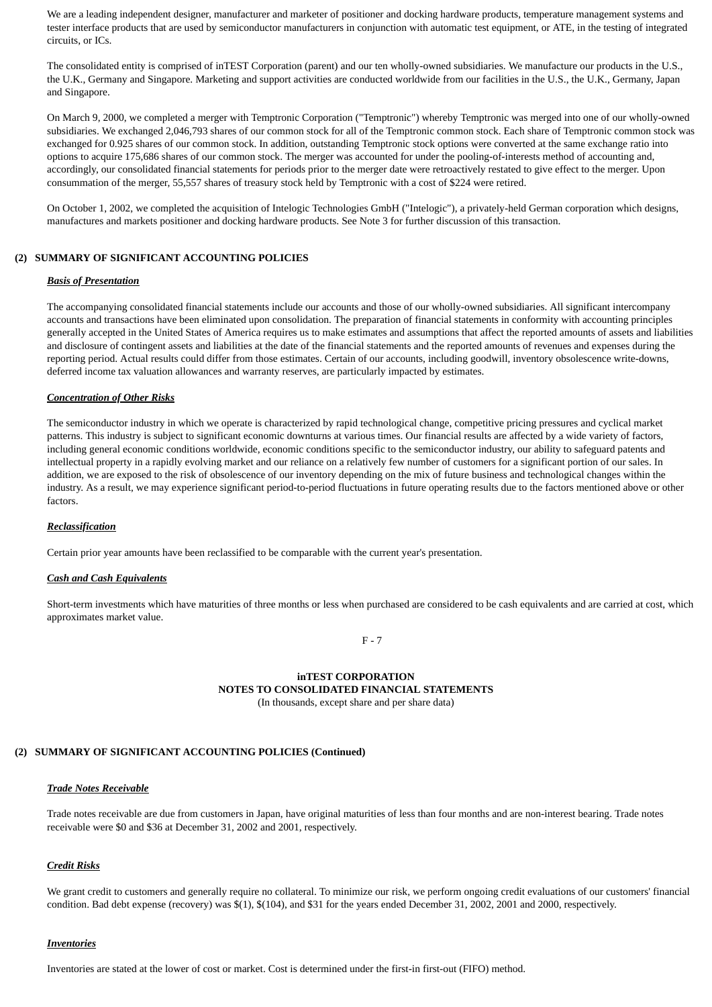We are a leading independent designer, manufacturer and marketer of positioner and docking hardware products, temperature management systems and tester interface products that are used by semiconductor manufacturers in conjunction with automatic test equipment, or ATE, in the testing of integrated circuits, or ICs.

The consolidated entity is comprised of inTEST Corporation (parent) and our ten wholly-owned subsidiaries. We manufacture our products in the U.S., the U.K., Germany and Singapore. Marketing and support activities are conducted worldwide from our facilities in the U.S., the U.K., Germany, Japan and Singapore.

On March 9, 2000, we completed a merger with Temptronic Corporation ("Temptronic") whereby Temptronic was merged into one of our wholly-owned subsidiaries. We exchanged 2,046,793 shares of our common stock for all of the Temptronic common stock. Each share of Temptronic common stock was exchanged for 0.925 shares of our common stock. In addition, outstanding Temptronic stock options were converted at the same exchange ratio into options to acquire 175,686 shares of our common stock. The merger was accounted for under the pooling-of-interests method of accounting and, accordingly, our consolidated financial statements for periods prior to the merger date were retroactively restated to give effect to the merger. Upon consummation of the merger, 55,557 shares of treasury stock held by Temptronic with a cost of \$224 were retired.

On October 1, 2002, we completed the acquisition of Intelogic Technologies GmbH ("Intelogic"), a privately-held German corporation which designs, manufactures and markets positioner and docking hardware products. See Note 3 for further discussion of this transaction.

### **(2) SUMMARY OF SIGNIFICANT ACCOUNTING POLICIES**

### *Basis of Presentation*

The accompanying consolidated financial statements include our accounts and those of our wholly-owned subsidiaries. All significant intercompany accounts and transactions have been eliminated upon consolidation. The preparation of financial statements in conformity with accounting principles generally accepted in the United States of America requires us to make estimates and assumptions that affect the reported amounts of assets and liabilities and disclosure of contingent assets and liabilities at the date of the financial statements and the reported amounts of revenues and expenses during the reporting period. Actual results could differ from those estimates. Certain of our accounts, including goodwill, inventory obsolescence write-downs, deferred income tax valuation allowances and warranty reserves, are particularly impacted by estimates.

#### *Concentration of Other Risks*

The semiconductor industry in which we operate is characterized by rapid technological change, competitive pricing pressures and cyclical market patterns. This industry is subject to significant economic downturns at various times. Our financial results are affected by a wide variety of factors, including general economic conditions worldwide, economic conditions specific to the semiconductor industry, our ability to safeguard patents and intellectual property in a rapidly evolving market and our reliance on a relatively few number of customers for a significant portion of our sales. In addition, we are exposed to the risk of obsolescence of our inventory depending on the mix of future business and technological changes within the industry. As a result, we may experience significant period-to-period fluctuations in future operating results due to the factors mentioned above or other factors.

#### *Reclassification*

Certain prior year amounts have been reclassified to be comparable with the current year's presentation.

#### *Cash and Cash Equivalents*

Short-term investments which have maturities of three months or less when purchased are considered to be cash equivalents and are carried at cost, which approximates market value.

F - 7

### **inTEST CORPORATION NOTES TO CONSOLIDATED FINANCIAL STATEMENTS** (In thousands, except share and per share data)

### **(2) SUMMARY OF SIGNIFICANT ACCOUNTING POLICIES (Continued)**

#### *Trade Notes Receivable*

Trade notes receivable are due from customers in Japan, have original maturities of less than four months and are non-interest bearing. Trade notes receivable were \$0 and \$36 at December 31, 2002 and 2001, respectively.

#### *Credit Risks*

We grant credit to customers and generally require no collateral. To minimize our risk, we perform ongoing credit evaluations of our customers' financial condition. Bad debt expense (recovery) was \$(1), \$(104), and \$31 for the years ended December 31, 2002, 2001 and 2000, respectively.

#### *Inventories*

Inventories are stated at the lower of cost or market. Cost is determined under the first-in first-out (FIFO) method.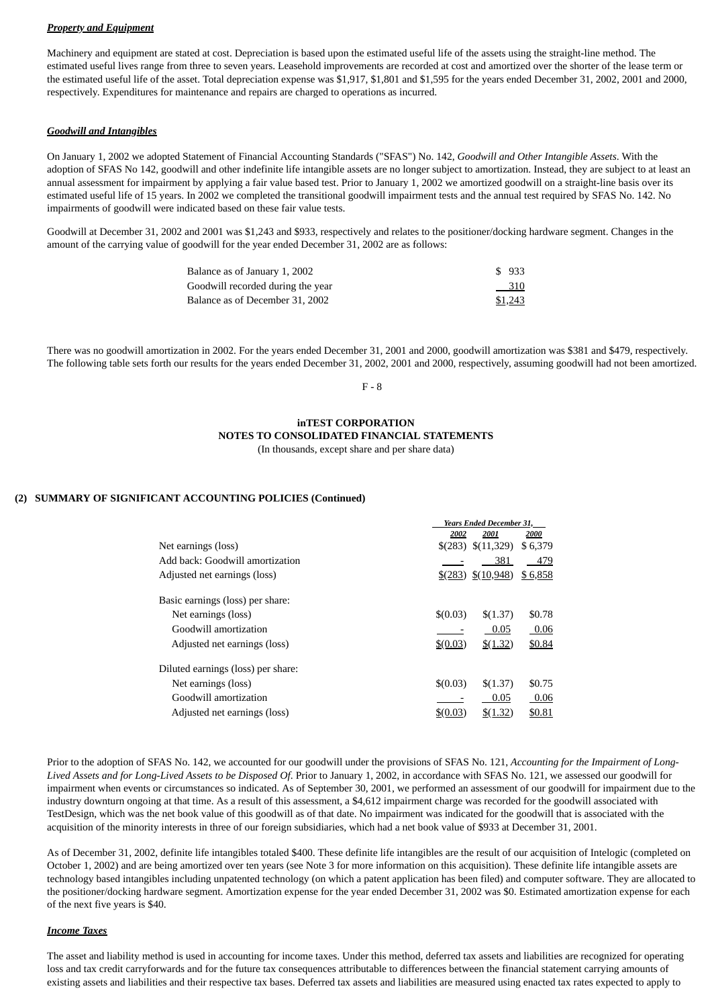## *Property and Equipment*

Machinery and equipment are stated at cost. Depreciation is based upon the estimated useful life of the assets using the straight-line method. The estimated useful lives range from three to seven years. Leasehold improvements are recorded at cost and amortized over the shorter of the lease term or the estimated useful life of the asset. Total depreciation expense was \$1,917, \$1,801 and \$1,595 for the years ended December 31, 2002, 2001 and 2000, respectively. Expenditures for maintenance and repairs are charged to operations as incurred.

### *Goodwill and Intangibles*

On January 1, 2002 we adopted Statement of Financial Accounting Standards ("SFAS") No. 142, *Goodwill and Other Intangible Assets*. With the adoption of SFAS No 142, goodwill and other indefinite life intangible assets are no longer subject to amortization. Instead, they are subject to at least an annual assessment for impairment by applying a fair value based test. Prior to January 1, 2002 we amortized goodwill on a straight-line basis over its estimated useful life of 15 years. In 2002 we completed the transitional goodwill impairment tests and the annual test required by SFAS No. 142. No impairments of goodwill were indicated based on these fair value tests.

Goodwill at December 31, 2002 and 2001 was \$1,243 and \$933, respectively and relates to the positioner/docking hardware segment. Changes in the amount of the carrying value of goodwill for the year ended December 31, 2002 are as follows:

| Balance as of January 1, 2002     | \$933   |
|-----------------------------------|---------|
| Goodwill recorded during the year | $-310$  |
| Balance as of December 31, 2002   | \$1,243 |

There was no goodwill amortization in 2002. For the years ended December 31, 2001 and 2000, goodwill amortization was \$381 and \$479, respectively. The following table sets forth our results for the years ended December 31, 2002, 2001 and 2000, respectively, assuming goodwill had not been amortized.

F - 8

### **inTEST CORPORATION NOTES TO CONSOLIDATED FINANCIAL STATEMENTS** (In thousands, except share and per share data)

### **(2) SUMMARY OF SIGNIFICANT ACCOUNTING POLICIES (Continued)**

|                                    | <b>Years Ended December 31,</b> |                     |         |  |
|------------------------------------|---------------------------------|---------------------|---------|--|
|                                    | 2002                            | 2001                | 2000    |  |
| Net earnings (loss)                |                                 | \$(283) \$(11,329)  | \$6,379 |  |
| Add back: Goodwill amortization    |                                 | 381                 | 479     |  |
| Adjusted net earnings (loss)       |                                 | $(283)$ $(10,948)$  | \$6,858 |  |
| Basic earnings (loss) per share:   |                                 |                     |         |  |
| Net earnings (loss)                | \$(0.03)                        | \$(1.37)            | \$0.78  |  |
| Goodwill amortization              |                                 | 0.05                | 0.06    |  |
| Adjusted net earnings (loss)       | $$^{(0.03)}$                    | $\frac{$(1.32)}{2}$ | \$0.84  |  |
| Diluted earnings (loss) per share: |                                 |                     |         |  |
| Net earnings (loss)                | \$(0.03)                        | \$(1.37)            | \$0.75  |  |
| Goodwill amortization              |                                 | 0.05                | 0.06    |  |
| Adjusted net earnings (loss)       | \$60.03                         | \$(1.32)            | \$0.81  |  |

Prior to the adoption of SFAS No. 142, we accounted for our goodwill under the provisions of SFAS No. 121, *Accounting for the Impairment of Long-Lived Assets and for Long-Lived Assets to be Disposed Of*. Prior to January 1, 2002, in accordance with SFAS No. 121, we assessed our goodwill for impairment when events or circumstances so indicated. As of September 30, 2001, we performed an assessment of our goodwill for impairment due to the industry downturn ongoing at that time. As a result of this assessment, a \$4,612 impairment charge was recorded for the goodwill associated with TestDesign, which was the net book value of this goodwill as of that date. No impairment was indicated for the goodwill that is associated with the acquisition of the minority interests in three of our foreign subsidiaries, which had a net book value of \$933 at December 31, 2001.

As of December 31, 2002, definite life intangibles totaled \$400. These definite life intangibles are the result of our acquisition of Intelogic (completed on October 1, 2002) and are being amortized over ten years (see Note 3 for more information on this acquisition). These definite life intangible assets are technology based intangibles including unpatented technology (on which a patent application has been filed) and computer software. They are allocated to the positioner/docking hardware segment. Amortization expense for the year ended December 31, 2002 was \$0. Estimated amortization expense for each of the next five years is \$40.

#### *Income Taxes*

The asset and liability method is used in accounting for income taxes. Under this method, deferred tax assets and liabilities are recognized for operating loss and tax credit carryforwards and for the future tax consequences attributable to differences between the financial statement carrying amounts of existing assets and liabilities and their respective tax bases. Deferred tax assets and liabilities are measured using enacted tax rates expected to apply to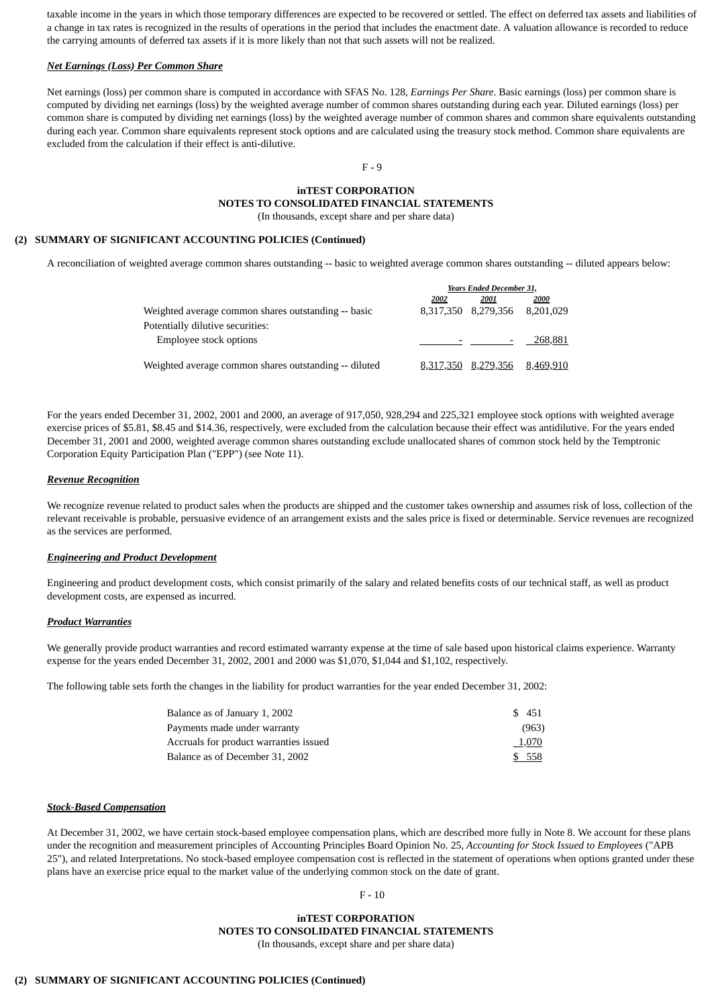taxable income in the years in which those temporary differences are expected to be recovered or settled. The effect on deferred tax assets and liabilities of a change in tax rates is recognized in the results of operations in the period that includes the enactment date. A valuation allowance is recorded to reduce the carrying amounts of deferred tax assets if it is more likely than not that such assets will not be realized.

### *Net Earnings (Loss) Per Common Share*

Net earnings (loss) per common share is computed in accordance with SFAS No. 128, *Earnings Per Share*. Basic earnings (loss) per common share is computed by dividing net earnings (loss) by the weighted average number of common shares outstanding during each year. Diluted earnings (loss) per common share is computed by dividing net earnings (loss) by the weighted average number of common shares and common share equivalents outstanding during each year. Common share equivalents represent stock options and are calculated using the treasury stock method. Common share equivalents are excluded from the calculation if their effect is anti-dilutive.

# F - 9

# **inTEST CORPORATION NOTES TO CONSOLIDATED FINANCIAL STATEMENTS**

(In thousands, except share and per share data)

# **(2) SUMMARY OF SIGNIFICANT ACCOUNTING POLICIES (Continued)**

A reconciliation of weighted average common shares outstanding -- basic to weighted average common shares outstanding -- diluted appears below:

|                                                       | <b>Years Ended December 31,</b> |                     |           |  |  |
|-------------------------------------------------------|---------------------------------|---------------------|-----------|--|--|
|                                                       | 2002                            | 2001                | 2000      |  |  |
| Weighted average common shares outstanding -- basic   |                                 | 8,317,350 8,279,356 | 8,201,029 |  |  |
| Potentially dilutive securities:                      |                                 |                     |           |  |  |
| Employee stock options                                |                                 |                     | 268,881   |  |  |
| Weighted average common shares outstanding -- diluted |                                 | 8,317,350 8,279,356 | 8,469,910 |  |  |

For the years ended December 31, 2002, 2001 and 2000, an average of 917,050, 928,294 and 225,321 employee stock options with weighted average exercise prices of \$5.81, \$8.45 and \$14.36, respectively, were excluded from the calculation because their effect was antidilutive. For the years ended December 31, 2001 and 2000, weighted average common shares outstanding exclude unallocated shares of common stock held by the Temptronic Corporation Equity Participation Plan ("EPP") (see Note 11).

### *Revenue Recognition*

We recognize revenue related to product sales when the products are shipped and the customer takes ownership and assumes risk of loss, collection of the relevant receivable is probable, persuasive evidence of an arrangement exists and the sales price is fixed or determinable. Service revenues are recognized as the services are performed.

#### *Engineering and Product Development*

Engineering and product development costs, which consist primarily of the salary and related benefits costs of our technical staff, as well as product development costs, are expensed as incurred.

### *Product Warranties*

We generally provide product warranties and record estimated warranty expense at the time of sale based upon historical claims experience. Warranty expense for the years ended December 31, 2002, 2001 and 2000 was \$1,070, \$1,044 and \$1,102, respectively.

The following table sets forth the changes in the liability for product warranties for the year ended December 31, 2002:

| Balance as of January 1, 2002          | \$451  |  |
|----------------------------------------|--------|--|
| Payments made under warranty           | (963)  |  |
| Accruals for product warranties issued | 1,070  |  |
| Balance as of December 31, 2002        | \$ 558 |  |

#### *Stock-Based Compensation*

At December 31, 2002, we have certain stock-based employee compensation plans, which are described more fully in Note 8. We account for these plans under the recognition and measurement principles of Accounting Principles Board Opinion No. 25, *Accounting for Stock Issued to Employees* ("APB 25"), and related Interpretations. No stock-based employee compensation cost is reflected in the statement of operations when options granted under these plans have an exercise price equal to the market value of the underlying common stock on the date of grant.

#### $F - 10$

### **inTEST CORPORATION NOTES TO CONSOLIDATED FINANCIAL STATEMENTS**

(In thousands, except share and per share data)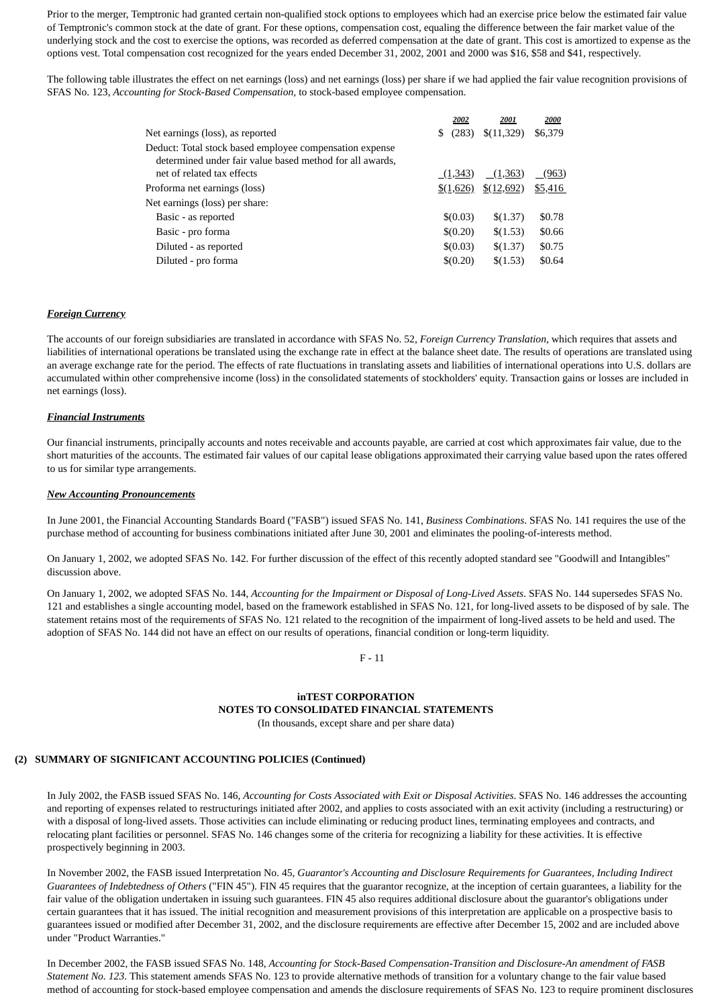Prior to the merger, Temptronic had granted certain non-qualified stock options to employees which had an exercise price below the estimated fair value of Temptronic's common stock at the date of grant. For these options, compensation cost, equaling the difference between the fair market value of the underlying stock and the cost to exercise the options, was recorded as deferred compensation at the date of grant. This cost is amortized to expense as the options vest. Total compensation cost recognized for the years ended December 31, 2002, 2001 and 2000 was \$16, \$58 and \$41, respectively.

The following table illustrates the effect on net earnings (loss) and net earnings (loss) per share if we had applied the fair value recognition provisions of SFAS No. 123, *Accounting for Stock-Based Compensation,* to stock-based employee compensation.

|                                                                                                                     |   | 2002                 | 2001                  | 2000    |
|---------------------------------------------------------------------------------------------------------------------|---|----------------------|-----------------------|---------|
| Net earnings (loss), as reported                                                                                    | S | (283)                | \$(11,329)            | \$6,379 |
| Deduct: Total stock based employee compensation expense<br>determined under fair value based method for all awards, |   |                      |                       |         |
| net of related tax effects                                                                                          |   | (1,343)              | (1,363)               | (963)   |
| Proforma net earnings (loss)                                                                                        |   | $\frac{$(1,626)}{2}$ | $\frac{$(12,692)}{2}$ | \$5,416 |
| Net earnings (loss) per share:                                                                                      |   |                      |                       |         |
| Basic - as reported                                                                                                 |   | \$(0.03)             | \$(1.37)              | \$0.78  |
| Basic - pro forma                                                                                                   |   | \$(0.20)             | \$(1.53)              | \$0.66  |
| Diluted - as reported                                                                                               |   | \$(0.03)             | \$(1.37)              | \$0.75  |
| Diluted - pro forma                                                                                                 |   | \$(0.20)             | \$(1.53)              | \$0.64  |

### *Foreign Currency*

The accounts of our foreign subsidiaries are translated in accordance with SFAS No. 52, *Foreign Currency Translation*, which requires that assets and liabilities of international operations be translated using the exchange rate in effect at the balance sheet date. The results of operations are translated using an average exchange rate for the period. The effects of rate fluctuations in translating assets and liabilities of international operations into U.S. dollars are accumulated within other comprehensive income (loss) in the consolidated statements of stockholders' equity. Transaction gains or losses are included in net earnings (loss).

### *Financial Instruments*

Our financial instruments, principally accounts and notes receivable and accounts payable, are carried at cost which approximates fair value, due to the short maturities of the accounts. The estimated fair values of our capital lease obligations approximated their carrying value based upon the rates offered to us for similar type arrangements.

#### *New Accounting Pronouncements*

In June 2001, the Financial Accounting Standards Board ("FASB") issued SFAS No. 141, *Business Combinations*. SFAS No. 141 requires the use of the purchase method of accounting for business combinations initiated after June 30, 2001 and eliminates the pooling-of-interests method.

On January 1, 2002, we adopted SFAS No. 142. For further discussion of the effect of this recently adopted standard see "Goodwill and Intangibles" discussion above.

On January 1, 2002, we adopted SFAS No. 144, *Accounting for the Impairment or Disposal of Long-Lived Assets*. SFAS No. 144 supersedes SFAS No. 121 and establishes a single accounting model, based on the framework established in SFAS No. 121, for long-lived assets to be disposed of by sale. The statement retains most of the requirements of SFAS No. 121 related to the recognition of the impairment of long-lived assets to be held and used. The adoption of SFAS No. 144 did not have an effect on our results of operations, financial condition or long-term liquidity.

 $F - 11$ 

# **inTEST CORPORATION NOTES TO CONSOLIDATED FINANCIAL STATEMENTS**

(In thousands, except share and per share data)

## **(2) SUMMARY OF SIGNIFICANT ACCOUNTING POLICIES (Continued)**

In July 2002, the FASB issued SFAS No. 146, *Accounting for Costs Associated with Exit or Disposal Activities*. SFAS No. 146 addresses the accounting and reporting of expenses related to restructurings initiated after 2002, and applies to costs associated with an exit activity (including a restructuring) or with a disposal of long-lived assets. Those activities can include eliminating or reducing product lines, terminating employees and contracts, and relocating plant facilities or personnel. SFAS No. 146 changes some of the criteria for recognizing a liability for these activities. It is effective prospectively beginning in 2003.

In November 2002, the FASB issued Interpretation No. 45, *Guarantor's Accounting and Disclosure Requirements for Guarantees, Including Indirect Guarantees of Indebtedness of Others* ("FIN 45"). FIN 45 requires that the guarantor recognize, at the inception of certain guarantees, a liability for the fair value of the obligation undertaken in issuing such guarantees. FIN 45 also requires additional disclosure about the guarantor's obligations under certain guarantees that it has issued. The initial recognition and measurement provisions of this interpretation are applicable on a prospective basis to guarantees issued or modified after December 31, 2002, and the disclosure requirements are effective after December 15, 2002 and are included above under "Product Warranties."

In December 2002, the FASB issued SFAS No. 148, *Accounting for Stock-Based Compensation-Transition and Disclosure-An amendment of FASB Statement No. 123*. This statement amends SFAS No. 123 to provide alternative methods of transition for a voluntary change to the fair value based method of accounting for stock-based employee compensation and amends the disclosure requirements of SFAS No. 123 to require prominent disclosures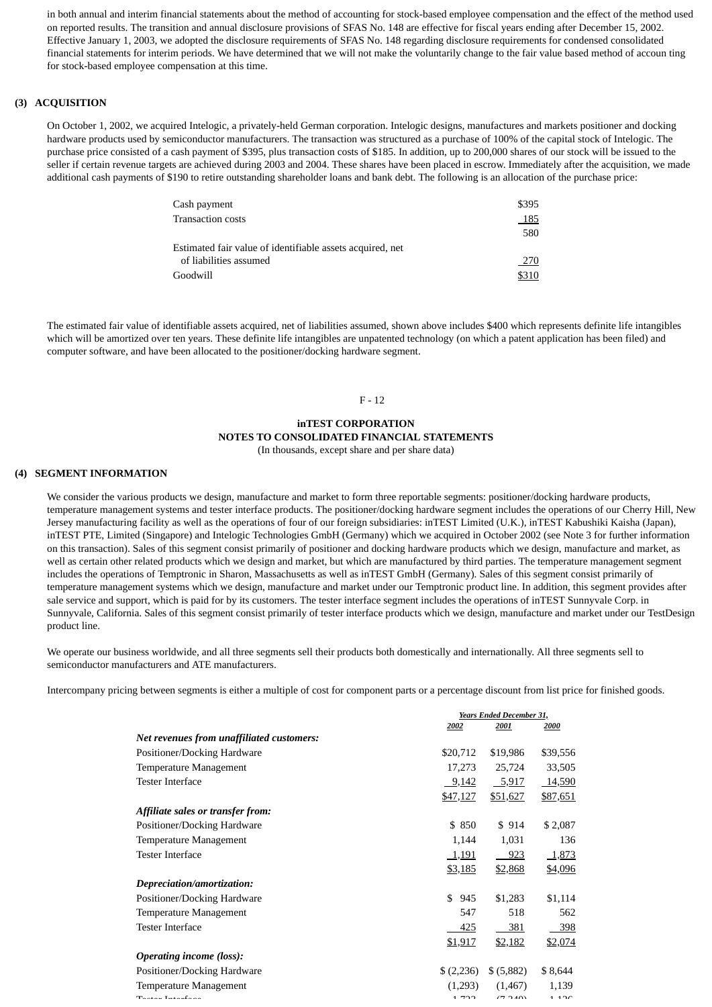in both annual and interim financial statements about the method of accounting for stock-based employee compensation and the effect of the method used on reported results. The transition and annual disclosure provisions of SFAS No. 148 are effective for fiscal years ending after December 15, 2002. Effective January 1, 2003, we adopted the disclosure requirements of SFAS No. 148 regarding disclosure requirements for condensed consolidated financial statements for interim periods. We have determined that we will not make the voluntarily change to the fair value based method of accoun ting for stock-based employee compensation at this time.

### **(3) ACQUISITION**

On October 1, 2002, we acquired Intelogic, a privately-held German corporation. Intelogic designs, manufactures and markets positioner and docking hardware products used by semiconductor manufacturers. The transaction was structured as a purchase of 100% of the capital stock of Intelogic. The purchase price consisted of a cash payment of \$395, plus transaction costs of \$185. In addition, up to 200,000 shares of our stock will be issued to the seller if certain revenue targets are achieved during 2003 and 2004. These shares have been placed in escrow. Immediately after the acquisition, we made additional cash payments of \$190 to retire outstanding shareholder loans and bank debt. The following is an allocation of the purchase price:

| Cash payment                                              | \$395 |
|-----------------------------------------------------------|-------|
| <b>Transaction costs</b>                                  | 185   |
|                                                           | 580   |
| Estimated fair value of identifiable assets acquired, net |       |
| of liabilities assumed                                    | 270   |
| Goodwill                                                  | \$310 |

The estimated fair value of identifiable assets acquired, net of liabilities assumed, shown above includes \$400 which represents definite life intangibles which will be amortized over ten years. These definite life intangibles are unpatented technology (on which a patent application has been filed) and computer software, and have been allocated to the positioner/docking hardware segment.

### F - 12

# **inTEST CORPORATION NOTES TO CONSOLIDATED FINANCIAL STATEMENTS**

# (In thousands, except share and per share data)

### **(4) SEGMENT INFORMATION**

We consider the various products we design, manufacture and market to form three reportable segments: positioner/docking hardware products, temperature management systems and tester interface products. The positioner/docking hardware segment includes the operations of our Cherry Hill, New Jersey manufacturing facility as well as the operations of four of our foreign subsidiaries: inTEST Limited (U.K.), inTEST Kabushiki Kaisha (Japan), inTEST PTE, Limited (Singapore) and Intelogic Technologies GmbH (Germany) which we acquired in October 2002 (see Note 3 for further information on this transaction). Sales of this segment consist primarily of positioner and docking hardware products which we design, manufacture and market, as well as certain other related products which we design and market, but which are manufactured by third parties. The temperature management segment includes the operations of Temptronic in Sharon, Massachusetts as well as inTEST GmbH (Germany). Sales of this segment consist primarily of temperature management systems which we design, manufacture and market under our Temptronic product line. In addition, this segment provides after sale service and support, which is paid for by its customers. The tester interface segment includes the operations of inTEST Sunnyvale Corp. in Sunnyvale, California. Sales of this segment consist primarily of tester interface products which we design, manufacture and market under our TestDesign product line.

We operate our business worldwide, and all three segments sell their products both domestically and internationally. All three segments sell to semiconductor manufacturers and ATE manufacturers.

Intercompany pricing between segments is either a multiple of cost for component parts or a percentage discount from list price for finished goods.

|                                           |              | Years Ended December 31, |          |  |
|-------------------------------------------|--------------|--------------------------|----------|--|
|                                           | 2002         | 2001                     | 2000     |  |
| Net revenues from unaffiliated customers: |              |                          |          |  |
| Positioner/Docking Hardware               | \$20,712     | \$19,986                 | \$39,556 |  |
| Temperature Management                    | 17,273       | 25,724                   | 33,505   |  |
| <b>Tester Interface</b>                   | 9,142        | 5,917                    | 14,590   |  |
|                                           | \$47,127     | \$51,627                 | \$87,651 |  |
| Affiliate sales or transfer from:         |              |                          |          |  |
| Positioner/Docking Hardware               | \$850        | \$914                    | \$2,087  |  |
| Temperature Management                    | 1,144        | 1,031                    | 136      |  |
| Tester Interface                          | <u>1,191</u> | $-923$                   | 1,873    |  |
|                                           | \$3,185      | \$2,868                  | \$4,096  |  |
| Depreciation/amortization:                |              |                          |          |  |
| Positioner/Docking Hardware               | \$945        | \$1,283                  | \$1,114  |  |
| Temperature Management                    | 547          | 518                      | 562      |  |
| <b>Tester Interface</b>                   | 425          | 381                      | 398      |  |
|                                           | \$1,917      | \$2,182                  | \$2,074  |  |
| <b>Operating income (loss):</b>           |              |                          |          |  |
| Positioner/Docking Hardware               | \$(2,236)    | \$ (5,882)               | \$8,644  |  |
| Temperature Management                    | (1,293)      | (1, 467)                 | 1,139    |  |
| $T = 1 - 1 - 1$                           | 1.722        | (7.240)                  | 1.12C    |  |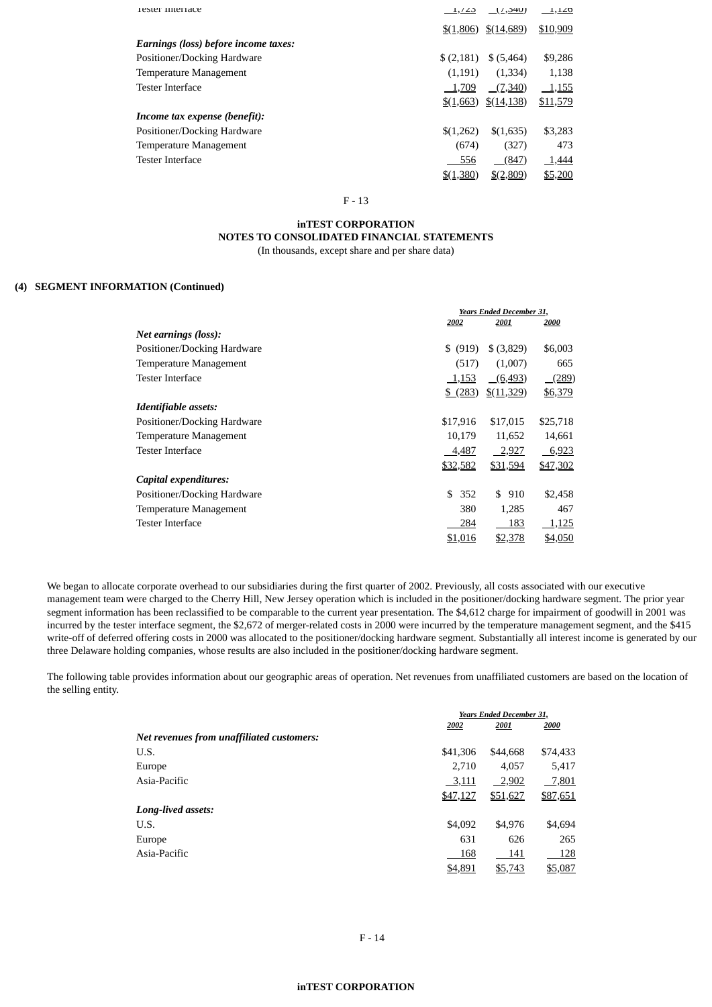| Tester Interface                     | <u>دے ہے</u>  | (7,340)              | 1,120    |
|--------------------------------------|---------------|----------------------|----------|
|                                      | $\{(1,806)\}$ | $\frac{$(14,689)}{}$ | \$10,909 |
| Earnings (loss) before income taxes: |               |                      |          |
| Positioner/Docking Hardware          | \$(2,181)     | \$ (5,464)           | \$9,286  |
| Temperature Management               | (1,191)       | (1,334)              | 1,138    |
| <b>Tester Interface</b>              | 1,709         | (7,340)              | 1,155    |
|                                      | \$(1,663)     | \$(14,138)           | \$11,579 |
| Income tax expense (benefit):        |               |                      |          |
| Positioner/Docking Hardware          | \$(1,262)     | \$(1,635)            | \$3,283  |
| Temperature Management               | (674)         | (327)                | 473      |
| <b>Tester Interface</b>              | 556           | (847)                | 1,444    |
|                                      | \$(1,380)     | \$(2,809)            | \$5,200  |
|                                      |               |                      |          |

## F - 13

# **inTEST CORPORATION NOTES TO CONSOLIDATED FINANCIAL STATEMENTS**

(In thousands, except share and per share data)

### **(4) SEGMENT INFORMATION (Continued)**

|                             |             | <b>Years Ended December 31,</b> |          |  |
|-----------------------------|-------------|---------------------------------|----------|--|
|                             | 2002        | 2001                            | 2000     |  |
| Net earnings (loss):        |             |                                 |          |  |
| Positioner/Docking Hardware | \$ (919)    | \$ (3,829)                      | \$6,003  |  |
| Temperature Management      | (517)       | (1,007)                         | 665      |  |
| <b>Tester Interface</b>     | 1,153       | (6, 493)                        | (289)    |  |
|                             | $$^{(283)}$ | $\frac{$(11,329)}{2}$           | \$6,379  |  |
| Identifiable assets:        |             |                                 |          |  |
| Positioner/Docking Hardware | \$17,916    | \$17,015                        | \$25,718 |  |
| Temperature Management      | 10,179      | 11,652                          | 14,661   |  |
| <b>Tester Interface</b>     | 4,487       | <u>2,927</u>                    | 6,923    |  |
|                             | \$32,582    | \$31,594                        | \$47,302 |  |
| Capital expenditures:       |             |                                 |          |  |
| Positioner/Docking Hardware | \$<br>352   | \$910                           | \$2,458  |  |
| Temperature Management      | 380         | 1,285                           | 467      |  |
| Tester Interface            | 284         | 183                             | 1,125    |  |
|                             | \$1,016     | \$2,378                         | \$4,050  |  |

We began to allocate corporate overhead to our subsidiaries during the first quarter of 2002. Previously, all costs associated with our executive management team were charged to the Cherry Hill, New Jersey operation which is included in the positioner/docking hardware segment. The prior year segment information has been reclassified to be comparable to the current year presentation. The \$4,612 charge for impairment of goodwill in 2001 was incurred by the tester interface segment, the \$2,672 of merger-related costs in 2000 were incurred by the temperature management segment, and the \$415 write-off of deferred offering costs in 2000 was allocated to the positioner/docking hardware segment. Substantially all interest income is generated by our three Delaware holding companies, whose results are also included in the positioner/docking hardware segment.

The following table provides information about our geographic areas of operation. Net revenues from unaffiliated customers are based on the location of the selling entity.

|                                           |          | <b>Years Ended December 31.</b> |          |  |
|-------------------------------------------|----------|---------------------------------|----------|--|
|                                           | 2002     | 2001                            | 2000     |  |
| Net revenues from unaffiliated customers: |          |                                 |          |  |
| U.S.                                      | \$41,306 | \$44,668                        | \$74,433 |  |
| Europe                                    | 2.710    | 4,057                           | 5,417    |  |
| Asia-Pacific                              | 3,111    | 2,902                           | 7,801    |  |
|                                           | \$47,127 | \$51,627                        | \$87,651 |  |
| Long-lived assets:                        |          |                                 |          |  |
| U.S.                                      | \$4,092  | \$4,976                         | \$4,694  |  |
| Europe                                    | 631      | 626                             | 265      |  |
| Asia-Pacific                              | 168      | 141                             | 128      |  |
|                                           | \$4,891  | \$5,743                         | \$5,087  |  |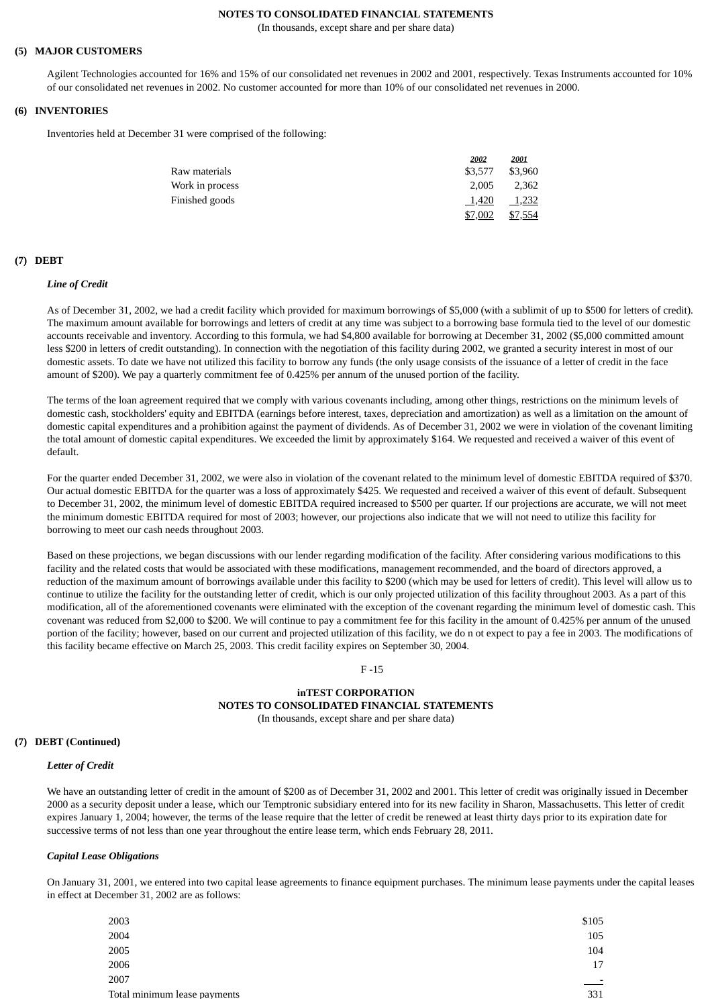### **NOTES TO CONSOLIDATED FINANCIAL STATEMENTS**

(In thousands, except share and per share data)

### **(5) MAJOR CUSTOMERS**

Agilent Technologies accounted for 16% and 15% of our consolidated net revenues in 2002 and 2001, respectively. Texas Instruments accounted for 10% of our consolidated net revenues in 2002. No customer accounted for more than 10% of our consolidated net revenues in 2000.

### **(6) INVENTORIES**

Inventories held at December 31 were comprised of the following:

|                 | 2002    | <u> 2001 </u> |
|-----------------|---------|---------------|
| Raw materials   | \$3,577 | \$3,960       |
| Work in process | 2.005   | 2.362         |
| Finished goods  | 1,420   | 1,232         |
|                 | \$7,002 | \$7,554       |

### **(7) DEBT**

#### *Line of Credit*

As of December 31, 2002, we had a credit facility which provided for maximum borrowings of \$5,000 (with a sublimit of up to \$500 for letters of credit). The maximum amount available for borrowings and letters of credit at any time was subject to a borrowing base formula tied to the level of our domestic accounts receivable and inventory. According to this formula, we had \$4,800 available for borrowing at December 31, 2002 (\$5,000 committed amount less \$200 in letters of credit outstanding). In connection with the negotiation of this facility during 2002, we granted a security interest in most of our domestic assets. To date we have not utilized this facility to borrow any funds (the only usage consists of the issuance of a letter of credit in the face amount of \$200). We pay a quarterly commitment fee of 0.425% per annum of the unused portion of the facility.

The terms of the loan agreement required that we comply with various covenants including, among other things, restrictions on the minimum levels of domestic cash, stockholders' equity and EBITDA (earnings before interest, taxes, depreciation and amortization) as well as a limitation on the amount of domestic capital expenditures and a prohibition against the payment of dividends. As of December 31, 2002 we were in violation of the covenant limiting the total amount of domestic capital expenditures. We exceeded the limit by approximately \$164. We requested and received a waiver of this event of default.

For the quarter ended December 31, 2002, we were also in violation of the covenant related to the minimum level of domestic EBITDA required of \$370. Our actual domestic EBITDA for the quarter was a loss of approximately \$425. We requested and received a waiver of this event of default. Subsequent to December 31, 2002, the minimum level of domestic EBITDA required increased to \$500 per quarter. If our projections are accurate, we will not meet the minimum domestic EBITDA required for most of 2003; however, our projections also indicate that we will not need to utilize this facility for borrowing to meet our cash needs throughout 2003.

Based on these projections, we began discussions with our lender regarding modification of the facility. After considering various modifications to this facility and the related costs that would be associated with these modifications, management recommended, and the board of directors approved, a reduction of the maximum amount of borrowings available under this facility to \$200 (which may be used for letters of credit). This level will allow us to continue to utilize the facility for the outstanding letter of credit, which is our only projected utilization of this facility throughout 2003. As a part of this modification, all of the aforementioned covenants were eliminated with the exception of the covenant regarding the minimum level of domestic cash. This covenant was reduced from \$2,000 to \$200. We will continue to pay a commitment fee for this facility in the amount of 0.425% per annum of the unused portion of the facility; however, based on our current and projected utilization of this facility, we do n ot expect to pay a fee in 2003. The modifications of this facility became effective on March 25, 2003. This credit facility expires on September 30, 2004.

#### F -15

### **inTEST CORPORATION NOTES TO CONSOLIDATED FINANCIAL STATEMENTS** (In thousands, except share and per share data)

#### **(7) DEBT (Continued)**

#### *Letter of Credit*

We have an outstanding letter of credit in the amount of \$200 as of December 31, 2002 and 2001. This letter of credit was originally issued in December 2000 as a security deposit under a lease, which our Temptronic subsidiary entered into for its new facility in Sharon, Massachusetts. This letter of credit expires January 1, 2004; however, the terms of the lease require that the letter of credit be renewed at least thirty days prior to its expiration date for successive terms of not less than one year throughout the entire lease term, which ends February 28, 2011.

#### *Capital Lease Obligations*

On January 31, 2001, we entered into two capital lease agreements to finance equipment purchases. The minimum lease payments under the capital leases in effect at December 31, 2002 are as follows:

| 2003                         | \$105     |
|------------------------------|-----------|
| 2004                         | 105       |
| 2005                         | 104       |
| 2006                         | 17        |
| 2007                         | <u>__</u> |
| Total minimum lease payments | 331       |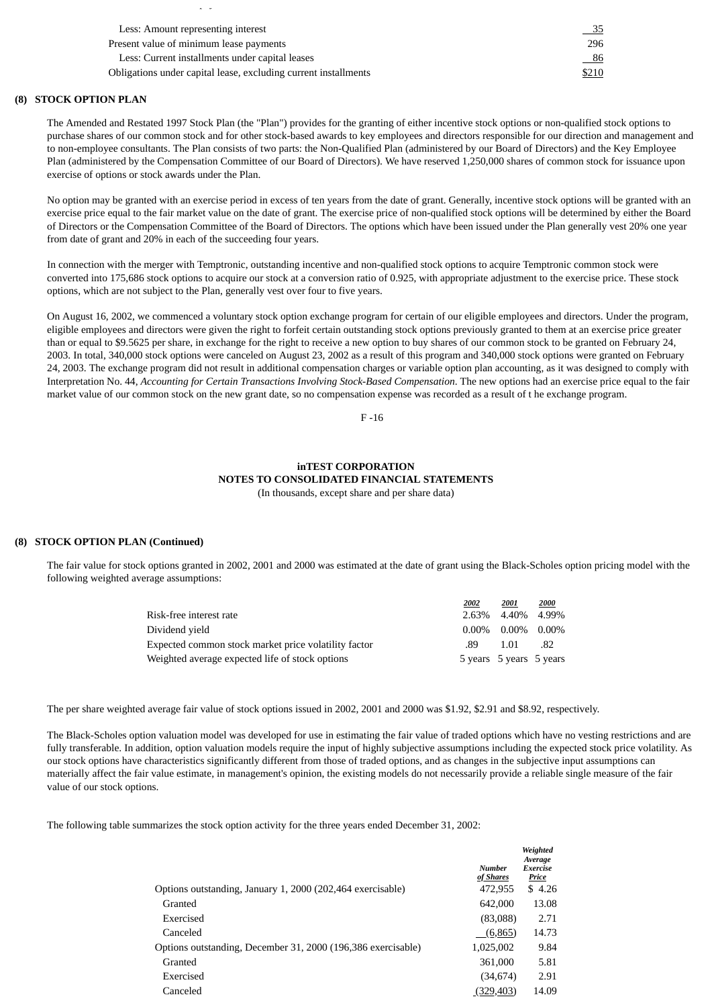| Less: Amount representing interest                              |       |
|-----------------------------------------------------------------|-------|
| Present value of minimum lease payments                         | 296   |
| Less: Current installments under capital leases                 | - 86  |
| Obligations under capital lease, excluding current installments | \$210 |

### **(8) STOCK OPTION PLAN**

p y

The Amended and Restated 1997 Stock Plan (the "Plan") provides for the granting of either incentive stock options or non-qualified stock options to purchase shares of our common stock and for other stock-based awards to key employees and directors responsible for our direction and management and to non-employee consultants. The Plan consists of two parts: the Non-Qualified Plan (administered by our Board of Directors) and the Key Employee Plan (administered by the Compensation Committee of our Board of Directors). We have reserved 1,250,000 shares of common stock for issuance upon exercise of options or stock awards under the Plan.

No option may be granted with an exercise period in excess of ten years from the date of grant. Generally, incentive stock options will be granted with an exercise price equal to the fair market value on the date of grant. The exercise price of non-qualified stock options will be determined by either the Board of Directors or the Compensation Committee of the Board of Directors. The options which have been issued under the Plan generally vest 20% one year from date of grant and 20% in each of the succeeding four years.

In connection with the merger with Temptronic, outstanding incentive and non-qualified stock options to acquire Temptronic common stock were converted into 175,686 stock options to acquire our stock at a conversion ratio of 0.925, with appropriate adjustment to the exercise price. These stock options, which are not subject to the Plan, generally vest over four to five years.

On August 16, 2002, we commenced a voluntary stock option exchange program for certain of our eligible employees and directors. Under the program, eligible employees and directors were given the right to forfeit certain outstanding stock options previously granted to them at an exercise price greater than or equal to \$9.5625 per share, in exchange for the right to receive a new option to buy shares of our common stock to be granted on February 24, 2003. In total, 340,000 stock options were canceled on August 23, 2002 as a result of this program and 340,000 stock options were granted on February 24, 2003. The exchange program did not result in additional compensation charges or variable option plan accounting, as it was designed to comply with Interpretation No. 44, *Accounting for Certain Transactions Involving Stock-Based Compensation*. The new options had an exercise price equal to the fair market value of our common stock on the new grant date, so no compensation expense was recorded as a result of t he exchange program.

 $F - 16$ 

### **inTEST CORPORATION NOTES TO CONSOLIDATED FINANCIAL STATEMENTS** (In thousands, except share and per share data)

### **(8) STOCK OPTION PLAN (Continued)**

The fair value for stock options granted in 2002, 2001 and 2000 was estimated at the date of grant using the Black-Scholes option pricing model with the following weighted average assumptions:

|                                                      | 2002 | 2001                    | 2000 |
|------------------------------------------------------|------|-------------------------|------|
| Risk-free interest rate                              |      | 2.63% 4.40% 4.99%       |      |
| Dividend vield                                       |      | $0.00\%$ 0.00% 0.00%    |      |
| Expected common stock market price volatility factor | .89  | 1.01                    | .82  |
| Weighted average expected life of stock options      |      | 5 years 5 years 5 years |      |

The per share weighted average fair value of stock options issued in 2002, 2001 and 2000 was \$1.92, \$2.91 and \$8.92, respectively.

The Black-Scholes option valuation model was developed for use in estimating the fair value of traded options which have no vesting restrictions and are fully transferable. In addition, option valuation models require the input of highly subjective assumptions including the expected stock price volatility. As our stock options have characteristics significantly different from those of traded options, and as changes in the subjective input assumptions can materially affect the fair value estimate, in management's opinion, the existing models do not necessarily provide a reliable single measure of the fair value of our stock options.

The following table summarizes the stock option activity for the three years ended December 31, 2002:

|                                                                           | Weighted<br>Average<br>Exercise<br>Price |
|---------------------------------------------------------------------------|------------------------------------------|
| 472,955<br>Options outstanding, January 1, 2000 (202,464 exercisable)     | \$4.26                                   |
| 642,000<br>Granted                                                        | 13.08                                    |
| (83,088)<br>Exercised                                                     | 2.71                                     |
| Canceled<br>(6,865)                                                       | 14.73                                    |
| Options outstanding, December 31, 2000 (196,386 exercisable)<br>1,025,002 | 9.84                                     |
| 361,000<br>Granted                                                        | 5.81                                     |
| (34, 674)<br>Exercised                                                    | 2.91                                     |
| (329, 403)<br>Canceled                                                    | 14.09                                    |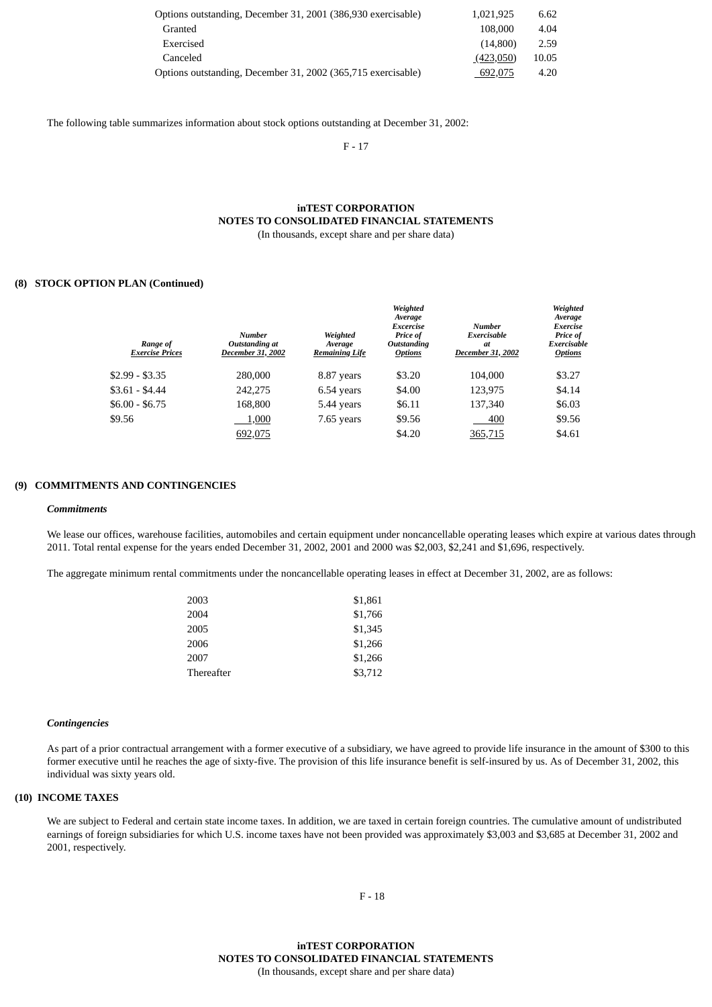| Options outstanding, December 31, 2001 (386,930 exercisable) | 1.021.925 | 6.62  |
|--------------------------------------------------------------|-----------|-------|
| Granted                                                      | 108,000   | 4.04  |
| Exercised                                                    | (14.800)  | 2.59  |
| Canceled                                                     | (423,050) | 10.05 |
| Options outstanding, December 31, 2002 (365,715 exercisable) | 692,075   | 4.20  |

The following table summarizes information about stock options outstanding at December 31, 2002:

F - 17

### **inTEST CORPORATION NOTES TO CONSOLIDATED FINANCIAL STATEMENTS** (In thousands, except share and per share data)

### **(8) STOCK OPTION PLAN (Continued)**

| Range of<br><b>Exercise Prices</b> | <b>Number</b><br>Outstanding at<br>December 31, 2002 | Weighted<br>Average<br><b>Remaining Life</b> | Weighted<br>Average<br>Excercise<br>Price of<br>Outstanding<br><b>Options</b> | <b>Number</b><br>Exercisable<br>at<br>December 31, 2002 | Weighted<br>Average<br>Exercise<br>Price of<br>Exercisable<br><b>Options</b> |
|------------------------------------|------------------------------------------------------|----------------------------------------------|-------------------------------------------------------------------------------|---------------------------------------------------------|------------------------------------------------------------------------------|
| $$2.99 - $3.35$                    | 280,000                                              | 8.87 years                                   | \$3.20                                                                        | 104,000                                                 | \$3.27                                                                       |
| $$3.61 - $4.44$                    | 242,275                                              | 6.54 years                                   | \$4.00                                                                        | 123,975                                                 | \$4.14                                                                       |
| $$6.00 - $6.75$                    | 168,800                                              | 5.44 years                                   | \$6.11                                                                        | 137,340                                                 | \$6.03                                                                       |
| \$9.56                             | 1,000                                                | 7.65 years                                   | \$9.56                                                                        | 400                                                     | \$9.56                                                                       |
|                                    | 692,075                                              |                                              | \$4.20                                                                        | 365,715                                                 | \$4.61                                                                       |

### **(9) COMMITMENTS AND CONTINGENCIES**

#### *Commitments*

We lease our offices, warehouse facilities, automobiles and certain equipment under noncancellable operating leases which expire at various dates through 2011. Total rental expense for the years ended December 31, 2002, 2001 and 2000 was \$2,003, \$2,241 and \$1,696, respectively.

The aggregate minimum rental commitments under the noncancellable operating leases in effect at December 31, 2002, are as follows:

| 2003       | \$1,861 |
|------------|---------|
| 2004       | \$1,766 |
| 2005       | \$1,345 |
| 2006       | \$1,266 |
| 2007       | \$1,266 |
| Thereafter | \$3,712 |

#### *Contingencies*

As part of a prior contractual arrangement with a former executive of a subsidiary, we have agreed to provide life insurance in the amount of \$300 to this former executive until he reaches the age of sixty-five. The provision of this life insurance benefit is self-insured by us. As of December 31, 2002, this individual was sixty years old.

### **(10) INCOME TAXES**

We are subject to Federal and certain state income taxes. In addition, we are taxed in certain foreign countries. The cumulative amount of undistributed earnings of foreign subsidiaries for which U.S. income taxes have not been provided was approximately \$3,003 and \$3,685 at December 31, 2002 and 2001, respectively.

F - 18

**inTEST CORPORATION NOTES TO CONSOLIDATED FINANCIAL STATEMENTS** (In thousands, except share and per share data)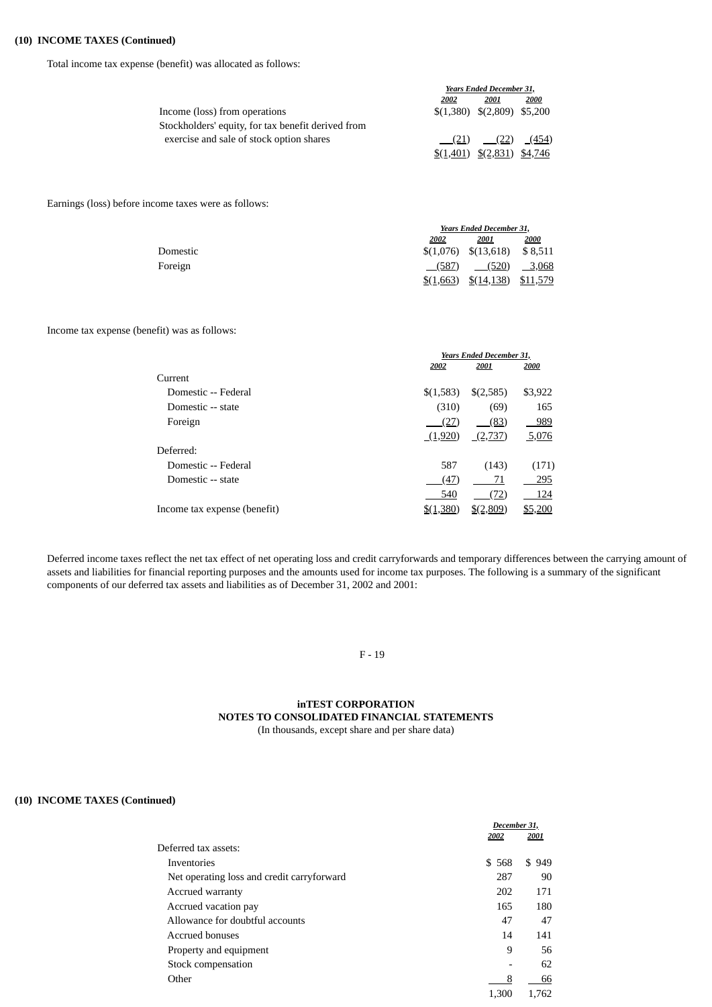## **(10) INCOME TAXES (Continued)**

Total income tax expense (benefit) was allocated as follows:

|                                                    |           | <b>Years Ended December 31,</b> |       |  |
|----------------------------------------------------|-----------|---------------------------------|-------|--|
|                                                    | 2002      | 2001                            | 2000  |  |
| Income (loss) from operations                      |           | $$(1,380) \$(2,809) \$(5,200)$  |       |  |
| Stockholders' equity, for tax benefit derived from |           |                                 |       |  |
| exercise and sale of stock option shares           |           | $(21)$ $(22)$                   | (454) |  |
|                                                    | \$(1,401) | $(2,831)$ \$4,746               |       |  |

Earnings (loss) before income taxes were as follows:

|          |           | <b>Years Ended December 31,</b> |         |  |
|----------|-----------|---------------------------------|---------|--|
|          | 2002      | <b>2001</b>                     | 2000    |  |
| Domestic |           | $$(1,076) \quad $(13,618)$      | \$8,511 |  |
| Foreign  | (587)     | (520)                           | 3,068   |  |
|          | \$(1,663) | $$(14,138)$ $$11,579$           |         |  |

### Income tax expense (benefit) was as follows:

|                              | <b>Years Ended December 31,</b> |                      |         |
|------------------------------|---------------------------------|----------------------|---------|
|                              | 2002                            | 2001                 | 2000    |
| Current                      |                                 |                      |         |
| Domestic -- Federal          | \$(1,583)                       | \$(2,585)            | \$3,922 |
| Domestic -- state            | (310)                           | (69)                 | 165     |
| Foreign                      | (27)                            | (83)                 | 989     |
|                              | (1,920)                         | (2,737)              | 5,076   |
| Deferred:                    |                                 |                      |         |
| Domestic -- Federal          | 587                             | (143)                | (171)   |
| Domestic -- state            | (47)                            | 71                   | 295     |
|                              | 540                             | (72)                 | 124     |
| Income tax expense (benefit) | \$(1,380)                       | $\frac{$(2,809)}{2}$ | \$5,200 |

Deferred income taxes reflect the net tax effect of net operating loss and credit carryforwards and temporary differences between the carrying amount of assets and liabilities for financial reporting purposes and the amounts used for income tax purposes. The following is a summary of the significant components of our deferred tax assets and liabilities as of December 31, 2002 and 2001:

F - 19

# **inTEST CORPORATION NOTES TO CONSOLIDATED FINANCIAL STATEMENTS**

(In thousands, except share and per share data)

### **(10) INCOME TAXES (Continued)**

| December 31,             |       |
|--------------------------|-------|
| 2002                     | 2001  |
|                          |       |
| \$568                    | \$949 |
| 287                      | 90    |
| 202                      | 171   |
| 165                      | 180   |
| 47                       | 47    |
| 14                       | 141   |
| 9                        | 56    |
| $\overline{\phantom{0}}$ | 62    |
| 8                        | 66    |
| 1,300                    | 1,762 |
|                          |       |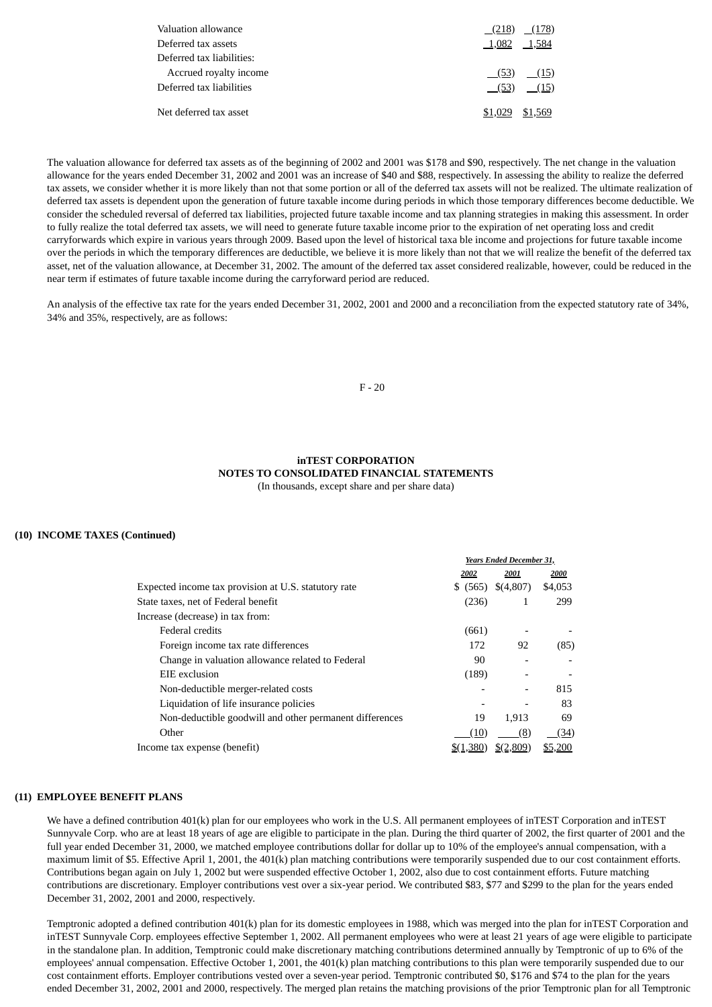|                 | $(218)$ $(178)$ |
|-----------------|-----------------|
| 1,082 1,584     |                 |
|                 |                 |
|                 | $(53)$ $(15)$   |
|                 | $(53)$ $(15)$   |
| \$1,029 \$1,569 |                 |
|                 |                 |

The valuation allowance for deferred tax assets as of the beginning of 2002 and 2001 was \$178 and \$90, respectively. The net change in the valuation allowance for the years ended December 31, 2002 and 2001 was an increase of \$40 and \$88, respectively. In assessing the ability to realize the deferred tax assets, we consider whether it is more likely than not that some portion or all of the deferred tax assets will not be realized. The ultimate realization of deferred tax assets is dependent upon the generation of future taxable income during periods in which those temporary differences become deductible. We consider the scheduled reversal of deferred tax liabilities, projected future taxable income and tax planning strategies in making this assessment. In order to fully realize the total deferred tax assets, we will need to generate future taxable income prior to the expiration of net operating loss and credit carryforwards which expire in various years through 2009. Based upon the level of historical taxa ble income and projections for future taxable income over the periods in which the temporary differences are deductible, we believe it is more likely than not that we will realize the benefit of the deferred tax asset, net of the valuation allowance, at December 31, 2002. The amount of the deferred tax asset considered realizable, however, could be reduced in the near term if estimates of future taxable income during the carryforward period are reduced.

An analysis of the effective tax rate for the years ended December 31, 2002, 2001 and 2000 and a reconciliation from the expected statutory rate of 34%, 34% and 35%, respectively, are as follows:

### F - 20

### **inTEST CORPORATION NOTES TO CONSOLIDATED FINANCIAL STATEMENTS** (In thousands, except share and per share data)

### **(10) INCOME TAXES (Continued)**

|                                                         | <b>Years Ended December 31,</b> |           |         |
|---------------------------------------------------------|---------------------------------|-----------|---------|
|                                                         | 2002                            | 2001      | 2000    |
| Expected income tax provision at U.S. statutory rate    | \$ (565)                        | \$(4,807) | \$4,053 |
| State taxes, net of Federal benefit                     | (236)                           | 1         | 299     |
| Increase (decrease) in tax from:                        |                                 |           |         |
| <b>Federal credits</b>                                  | (661)                           |           |         |
| Foreign income tax rate differences                     | 172                             | 92        | (85)    |
| Change in valuation allowance related to Federal        | 90                              |           |         |
| EIE exclusion                                           | (189)                           |           |         |
| Non-deductible merger-related costs                     |                                 |           | 815     |
| Liquidation of life insurance policies                  |                                 |           | 83      |
| Non-deductible goodwill and other permanent differences | 19                              | 1,913     | 69      |
| Other                                                   | (10)                            | (8)       | (34)    |
| Income tax expense (benefit)                            | \$(1,380)                       | \$(2,809) | \$5,200 |

#### **(11) EMPLOYEE BENEFIT PLANS**

We have a defined contribution 401(k) plan for our employees who work in the U.S. All permanent employees of inTEST Corporation and inTEST Sunnyvale Corp. who are at least 18 years of age are eligible to participate in the plan. During the third quarter of 2002, the first quarter of 2001 and the full year ended December 31, 2000, we matched employee contributions dollar for dollar up to 10% of the employee's annual compensation, with a maximum limit of \$5. Effective April 1, 2001, the 401(k) plan matching contributions were temporarily suspended due to our cost containment efforts. Contributions began again on July 1, 2002 but were suspended effective October 1, 2002, also due to cost containment efforts. Future matching contributions are discretionary. Employer contributions vest over a six-year period. We contributed \$83, \$77 and \$299 to the plan for the years ended December 31, 2002, 2001 and 2000, respectively.

Temptronic adopted a defined contribution 401(k) plan for its domestic employees in 1988, which was merged into the plan for inTEST Corporation and inTEST Sunnyvale Corp. employees effective September 1, 2002. All permanent employees who were at least 21 years of age were eligible to participate in the standalone plan. In addition, Temptronic could make discretionary matching contributions determined annually by Temptronic of up to 6% of the employees' annual compensation. Effective October 1, 2001, the 401(k) plan matching contributions to this plan were temporarily suspended due to our cost containment efforts. Employer contributions vested over a seven-year period. Temptronic contributed \$0, \$176 and \$74 to the plan for the years ended December 31, 2002, 2001 and 2000, respectively. The merged plan retains the matching provisions of the prior Temptronic plan for all Temptronic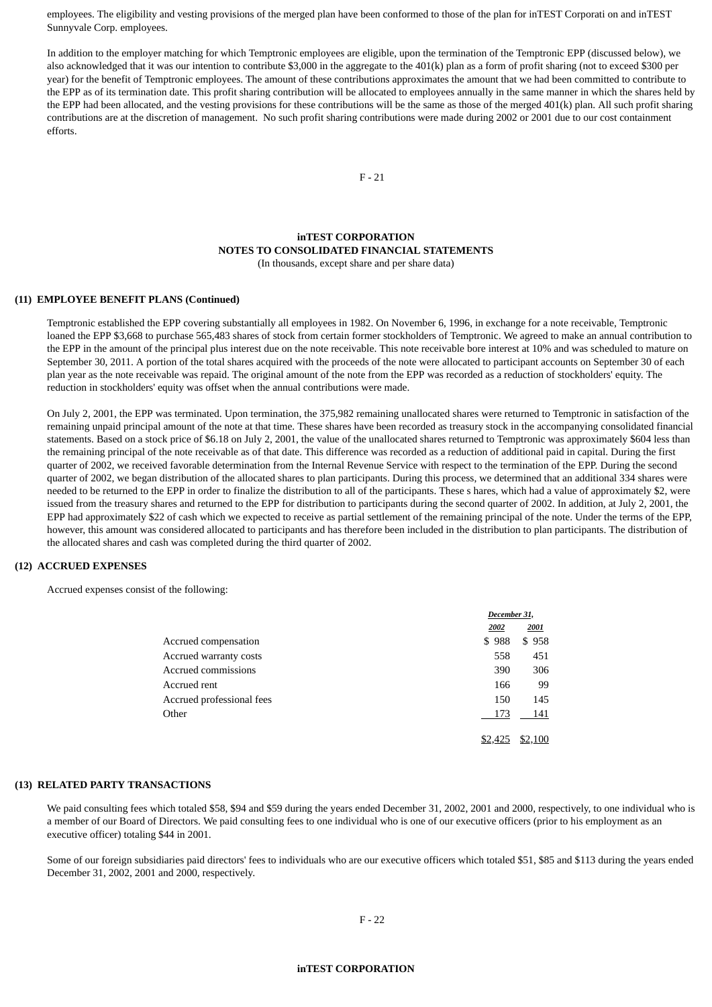employees. The eligibility and vesting provisions of the merged plan have been conformed to those of the plan for inTEST Corporati on and inTEST Sunnyvale Corp. employees.

In addition to the employer matching for which Temptronic employees are eligible, upon the termination of the Temptronic EPP (discussed below), we also acknowledged that it was our intention to contribute \$3,000 in the aggregate to the 401(k) plan as a form of profit sharing (not to exceed \$300 per year) for the benefit of Temptronic employees. The amount of these contributions approximates the amount that we had been committed to contribute to the EPP as of its termination date. This profit sharing contribution will be allocated to employees annually in the same manner in which the shares held by the EPP had been allocated, and the vesting provisions for these contributions will be the same as those of the merged 401(k) plan. All such profit sharing contributions are at the discretion of management. No such profit sharing contributions were made during 2002 or 2001 due to our cost containment efforts.

F - 21

# **inTEST CORPORATION NOTES TO CONSOLIDATED FINANCIAL STATEMENTS**

(In thousands, except share and per share data)

### **(11) EMPLOYEE BENEFIT PLANS (Continued)**

Temptronic established the EPP covering substantially all employees in 1982. On November 6, 1996, in exchange for a note receivable, Temptronic loaned the EPP \$3,668 to purchase 565,483 shares of stock from certain former stockholders of Temptronic. We agreed to make an annual contribution to the EPP in the amount of the principal plus interest due on the note receivable. This note receivable bore interest at 10% and was scheduled to mature on September 30, 2011. A portion of the total shares acquired with the proceeds of the note were allocated to participant accounts on September 30 of each plan year as the note receivable was repaid. The original amount of the note from the EPP was recorded as a reduction of stockholders' equity. The reduction in stockholders' equity was offset when the annual contributions were made.

On July 2, 2001, the EPP was terminated. Upon termination, the 375,982 remaining unallocated shares were returned to Temptronic in satisfaction of the remaining unpaid principal amount of the note at that time. These shares have been recorded as treasury stock in the accompanying consolidated financial statements. Based on a stock price of \$6.18 on July 2, 2001, the value of the unallocated shares returned to Temptronic was approximately \$604 less than the remaining principal of the note receivable as of that date. This difference was recorded as a reduction of additional paid in capital. During the first quarter of 2002, we received favorable determination from the Internal Revenue Service with respect to the termination of the EPP. During the second quarter of 2002, we began distribution of the allocated shares to plan participants. During this process, we determined that an additional 334 shares were needed to be returned to the EPP in order to finalize the distribution to all of the participants. These s hares, which had a value of approximately \$2, were issued from the treasury shares and returned to the EPP for distribution to participants during the second quarter of 2002. In addition, at July 2, 2001, the EPP had approximately \$22 of cash which we expected to receive as partial settlement of the remaining principal of the note. Under the terms of the EPP, however, this amount was considered allocated to participants and has therefore been included in the distribution to plan participants. The distribution of the allocated shares and cash was completed during the third quarter of 2002.

#### **(12) ACCRUED EXPENSES**

Accrued expenses consist of the following:

|                           | December 31, |         |
|---------------------------|--------------|---------|
|                           | 2002         | 2001    |
| Accrued compensation      | \$988        | \$958   |
| Accrued warranty costs    | 558          | 451     |
| Accrued commissions       | 390          | 306     |
| Accrued rent              | 166          | 99      |
| Accrued professional fees | 150          | 145     |
| Other                     | 173          | 141     |
|                           | \$2,425      | \$2,100 |

#### **(13) RELATED PARTY TRANSACTIONS**

We paid consulting fees which totaled \$58, \$94 and \$59 during the years ended December 31, 2002, 2001 and 2000, respectively, to one individual who is a member of our Board of Directors. We paid consulting fees to one individual who is one of our executive officers (prior to his employment as an executive officer) totaling \$44 in 2001.

Some of our foreign subsidiaries paid directors' fees to individuals who are our executive officers which totaled \$51, \$85 and \$113 during the years ended December 31, 2002, 2001 and 2000, respectively.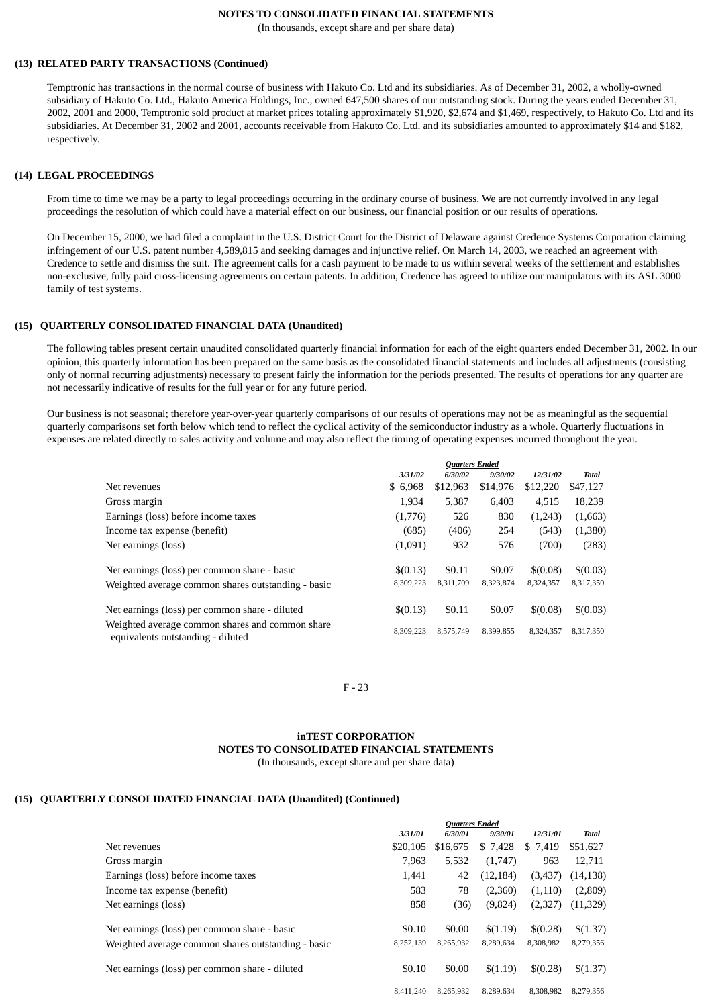### **NOTES TO CONSOLIDATED FINANCIAL STATEMENTS**

(In thousands, except share and per share data)

### **(13) RELATED PARTY TRANSACTIONS (Continued)**

Temptronic has transactions in the normal course of business with Hakuto Co. Ltd and its subsidiaries. As of December 31, 2002, a wholly-owned subsidiary of Hakuto Co. Ltd., Hakuto America Holdings, Inc., owned 647,500 shares of our outstanding stock. During the years ended December 31, 2002, 2001 and 2000, Temptronic sold product at market prices totaling approximately \$1,920, \$2,674 and \$1,469, respectively, to Hakuto Co. Ltd and its subsidiaries. At December 31, 2002 and 2001, accounts receivable from Hakuto Co. Ltd. and its subsidiaries amounted to approximately \$14 and \$182, respectively.

#### **(14) LEGAL PROCEEDINGS**

From time to time we may be a party to legal proceedings occurring in the ordinary course of business. We are not currently involved in any legal proceedings the resolution of which could have a material effect on our business, our financial position or our results of operations.

On December 15, 2000, we had filed a complaint in the U.S. District Court for the District of Delaware against Credence Systems Corporation claiming infringement of our U.S. patent number 4,589,815 and seeking damages and injunctive relief. On March 14, 2003, we reached an agreement with Credence to settle and dismiss the suit. The agreement calls for a cash payment to be made to us within several weeks of the settlement and establishes non-exclusive, fully paid cross-licensing agreements on certain patents. In addition, Credence has agreed to utilize our manipulators with its ASL 3000 family of test systems.

#### **(15) QUARTERLY CONSOLIDATED FINANCIAL DATA (Unaudited)**

The following tables present certain unaudited consolidated quarterly financial information for each of the eight quarters ended December 31, 2002. In our opinion, this quarterly information has been prepared on the same basis as the consolidated financial statements and includes all adjustments (consisting only of normal recurring adjustments) necessary to present fairly the information for the periods presented. The results of operations for any quarter are not necessarily indicative of results for the full year or for any future period.

Our business is not seasonal; therefore year-over-year quarterly comparisons of our results of operations may not be as meaningful as the sequential quarterly comparisons set forth below which tend to reflect the cyclical activity of the semiconductor industry as a whole. Quarterly fluctuations in expenses are related directly to sales activity and volume and may also reflect the timing of operating expenses incurred throughout the year.

|                                                                                      | <b>Quarters Ended</b> |           |           |           |              |
|--------------------------------------------------------------------------------------|-----------------------|-----------|-----------|-----------|--------------|
|                                                                                      | 3/31/02               | 6/30/02   | 9/30/02   | 12/31/02  | <b>Total</b> |
| Net revenues                                                                         | \$6,968               | \$12,963  | \$14,976  | \$12,220  | \$47,127     |
| Gross margin                                                                         | 1,934                 | 5,387     | 6,403     | 4,515     | 18,239       |
| Earnings (loss) before income taxes                                                  | (1,776)               | 526       | 830       | (1,243)   | (1,663)      |
| Income tax expense (benefit)                                                         | (685)                 | (406)     | 254       | (543)     | (1,380)      |
| Net earnings (loss)                                                                  | (1,091)               | 932       | 576       | (700)     | (283)        |
| Net earnings (loss) per common share - basic                                         | \$(0.13)              | \$0.11    | \$0.07    | \$(0.08)  | \$(0.03)     |
| Weighted average common shares outstanding - basic                                   | 8,309,223             | 8,311,709 | 8,323,874 | 8,324,357 | 8,317,350    |
| Net earnings (loss) per common share - diluted                                       | \$(0.13)              | \$0.11    | \$0.07    | \$(0.08)  | \$(0.03)     |
| Weighted average common shares and common share<br>equivalents outstanding - diluted | 8.309.223             | 8,575,749 | 8.399.855 | 8.324.357 | 8,317,350    |

F - 23

### **inTEST CORPORATION NOTES TO CONSOLIDATED FINANCIAL STATEMENTS** (In thousands, except share and per share data)

### **(15) QUARTERLY CONSOLIDATED FINANCIAL DATA (Unaudited) (Continued)**

|                                                    | <b>Quarters Ended</b> |           |           |           |           |
|----------------------------------------------------|-----------------------|-----------|-----------|-----------|-----------|
|                                                    | 3/31/01               | 6/30/01   | 9/30/01   | 12/31/01  | Total     |
| Net revenues                                       | \$20,105              | \$16,675  | \$ 7,428  | \$ 7,419  | \$51,627  |
| Gross margin                                       | 7.963                 | 5,532     | (1,747)   | 963       | 12,711    |
| Earnings (loss) before income taxes                | 1,441                 | 42        | (12, 184) | (3,437)   | (14, 138) |
| Income tax expense (benefit)                       | 583                   | 78        | (2,360)   | (1,110)   | (2,809)   |
| Net earnings (loss)                                | 858                   | (36)      | (9,824)   | (2,327)   | (11, 329) |
| Net earnings (loss) per common share - basic       | \$0.10                | \$0.00    | \$(1.19)  | \$(0.28)  | \$(1.37)  |
| Weighted average common shares outstanding - basic | 8,252,139             | 8.265.932 | 8,289,634 | 8,308,982 | 8,279,356 |
| Net earnings (loss) per common share - diluted     | \$0.10                | \$0.00    | \$(1.19)  | \$(0.28)  | \$(1.37)  |
|                                                    | 8.411.240             | 8,265,932 | 8,289,634 | 8,308,982 | 8,279,356 |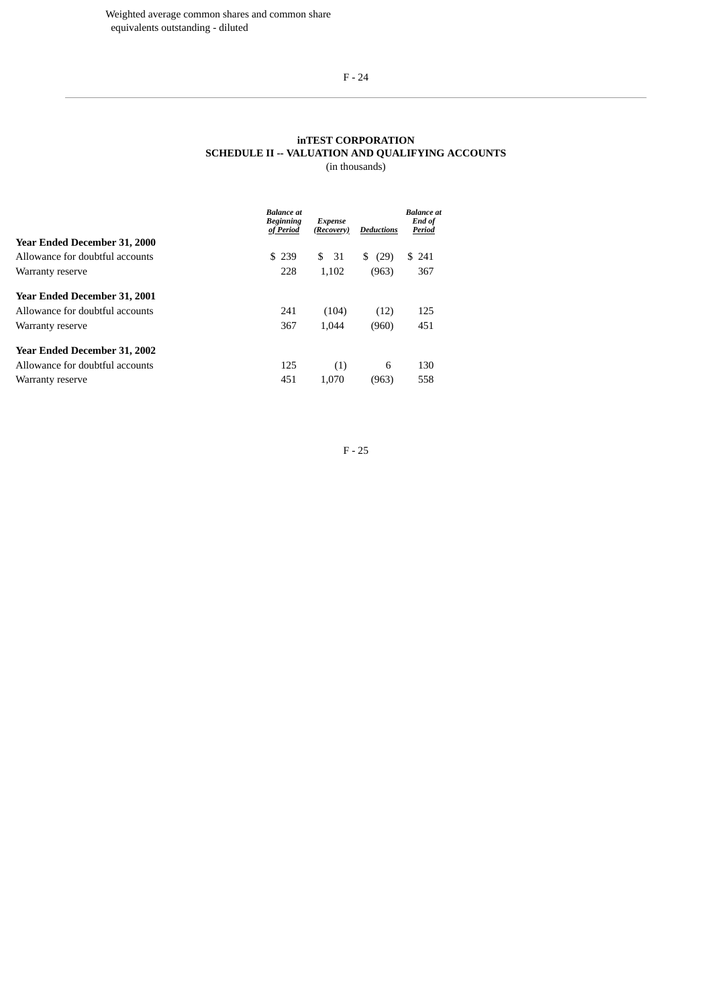# F - 24

#### **inTEST CORPORATION SCHEDULE II -- VALUATION AND QUALIFYING ACCOUNTS** (in thousands)

|                                     | <b>Balance</b> at<br><b>Beginning</b><br>of Period | Expense<br>(Recovery) | Deductions | <b>Balance</b> at<br>End of<br>Period |
|-------------------------------------|----------------------------------------------------|-----------------------|------------|---------------------------------------|
| <b>Year Ended December 31, 2000</b> |                                                    |                       |            |                                       |
| Allowance for doubtful accounts     | \$239                                              | \$<br>31              | S.<br>(29) | S.<br>241                             |
| Warranty reserve                    | 228                                                | 1.102                 | (963)      | 367                                   |
| <b>Year Ended December 31, 2001</b> |                                                    |                       |            |                                       |
| Allowance for doubtful accounts     | 241                                                | (104)                 | (12)       | 125                                   |
| Warranty reserve                    | 367                                                | 1.044                 | (960)      | 451                                   |
| <b>Year Ended December 31, 2002</b> |                                                    |                       |            |                                       |
| Allowance for doubtful accounts     | 125                                                | (1)                   | 6          | 130                                   |
| Warranty reserve                    | 451                                                | 1.070                 | (963)      | 558                                   |

F - 25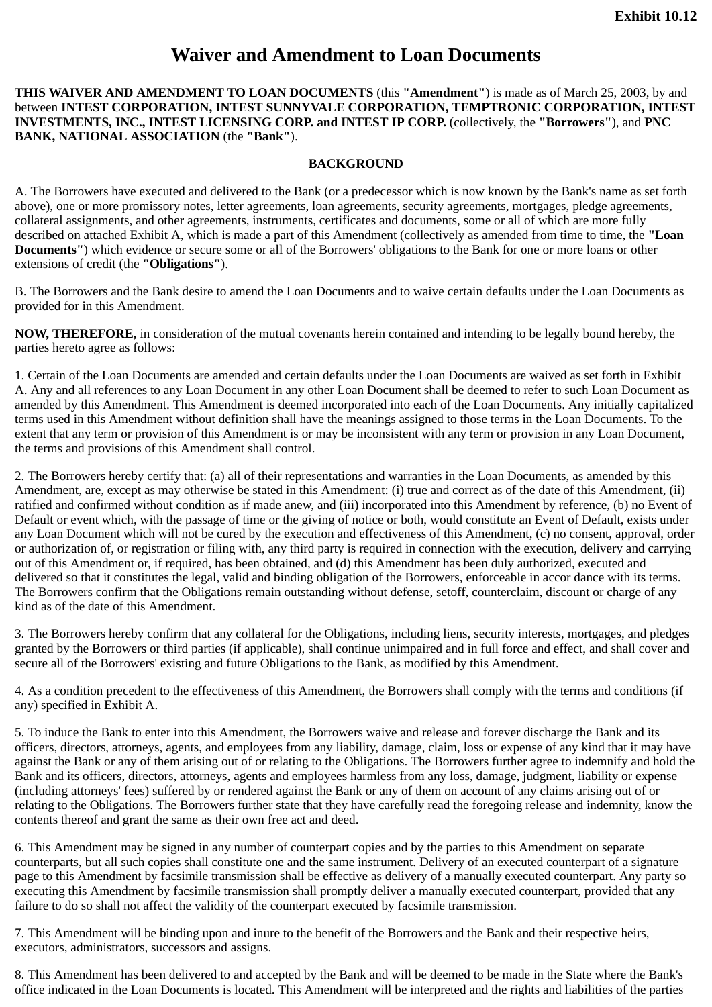# **Waiver and Amendment to Loan Documents**

**THIS WAIVER AND AMENDMENT TO LOAN DOCUMENTS** (this **"Amendment"**) is made as of March 25, 2003, by and between **INTEST CORPORATION, INTEST SUNNYVALE CORPORATION, TEMPTRONIC CORPORATION, INTEST INVESTMENTS, INC., INTEST LICENSING CORP. and INTEST IP CORP.** (collectively, the **"Borrowers"**), and **PNC BANK, NATIONAL ASSOCIATION** (the **"Bank"**).

# **BACKGROUND**

A. The Borrowers have executed and delivered to the Bank (or a predecessor which is now known by the Bank's name as set forth above), one or more promissory notes, letter agreements, loan agreements, security agreements, mortgages, pledge agreements, collateral assignments, and other agreements, instruments, certificates and documents, some or all of which are more fully described on attached Exhibit A, which is made a part of this Amendment (collectively as amended from time to time, the **"Loan Documents"**) which evidence or secure some or all of the Borrowers' obligations to the Bank for one or more loans or other extensions of credit (the **"Obligations"**).

B. The Borrowers and the Bank desire to amend the Loan Documents and to waive certain defaults under the Loan Documents as provided for in this Amendment.

**NOW, THEREFORE,** in consideration of the mutual covenants herein contained and intending to be legally bound hereby, the parties hereto agree as follows:

1. Certain of the Loan Documents are amended and certain defaults under the Loan Documents are waived as set forth in Exhibit A. Any and all references to any Loan Document in any other Loan Document shall be deemed to refer to such Loan Document as amended by this Amendment. This Amendment is deemed incorporated into each of the Loan Documents. Any initially capitalized terms used in this Amendment without definition shall have the meanings assigned to those terms in the Loan Documents. To the extent that any term or provision of this Amendment is or may be inconsistent with any term or provision in any Loan Document, the terms and provisions of this Amendment shall control.

2. The Borrowers hereby certify that: (a) all of their representations and warranties in the Loan Documents, as amended by this Amendment, are, except as may otherwise be stated in this Amendment: (i) true and correct as of the date of this Amendment, (ii) ratified and confirmed without condition as if made anew, and (iii) incorporated into this Amendment by reference, (b) no Event of Default or event which, with the passage of time or the giving of notice or both, would constitute an Event of Default, exists under any Loan Document which will not be cured by the execution and effectiveness of this Amendment, (c) no consent, approval, order or authorization of, or registration or filing with, any third party is required in connection with the execution, delivery and carrying out of this Amendment or, if required, has been obtained, and (d) this Amendment has been duly authorized, executed and delivered so that it constitutes the legal, valid and binding obligation of the Borrowers, enforceable in accor dance with its terms. The Borrowers confirm that the Obligations remain outstanding without defense, setoff, counterclaim, discount or charge of any kind as of the date of this Amendment.

3. The Borrowers hereby confirm that any collateral for the Obligations, including liens, security interests, mortgages, and pledges granted by the Borrowers or third parties (if applicable), shall continue unimpaired and in full force and effect, and shall cover and secure all of the Borrowers' existing and future Obligations to the Bank, as modified by this Amendment.

4. As a condition precedent to the effectiveness of this Amendment, the Borrowers shall comply with the terms and conditions (if any) specified in Exhibit A.

5. To induce the Bank to enter into this Amendment, the Borrowers waive and release and forever discharge the Bank and its officers, directors, attorneys, agents, and employees from any liability, damage, claim, loss or expense of any kind that it may have against the Bank or any of them arising out of or relating to the Obligations. The Borrowers further agree to indemnify and hold the Bank and its officers, directors, attorneys, agents and employees harmless from any loss, damage, judgment, liability or expense (including attorneys' fees) suffered by or rendered against the Bank or any of them on account of any claims arising out of or relating to the Obligations. The Borrowers further state that they have carefully read the foregoing release and indemnity, know the contents thereof and grant the same as their own free act and deed.

6. This Amendment may be signed in any number of counterpart copies and by the parties to this Amendment on separate counterparts, but all such copies shall constitute one and the same instrument. Delivery of an executed counterpart of a signature page to this Amendment by facsimile transmission shall be effective as delivery of a manually executed counterpart. Any party so executing this Amendment by facsimile transmission shall promptly deliver a manually executed counterpart, provided that any failure to do so shall not affect the validity of the counterpart executed by facsimile transmission.

7. This Amendment will be binding upon and inure to the benefit of the Borrowers and the Bank and their respective heirs, executors, administrators, successors and assigns.

8. This Amendment has been delivered to and accepted by the Bank and will be deemed to be made in the State where the Bank's office indicated in the Loan Documents is located. This Amendment will be interpreted and the rights and liabilities of the parties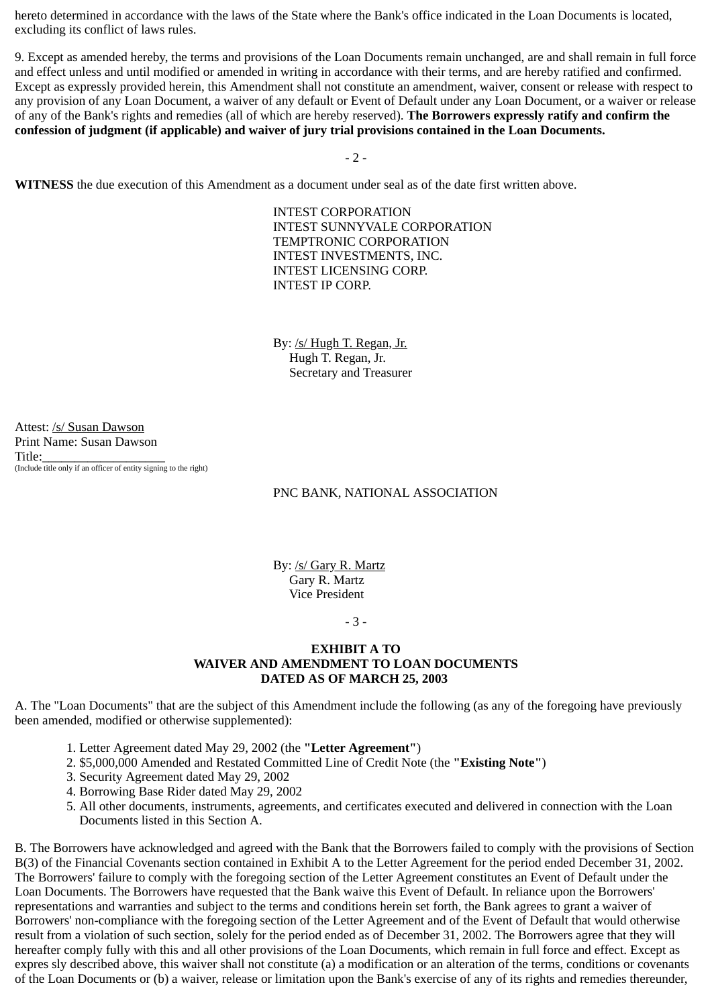hereto determined in accordance with the laws of the State where the Bank's office indicated in the Loan Documents is located, excluding its conflict of laws rules.

9. Except as amended hereby, the terms and provisions of the Loan Documents remain unchanged, are and shall remain in full force and effect unless and until modified or amended in writing in accordance with their terms, and are hereby ratified and confirmed. Except as expressly provided herein, this Amendment shall not constitute an amendment, waiver, consent or release with respect to any provision of any Loan Document, a waiver of any default or Event of Default under any Loan Document, or a waiver or release of any of the Bank's rights and remedies (all of which are hereby reserved). **The Borrowers expressly ratify and confirm the confession of judgment (if applicable) and waiver of jury trial provisions contained in the Loan Documents.**

- 2 -

**WITNESS** the due execution of this Amendment as a document under seal as of the date first written above.

INTEST CORPORATION INTEST SUNNYVALE CORPORATION TEMPTRONIC CORPORATION INTEST INVESTMENTS, INC. INTEST LICENSING CORP. INTEST IP CORP.

By: /s/ Hugh T. Regan, Jr. Hugh T. Regan, Jr. Secretary and Treasurer

Attest: /s/ Susan Dawson Print Name: Susan Dawson Title: (Include title only if an officer of entity signing to the right)

### PNC BANK, NATIONAL ASSOCIATION

By: /s/ Gary R. Martz Gary R. Martz Vice President

- 3 -

## **EXHIBIT A TO WAIVER AND AMENDMENT TO LOAN DOCUMENTS DATED AS OF MARCH 25, 2003**

A. The "Loan Documents" that are the subject of this Amendment include the following (as any of the foregoing have previously been amended, modified or otherwise supplemented):

- 1. Letter Agreement dated May 29, 2002 (the **"Letter Agreement"**)
- 2. \$5,000,000 Amended and Restated Committed Line of Credit Note (the **"Existing Note"**)
- 3. Security Agreement dated May 29, 2002
- 4. Borrowing Base Rider dated May 29, 2002
- 5. All other documents, instruments, agreements, and certificates executed and delivered in connection with the Loan Documents listed in this Section A.

B. The Borrowers have acknowledged and agreed with the Bank that the Borrowers failed to comply with the provisions of Section B(3) of the Financial Covenants section contained in Exhibit A to the Letter Agreement for the period ended December 31, 2002. The Borrowers' failure to comply with the foregoing section of the Letter Agreement constitutes an Event of Default under the Loan Documents. The Borrowers have requested that the Bank waive this Event of Default. In reliance upon the Borrowers' representations and warranties and subject to the terms and conditions herein set forth, the Bank agrees to grant a waiver of Borrowers' non-compliance with the foregoing section of the Letter Agreement and of the Event of Default that would otherwise result from a violation of such section, solely for the period ended as of December 31, 2002. The Borrowers agree that they will hereafter comply fully with this and all other provisions of the Loan Documents, which remain in full force and effect. Except as expres sly described above, this waiver shall not constitute (a) a modification or an alteration of the terms, conditions or covenants of the Loan Documents or (b) a waiver, release or limitation upon the Bank's exercise of any of its rights and remedies thereunder,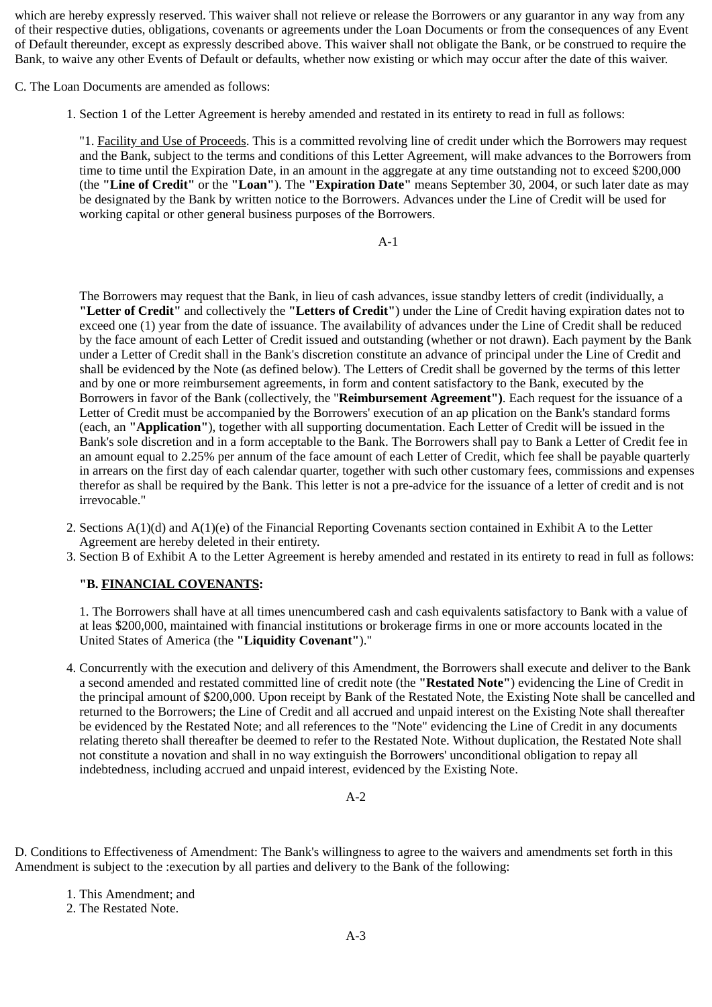which are hereby expressly reserved. This waiver shall not relieve or release the Borrowers or any guarantor in any way from any of their respective duties, obligations, covenants or agreements under the Loan Documents or from the consequences of any Event of Default thereunder, except as expressly described above. This waiver shall not obligate the Bank, or be construed to require the Bank, to waive any other Events of Default or defaults, whether now existing or which may occur after the date of this waiver.

C. The Loan Documents are amended as follows:

1. Section 1 of the Letter Agreement is hereby amended and restated in its entirety to read in full as follows:

"1. Facility and Use of Proceeds. This is a committed revolving line of credit under which the Borrowers may request and the Bank, subject to the terms and conditions of this Letter Agreement, will make advances to the Borrowers from time to time until the Expiration Date, in an amount in the aggregate at any time outstanding not to exceed \$200,000 (the **"Line of Credit"** or the **"Loan"**). The **"Expiration Date"** means September 30, 2004, or such later date as may be designated by the Bank by written notice to the Borrowers. Advances under the Line of Credit will be used for working capital or other general business purposes of the Borrowers.

A-1

The Borrowers may request that the Bank, in lieu of cash advances, issue standby letters of credit (individually, a **"Letter of Credit"** and collectively the **"Letters of Credit"**) under the Line of Credit having expiration dates not to exceed one (1) year from the date of issuance. The availability of advances under the Line of Credit shall be reduced by the face amount of each Letter of Credit issued and outstanding (whether or not drawn). Each payment by the Bank under a Letter of Credit shall in the Bank's discretion constitute an advance of principal under the Line of Credit and shall be evidenced by the Note (as defined below). The Letters of Credit shall be governed by the terms of this letter and by one or more reimbursement agreements, in form and content satisfactory to the Bank, executed by the Borrowers in favor of the Bank (collectively, the "**Reimbursement Agreement")**. Each request for the issuance of a Letter of Credit must be accompanied by the Borrowers' execution of an ap plication on the Bank's standard forms (each, an **"Application"**), together with all supporting documentation. Each Letter of Credit will be issued in the Bank's sole discretion and in a form acceptable to the Bank. The Borrowers shall pay to Bank a Letter of Credit fee in an amount equal to 2.25% per annum of the face amount of each Letter of Credit, which fee shall be payable quarterly in arrears on the first day of each calendar quarter, together with such other customary fees, commissions and expenses therefor as shall be required by the Bank. This letter is not a pre-advice for the issuance of a letter of credit and is not irrevocable."

- 2. Sections A(1)(d) and A(1)(e) of the Financial Reporting Covenants section contained in Exhibit A to the Letter Agreement are hereby deleted in their entirety.
- 3. Section B of Exhibit A to the Letter Agreement is hereby amended and restated in its entirety to read in full as follows:

# **"B. FINANCIAL COVENANTS:**

1. The Borrowers shall have at all times unencumbered cash and cash equivalents satisfactory to Bank with a value of at leas \$200,000, maintained with financial institutions or brokerage firms in one or more accounts located in the United States of America (the **"Liquidity Covenant"**)."

4. Concurrently with the execution and delivery of this Amendment, the Borrowers shall execute and deliver to the Bank a second amended and restated committed line of credit note (the **"Restated Note"**) evidencing the Line of Credit in the principal amount of \$200,000. Upon receipt by Bank of the Restated Note, the Existing Note shall be cancelled and returned to the Borrowers; the Line of Credit and all accrued and unpaid interest on the Existing Note shall thereafter be evidenced by the Restated Note; and all references to the "Note" evidencing the Line of Credit in any documents relating thereto shall thereafter be deemed to refer to the Restated Note. Without duplication, the Restated Note shall not constitute a novation and shall in no way extinguish the Borrowers' unconditional obligation to repay all indebtedness, including accrued and unpaid interest, evidenced by the Existing Note.

A-2

D. Conditions to Effectiveness of Amendment: The Bank's willingness to agree to the waivers and amendments set forth in this Amendment is subject to the :execution by all parties and delivery to the Bank of the following:

1. This Amendment; and

2. The Restated Note.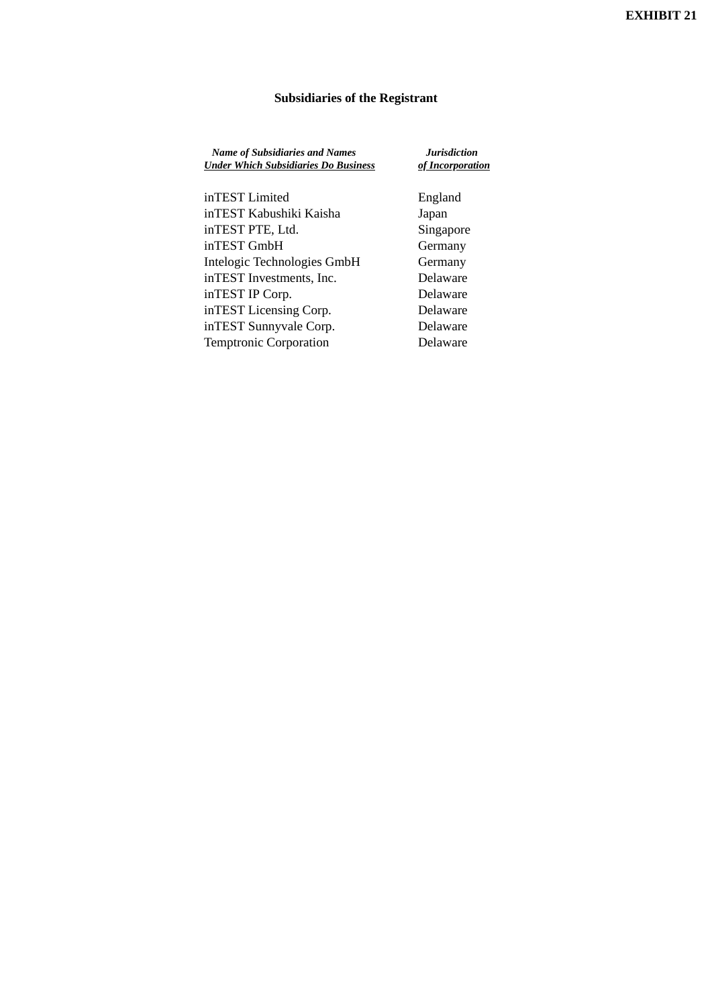# **Subsidiaries of the Registrant**

| <b>Name of Subsidiaries and Names</b><br><b>Under Which Subsidiaries Do Business</b> | <b>Jurisdiction</b><br>of Incorporation |
|--------------------------------------------------------------------------------------|-----------------------------------------|
| inTEST Limited                                                                       | England                                 |
| inTEST Kabushiki Kaisha                                                              | Japan                                   |
| inTEST PTE, Ltd.                                                                     | Singapore                               |
| inTEST GmbH                                                                          | Germany                                 |
| Intelogic Technologies GmbH                                                          | Germany                                 |
| inTEST Investments, Inc.                                                             | Delaware                                |
| inTEST IP Corp.                                                                      | Delaware                                |
| inTEST Licensing Corp.                                                               | Delaware                                |
| inTEST Sunnyvale Corp.                                                               | Delaware                                |
| <b>Temptronic Corporation</b>                                                        | Delaware                                |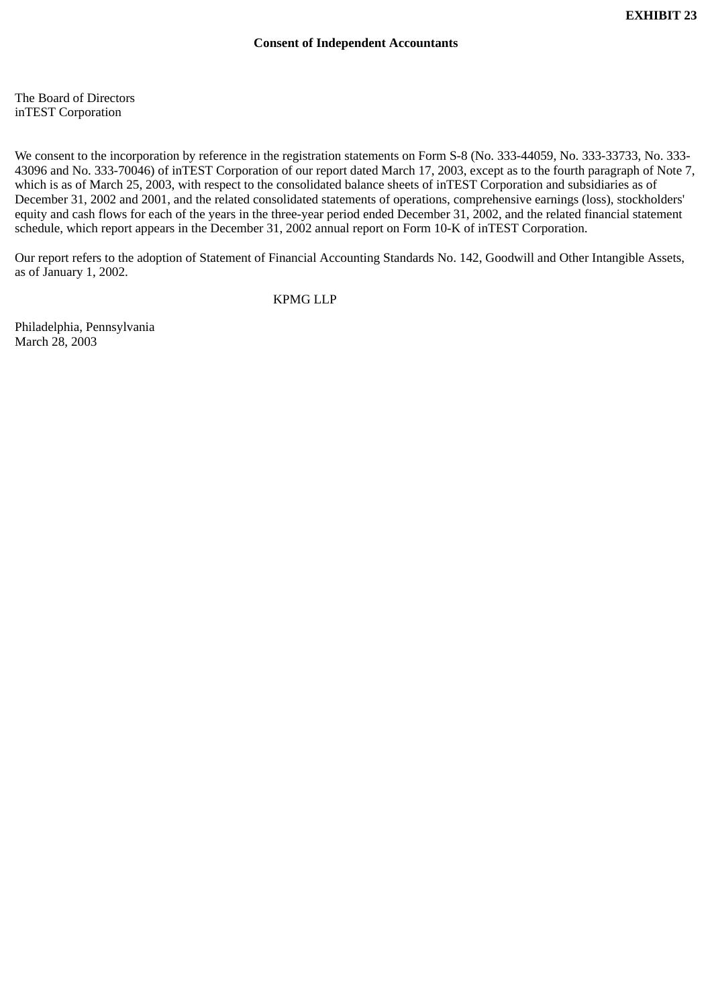The Board of Directors inTEST Corporation

We consent to the incorporation by reference in the registration statements on Form S-8 (No. 333-44059, No. 333-33733, No. 333- 43096 and No. 333-70046) of inTEST Corporation of our report dated March 17, 2003, except as to the fourth paragraph of Note 7, which is as of March 25, 2003, with respect to the consolidated balance sheets of inTEST Corporation and subsidiaries as of December 31, 2002 and 2001, and the related consolidated statements of operations, comprehensive earnings (loss), stockholders' equity and cash flows for each of the years in the three-year period ended December 31, 2002, and the related financial statement schedule, which report appears in the December 31, 2002 annual report on Form 10-K of inTEST Corporation.

Our report refers to the adoption of Statement of Financial Accounting Standards No. 142, Goodwill and Other Intangible Assets, as of January 1, 2002.

KPMG LLP

Philadelphia, Pennsylvania March 28, 2003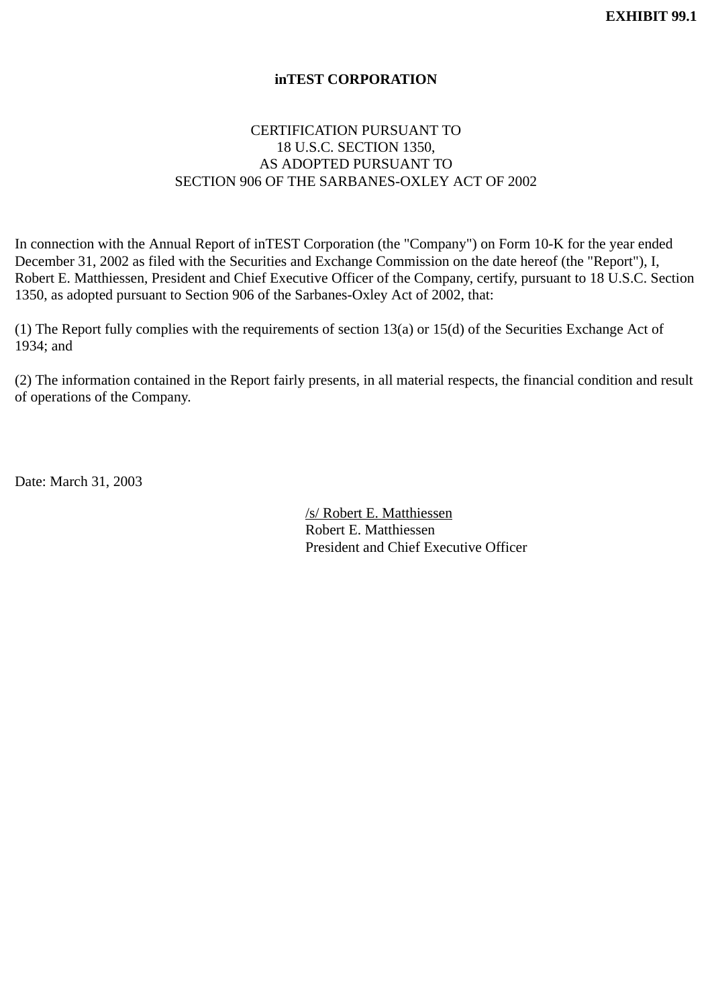# **inTEST CORPORATION**

# CERTIFICATION PURSUANT TO 18 U.S.C. SECTION 1350, AS ADOPTED PURSUANT TO SECTION 906 OF THE SARBANES-OXLEY ACT OF 2002

In connection with the Annual Report of inTEST Corporation (the "Company") on Form 10-K for the year ended December 31, 2002 as filed with the Securities and Exchange Commission on the date hereof (the "Report"), I, Robert E. Matthiessen, President and Chief Executive Officer of the Company, certify, pursuant to 18 U.S.C. Section 1350, as adopted pursuant to Section 906 of the Sarbanes-Oxley Act of 2002, that:

(1) The Report fully complies with the requirements of section 13(a) or 15(d) of the Securities Exchange Act of 1934; and

(2) The information contained in the Report fairly presents, in all material respects, the financial condition and result of operations of the Company.

Date: March 31, 2003

/s/ Robert E. Matthiessen Robert E. Matthiessen President and Chief Executive Officer